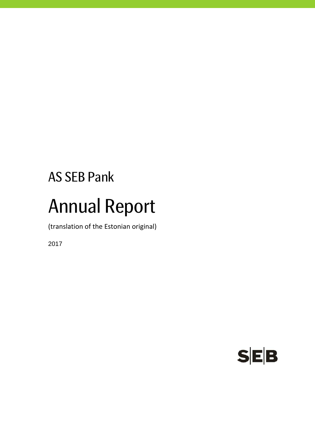# AS SEB Pank Annual Report

(translation of the Estonian original)

2017

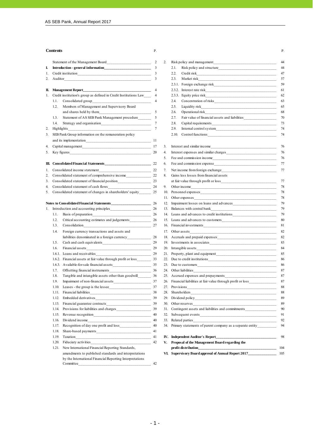#### **Contents** P. P.

j

| I<br>۰. |  |  |
|---------|--|--|
|         |  |  |

|                  |                                                                                                                                                                                                                                                                                                                                                                                                                                                                                                                             | $\overline{c}$ | 2.  | Risk policy and management                                                    |
|------------------|-----------------------------------------------------------------------------------------------------------------------------------------------------------------------------------------------------------------------------------------------------------------------------------------------------------------------------------------------------------------------------------------------------------------------------------------------------------------------------------------------------------------------------|----------------|-----|-------------------------------------------------------------------------------|
| I.               |                                                                                                                                                                                                                                                                                                                                                                                                                                                                                                                             | 3              |     | Risk policy and structure<br>2.1.                                             |
| 1.               |                                                                                                                                                                                                                                                                                                                                                                                                                                                                                                                             | 3              |     | 2.2.<br>Credit risk                                                           |
| $\overline{2}$ . | Auditor                                                                                                                                                                                                                                                                                                                                                                                                                                                                                                                     | 3              |     | 2.3.<br>Market risk                                                           |
|                  |                                                                                                                                                                                                                                                                                                                                                                                                                                                                                                                             |                |     | 2.3.1. Foreign exchange risk                                                  |
| П.               |                                                                                                                                                                                                                                                                                                                                                                                                                                                                                                                             | $\overline{4}$ |     | 2.3.2. Interest rate risk                                                     |
| 1.               | Credit institution's group as defined in Credit Institutions Law                                                                                                                                                                                                                                                                                                                                                                                                                                                            | $\overline{4}$ |     | 2.3.3. Equity price risk                                                      |
|                  | 1.1.<br>Consolidated group                                                                                                                                                                                                                                                                                                                                                                                                                                                                                                  | $\overline{4}$ |     | 2.4.<br>Concentration of risks                                                |
|                  | 1.2.<br>Members of Management and Supervisory Board                                                                                                                                                                                                                                                                                                                                                                                                                                                                         |                |     | 2.5.<br>Liquidity risk                                                        |
|                  | and shares held by them<br>$\begin{tabular}{cc} \multicolumn{2}{c} {\textbf{1}} & \multicolumn{2}{c} {\textbf{2}} & \multicolumn{2}{c} {\textbf{3}} \\ \multicolumn{2}{c} {\textbf{4}} & \multicolumn{2}{c} {\textbf{5}} & \multicolumn{2}{c} {\textbf{6}} \\ \multicolumn{2}{c} {\textbf{5}} & \multicolumn{2}{c} {\textbf{6}} & \multicolumn{2}{c} {\textbf{6}} \\ \multicolumn{2}{c} {\textbf{6}} & \multicolumn{2}{c} {\textbf{6}} & \multicolumn{2}{c} {\textbf{6}} \\ \multicolumn{2}{c} {\textbf{6}} & \multicolumn$ | 5              |     | 2.6.<br>Operational risk                                                      |
|                  | 1.3.<br>Statement of AS SEB Pank Management procedure                                                                                                                                                                                                                                                                                                                                                                                                                                                                       | 5              |     | Fair value of financial assets and liabilities_<br>2.7.                       |
|                  | 1.4.                                                                                                                                                                                                                                                                                                                                                                                                                                                                                                                        | 7              |     | 2.8.<br>Capital requirements                                                  |
| 2.               | Highlights and the state of the state of the state of the state of the state of the state of the state of the state of the state of the state of the state of the state of the state of the state of the state of the state of                                                                                                                                                                                                                                                                                              | $\overline{7}$ |     | 2.9.<br>Internal control system                                               |
| 3.               | SEB Pank Group information on the remuneration policy                                                                                                                                                                                                                                                                                                                                                                                                                                                                       |                |     | 2.10.<br>Control functions                                                    |
|                  |                                                                                                                                                                                                                                                                                                                                                                                                                                                                                                                             | 11             |     |                                                                               |
| 4.               | Capital management                                                                                                                                                                                                                                                                                                                                                                                                                                                                                                          | 17             | 3.  | Interest and similar income                                                   |
| 5.               |                                                                                                                                                                                                                                                                                                                                                                                                                                                                                                                             | 20             | 4.  | Interest expenses and similar charges                                         |
|                  |                                                                                                                                                                                                                                                                                                                                                                                                                                                                                                                             |                | 5.  | Fee and commission income                                                     |
|                  |                                                                                                                                                                                                                                                                                                                                                                                                                                                                                                                             | 22             | 6.  | Fee and commission expense                                                    |
| 1.               | Consolidated income statement                                                                                                                                                                                                                                                                                                                                                                                                                                                                                               | 22             | 7.  | Net income from foreign exchange                                              |
| 2.               | Consolidated statement of comprehensive income___________________________________                                                                                                                                                                                                                                                                                                                                                                                                                                           | 22             | 8.  | Gains less losses from financial assets                                       |
| 3.               |                                                                                                                                                                                                                                                                                                                                                                                                                                                                                                                             | 23             |     | at fair value through profit or loss                                          |
| 4.               | Consolidated statement of cash flows                                                                                                                                                                                                                                                                                                                                                                                                                                                                                        | 24             | 9.  | Other income                                                                  |
| 5.               | Consolidated statement of changes in shareholders' equity                                                                                                                                                                                                                                                                                                                                                                                                                                                                   | 25             |     | 10. Personnel expenses                                                        |
|                  |                                                                                                                                                                                                                                                                                                                                                                                                                                                                                                                             |                | 11. |                                                                               |
|                  | Notes to Consolidated Financial Statements                                                                                                                                                                                                                                                                                                                                                                                                                                                                                  | 26             |     |                                                                               |
|                  | Introduction and accounting principles                                                                                                                                                                                                                                                                                                                                                                                                                                                                                      | 26             |     | 12. Impairment losses on loans and advances<br>13. Balances with central bank |
| 1.               |                                                                                                                                                                                                                                                                                                                                                                                                                                                                                                                             | 26             |     |                                                                               |
|                  | Basis of preparation<br>1.1.                                                                                                                                                                                                                                                                                                                                                                                                                                                                                                |                |     | 14. Loans and advances to credit institutions                                 |
|                  | 1.2.<br>Critical accounting estimates and judgements____________                                                                                                                                                                                                                                                                                                                                                                                                                                                            | 26             |     | 15. Loans and advances to customers                                           |
|                  | 1.3.<br>Consolidation                                                                                                                                                                                                                                                                                                                                                                                                                                                                                                       | 27             |     | 16. Financial investments                                                     |
|                  | 1.4.<br>Foreign currency transactions and assets and                                                                                                                                                                                                                                                                                                                                                                                                                                                                        |                |     | 17. Other assets                                                              |
|                  | liabilities denominated in a foreign currency______________                                                                                                                                                                                                                                                                                                                                                                                                                                                                 | 28             |     |                                                                               |
|                  | 1.5.                                                                                                                                                                                                                                                                                                                                                                                                                                                                                                                        | 29             |     | 19. Investments in associates                                                 |
|                  | 1.6.                                                                                                                                                                                                                                                                                                                                                                                                                                                                                                                        | 29             |     |                                                                               |
|                  | 1.6.1.<br>Loans and receivables                                                                                                                                                                                                                                                                                                                                                                                                                                                                                             | 29             |     |                                                                               |
|                  | 1.6.2. Financial assets at fair value through profit or loss________                                                                                                                                                                                                                                                                                                                                                                                                                                                        | 33             |     | 22. Due to credit institutions                                                |
|                  |                                                                                                                                                                                                                                                                                                                                                                                                                                                                                                                             | 35             |     | 23. Due to customers                                                          |
|                  | 1.7.                                                                                                                                                                                                                                                                                                                                                                                                                                                                                                                        | 36             |     |                                                                               |
|                  | 1.8.<br>Tangible and intangible assets other than goodwill                                                                                                                                                                                                                                                                                                                                                                                                                                                                  | 36             |     | 25. Accrued expenses and prepayments                                          |
|                  | 1.9.                                                                                                                                                                                                                                                                                                                                                                                                                                                                                                                        | 37             |     | 26. Financial liabilities at fair value through profit or lo                  |
|                  | 1.10.<br>Leases - the group is the lessee                                                                                                                                                                                                                                                                                                                                                                                                                                                                                   | 37             |     | 27. Provisions                                                                |
|                  | 1.11.                                                                                                                                                                                                                                                                                                                                                                                                                                                                                                                       | 38             |     | 28. Shareholders                                                              |
|                  | Embedded derivatives<br>1.12.                                                                                                                                                                                                                                                                                                                                                                                                                                                                                               | 39             |     |                                                                               |
|                  | 1.13.                                                                                                                                                                                                                                                                                                                                                                                                                                                                                                                       |                | 30. | Other reserves                                                                |
|                  | 1.14.                                                                                                                                                                                                                                                                                                                                                                                                                                                                                                                       | 39             |     | 31. Contingent assets and liabilities and commitments                         |
|                  | 1.15.                                                                                                                                                                                                                                                                                                                                                                                                                                                                                                                       |                |     |                                                                               |
|                  | 1.16.                                                                                                                                                                                                                                                                                                                                                                                                                                                                                                                       | 40             |     |                                                                               |
|                  | 1.17.<br>Recognition of day one profit and loss 40                                                                                                                                                                                                                                                                                                                                                                                                                                                                          |                |     | 34. Primary statements of parent company as a separa                          |
|                  | 1.18.                                                                                                                                                                                                                                                                                                                                                                                                                                                                                                                       | 41             |     |                                                                               |
|                  | 1.19.<br>Taxation 41                                                                                                                                                                                                                                                                                                                                                                                                                                                                                                        |                |     | IV. Independent Auditor's Report___________                                   |
|                  | 1.20.                                                                                                                                                                                                                                                                                                                                                                                                                                                                                                                       | 42             | V.  | Proposal of the Management Board regarding the                                |
|                  | New International Financial Reporting Standards,<br>1.21.                                                                                                                                                                                                                                                                                                                                                                                                                                                                   |                |     |                                                                               |
|                  | amendments to published standards and interpretations                                                                                                                                                                                                                                                                                                                                                                                                                                                                       |                |     | VI. Supervisory Board approval of Annual Report 201                           |
|                  | by the International Financial Reporting Interpretations                                                                                                                                                                                                                                                                                                                                                                                                                                                                    |                |     |                                                                               |
|                  | Committee                                                                                                                                                                                                                                                                                                                                                                                                                                                                                                                   | 42             |     |                                                                               |

|    | Statement of the Management Board                                                                                                                                                                                              | $\overline{2}$ | 2.  | Risk policy and management                                              | 44 |
|----|--------------------------------------------------------------------------------------------------------------------------------------------------------------------------------------------------------------------------------|----------------|-----|-------------------------------------------------------------------------|----|
| I. |                                                                                                                                                                                                                                | 3              |     | 2.1.                                                                    | 44 |
| 1. | Credit institution                                                                                                                                                                                                             | 3              |     | 2.2.<br>Credit risk                                                     | 47 |
| 2. | Auditor and the contract of the contract of the contract of the contract of the contract of the contract of the contract of the contract of the contract of the contract of the contract of the contract of the contract of th | 3              |     | 2.3.<br>Market risk                                                     | 57 |
|    |                                                                                                                                                                                                                                |                |     | 2.3.1.                                                                  | 59 |
| П. | Management Report______________                                                                                                                                                                                                | $\overline{4}$ |     | 2.3.2.                                                                  | 61 |
| 1. | Credit institution's group as defined in Credit Institutions Law                                                                                                                                                               | $\overline{4}$ |     | 2.3.3.                                                                  | 62 |
|    | 1.1.<br>Consolidated group                                                                                                                                                                                                     | 4              |     | 2.4.                                                                    | 63 |
|    | Members of Management and Supervisory Board<br>1.2.                                                                                                                                                                            |                |     | 2.5.                                                                    | 65 |
|    | and shares held by them                                                                                                                                                                                                        | 5              |     | 2.6.                                                                    | 68 |
|    | 1.3.<br>Statement of AS SEB Pank Management procedure                                                                                                                                                                          | 5              |     | 2.7.                                                                    | 70 |
|    | 1.4.<br>Strategy and organisation                                                                                                                                                                                              | 7              |     | 2.8.<br>Capital requirements                                            | 73 |
| 2. | Highlights                                                                                                                                                                                                                     | 7              |     | 2.9.                                                                    | 74 |
| 3. | SEB Pank Group information on the remuneration policy                                                                                                                                                                          |                |     | 2.10.                                                                   | 74 |
|    |                                                                                                                                                                                                                                |                |     |                                                                         |    |
|    |                                                                                                                                                                                                                                |                |     |                                                                         |    |
| 4. | Capital management 17                                                                                                                                                                                                          |                | 3.  | Interest and similar income                                             | 76 |
| 5. |                                                                                                                                                                                                                                |                | 4.  | Interest expenses and similar charges                                   | 76 |
|    |                                                                                                                                                                                                                                |                | 5.  | Fee and commission income                                               | 76 |
|    |                                                                                                                                                                                                                                |                | 6.  |                                                                         | 77 |
| 1. |                                                                                                                                                                                                                                | 22             | 7.  |                                                                         | 77 |
| 2. | Consolidated statement of comprehensive income                                                                                                                                                                                 | 22             | 8.  | Gains less losses from financial assets                                 |    |
| 3. | Consolidated statement of financial position                                                                                                                                                                                   | 23             |     | at fair value through profit or loss                                    | 77 |
| 4. |                                                                                                                                                                                                                                | 24             | 9.  |                                                                         | 78 |
| 5. | Consolidated statement of changes in shareholders' equity 25                                                                                                                                                                   |                | 10. |                                                                         | 78 |
|    |                                                                                                                                                                                                                                |                | 11. | Other expenses                                                          | 78 |
|    |                                                                                                                                                                                                                                |                | 12. | Impairment losses on loans and advances                                 | 79 |
| 1. | Introduction and accounting principles                                                                                                                                                                                         | 26             | 13. | Balances with central bank                                              | 79 |
|    | 1.1.<br>Basis of preparation                                                                                                                                                                                                   | -26            | 14. |                                                                         | 79 |
|    | 1.2.                                                                                                                                                                                                                           |                | 15. |                                                                         | 80 |
|    | Consolidation 27<br>1.3.                                                                                                                                                                                                       |                | 16. |                                                                         | 81 |
|    | Foreign currency transactions and assets and<br>1.4.                                                                                                                                                                           |                | 17. |                                                                         | 82 |
|    | liabilities denominated in a foreign currency____________                                                                                                                                                                      | 28             | 18. |                                                                         | 82 |
|    | 1.5.                                                                                                                                                                                                                           |                | 19. |                                                                         | 83 |
|    | 1.6.<br>Financial assets 29                                                                                                                                                                                                    |                | 20. |                                                                         | 84 |
|    | 1.6.1.                                                                                                                                                                                                                         |                | 21. |                                                                         | 85 |
|    | 1.6.2.                                                                                                                                                                                                                         |                | 22. |                                                                         | 86 |
|    | 1.6.3.                                                                                                                                                                                                                         |                |     | 23. Due to customers                                                    | 86 |
|    | 1.7.                                                                                                                                                                                                                           |                | 24. |                                                                         | 87 |
|    | 1.8.                                                                                                                                                                                                                           |                |     |                                                                         | 87 |
|    | 1.9.                                                                                                                                                                                                                           |                |     | 26. Financial liabilities at fair value through profit or loss          | 87 |
|    | 1.10.                                                                                                                                                                                                                          |                |     | 27. Provisions                                                          | 88 |
|    | 1.11.                                                                                                                                                                                                                          | 38             |     | 28. Shareholders                                                        | 88 |
|    | Embedded derivatives<br>1.12.                                                                                                                                                                                                  | 39             | 29. |                                                                         | 89 |
|    | 1.13.                                                                                                                                                                                                                          |                | 30. | Other reserves                                                          | 89 |
|    | Provisions for liabilities and charges 39<br>1.14.                                                                                                                                                                             |                | 31. | Contingent assets and liabilities and commitments                       | 90 |
|    | 1.15.                                                                                                                                                                                                                          |                | 32. | Subsequent events                                                       | 91 |
|    | 1.16.                                                                                                                                                                                                                          |                |     |                                                                         | 92 |
|    | 1.17.                                                                                                                                                                                                                          |                |     | 34. Primary statements of parent company as a separate entity__________ | 94 |
|    | 1.18.                                                                                                                                                                                                                          |                |     |                                                                         |    |
|    | 1.19.                                                                                                                                                                                                                          |                |     |                                                                         | 98 |
|    | 1.20.                                                                                                                                                                                                                          |                | V.  | Proposal of the Management Board regarding the                          |    |
|    | New International Financial Reporting Standards,<br>1.21.                                                                                                                                                                      |                |     |                                                                         |    |
|    | amendments to published standards and interpretations                                                                                                                                                                          |                |     |                                                                         |    |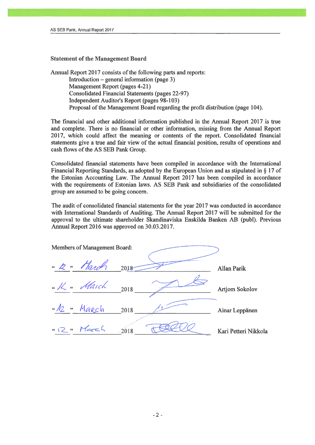Statement of the Management Board

Annual Report 2017 consists of the following parts and reports: Introduction  $-$  general information (page 3) Management Report (pages 4-21) Consolidated Financial Statements (pages 22-97) Independent Auditor's Report (pages 98-103) Proposal of the Management Board regarding the profit distribution (page 104).

The financial and other additional information published in the Annual Report 2017 is true and complete. There is no financial or other information, missing from the Annual Report 2017, which could affect the meaning or contents of the report. Consolidated financial statements give a true and fair view of the actual financial position, results of operations and cash flows of the AS SEB Pank Group.

Consolidated financial statements have been compiled in accordance with the International Financial Reporting Standards, as adopted by the European Union and as stipulated in § 17 of the Estonian Accounting Law. The Annual Report 2017 has been compiled in accordance with the requirements of Estonian laws. AS SEB Pank and subsidiaries of the consolidated group are assumed to be going concern.

The audit of consolidated financial statements for the year 2017 was conducted in accordance with International Standards of Auditing. The Annual Report 2017 will be submitted for the approval to the ultimate shareholder Skandinaviska Enskilda Banken AB (publ). Previous Annual Report 2016 was approved on 30.03.2017.

| <b>Members of Management Board:</b> |      |                       |
|-------------------------------------|------|-----------------------|
| " R " Hard                          | 2018 | <b>Allan Parik</b>    |
| "K" March 2018                      |      | <b>Artjom Sokolov</b> |
| "12 " March                         | 2018 | Ainar Leppänen        |
| "12" March                          | 2018 | Kari Petteri Nikkola  |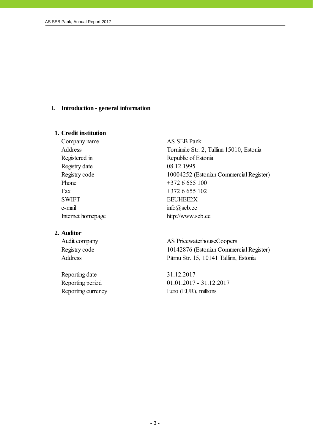# **I. Introduction - general information**

## **1. Credit institution**

Company name AS SEB Pank Registry date 08.12.1995 Phone  $+3726655100$ Fax  $+3726655102$ SWIFT EEUHEE2X e-mail info@seb.ee Internet homepage http://www.seb.ee

# **2. Auditor**

Reporting date 31.12.2017

Address Tornimäe Str. 2, Tallinn 15010, Estonia Registered in Republic of Estonia Registry code 10004252 (Estonian Commercial Register)

Audit company AS PricewaterhouseCoopers Registry code 10142876 (Estonian Commercial Register) Address Pärnu Str. 15, 10141 Tallinn, Estonia

Reporting period 01.01.2017 - 31.12.2017 Reporting currency Euro (EUR), millions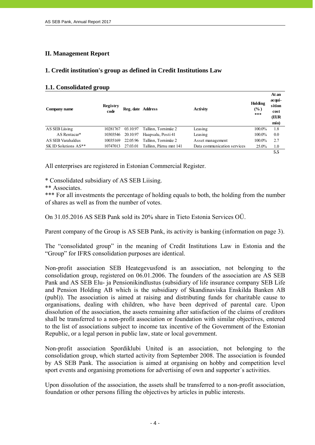# **II. Management Report**

## **1. Credit institution's group as defined in Credit Institutions Law**

## **1.1. Consolidated group**

| Company name         | <b>Registry</b><br>code | Reg. date Address |                        | <b>Activity</b>             | Holding<br>(%)<br>$***$ | At an<br>acqui-<br>sition<br>cost<br>(EUR<br>mio) |
|----------------------|-------------------------|-------------------|------------------------|-----------------------------|-------------------------|---------------------------------------------------|
| AS SEB Liising       | 10281767                | 03.10.97          | Tallinn, Tornimäe 2    | Leasing                     | 100.0%                  | 1.8                                               |
| AS Rentacar*         | 10303546                | 20.10.97          | Haapsalu, Posti 41     | Leasing                     | 100.0%                  | 0.0                                               |
| AS SEB Varahaldus    | 10035169                | 22.05.96          | Tallinn, Tornimäe 2    | Asset management            | 100.0%                  | 2.7                                               |
| SK ID Solutions AS** | 10747013                | 27.03.01          | Tallinn, Pärnu mnt 141 | Data communication services | 25.0%                   | 1.0                                               |
|                      |                         |                   |                        |                             |                         | 5.5                                               |

All enterprises are registered in Estonian Commercial Register.

\* Consolidated subsidiary of AS SEB Liising.

\*\* Associates.

\*\*\* For all investments the percentage of holding equals to both, the holding from the number of shares as well as from the number of votes.

On 31.05.2016 AS SEB Pank sold its 20% share in Tieto Estonia Services OÜ.

Parent company of the Group is AS SEB Pank, its activity is banking (information on page 3).

The "consolidated group" in the meaning of Credit Institutions Law in Estonia and the "Group" for IFRS consolidation purposes are identical.

Non-profit association SEB Heategevusfond is an association, not belonging to the consolidation group, registered on 06.01.2006. The founders of the association are AS SEB Pank and AS SEB Elu- ja Pensionikindlustus (subsidiary of life insurance company SEB Life and Pension Holding AB which is the subsidiary of Skandinaviska Enskilda Banken AB (publ)). The association is aimed at raising and distributing funds for charitable cause to organisations, dealing with children, who have been deprived of parental care. Upon dissolution of the association, the assets remaining after satisfaction of the claims of creditors shall be transferred to a non-profit association or foundation with similar objectives, entered to the list of associations subject to income tax incentive of the Government of the Estonian Republic, or a legal person in public law, state or local government.

Non-profit association Spordiklubi United is an association, not belonging to the consolidation group, which started activity from September 2008. The association is founded by AS SEB Pank. The association is aimed at organising on hobby and competition level sport events and organising promotions for advertising of own and supporter´s activities.

Upon dissolution of the association, the assets shall be transferred to a non-profit association, foundation or other persons filling the objectives by articles in public interests.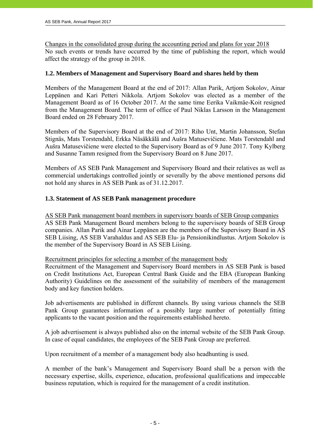Changes in the consolidated group during the accounting period and plans for year 2018 No such events or trends have occurred by the time of publishing the report, which would affect the strategy of the group in 2018.

## **1.2. Members of Management and Supervisory Board and shares held by them**

Members of the Management Board at the end of 2017: Allan Parik, Artjom Sokolov, Ainar Leppänen and Kari Petteri Nikkola. Artjom Sokolov was elected as a member of the Management Board as of 16 October 2017. At the same time Eerika Vaikmäe-Koit resigned from the Management Board. The term of office of Paul Niklas Larsson in the Management Board ended on 28 February 2017.

Members of the Supervisory Board at the end of 2017: Riho Unt, Martin Johansson, Stefan Stignäs, Mats Torstendahl, Erkka Näsäkkälä and Aušra Matusevičiene. Mats Torstendahl and Aušra Matusevičiene were elected to the Supervisory Board as of 9 June 2017. Tony Kylberg and Susanne Tamm resigned from the Supervisory Board on 8 June 2017.

Members of AS SEB Pank Management and Supervisory Board and their relatives as well as commercial undertakings controlled jointly or severally by the above mentioned persons did not hold any shares in AS SEB Pank as of 31.12.2017.

## **1.3. Statement of AS SEB Pank management procedure**

AS SEB Pank management board members in supervisory boards of SEB Group companies AS SEB Pank Management Board members belong to the supervisory boards of SEB Group companies. Allan Parik and Ainar Leppänen are the members of the Supervisory Board in AS SEB Liising, AS SEB Varahaldus and AS SEB Elu- ja Pensionikindlustus. Artjom Sokolov is the member of the Supervisory Board in AS SEB Liising.

## Recruitment principles for selecting a member of the management body

Recruitment of the Management and Supervisory Board members in AS SEB Pank is based on Credit Institutions Act, European Central Bank Guide and the EBA (European Banking Authority) Guidelines on the assessment of the suitability of members of the management body and key function holders.

Job advertisements are published in different channels. By using various channels the SEB Pank Group guarantees information of a possibly large number of potentially fitting applicants to the vacant position and the requirements established hereto.

A job advertisement is always published also on the internal website of the SEB Pank Group. In case of equal candidates, the employees of the SEB Pank Group are preferred.

Upon recruitment of a member of a management body also headhunting is used.

A member of the bank's Management and Supervisory Board shall be a person with the necessary expertise, skills, experience, education, professional qualifications and impeccable business reputation, which is required for the management of a credit institution.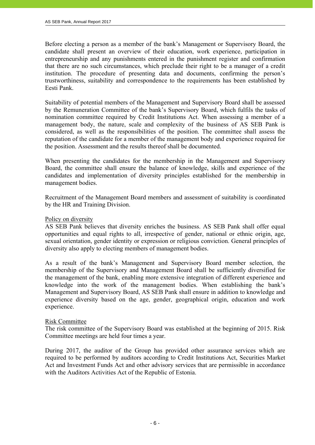Before electing a person as a member of the bank's Management or Supervisory Board, the candidate shall present an overview of their education, work experience, participation in entrepreneurship and any punishments entered in the punishment register and confirmation that there are no such circumstances, which preclude their right to be a manager of a credit institution. The procedure of presenting data and documents, confirming the person's trustworthiness, suitability and correspondence to the requirements has been established by Eesti Pank.

Suitability of potential members of the Management and Supervisory Board shall be assessed by the Remuneration Committee of the bank's Supervisory Board, which fulfils the tasks of nomination committee required by Credit Institutions Act. When assessing a member of a management body, the nature, scale and complexity of the business of AS SEB Pank is considered, as well as the responsibilities of the position. The committee shall assess the reputation of the candidate for a member of the management body and experience required for the position. Assessment and the results thereof shall be documented.

When presenting the candidates for the membership in the Management and Supervisory Board, the committee shall ensure the balance of knowledge, skills and experience of the candidates and implementation of diversity principles established for the membership in management bodies.

Recruitment of the Management Board members and assessment of suitability is coordinated by the HR and Training Division.

## Policy on diversity

AS SEB Pank believes that diversity enriches the business. AS SEB Pank shall offer equal opportunities and equal rights to all, irrespective of gender, national or ethnic origin, age, sexual orientation, gender identity or expression or religious conviction. General principles of diversity also apply to electing members of management bodies.

As a result of the bank's Management and Supervisory Board member selection, the membership of the Supervisory and Management Board shall be sufficiently diversified for the management of the bank, enabling more extensive integration of different experience and knowledge into the work of the management bodies. When establishing the bank's Management and Supervisory Board, AS SEB Pank shall ensure in addition to knowledge and experience diversity based on the age, gender, geographical origin, education and work experience.

## Risk Committee

The risk committee of the Supervisory Board was established at the beginning of 2015. Risk Committee meetings are held four times a year.

During 2017, the auditor of the Group has provided other assurance services which are required to be performed by auditors according to Credit Institutions Act, Securities Market Act and Investment Funds Act and other advisory services that are permissible in accordance with the Auditors Activities Act of the Republic of Estonia.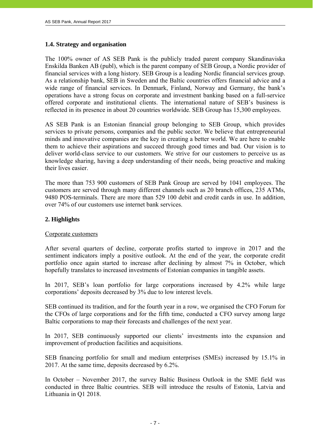## **1.4. Strategy and organisation**

The 100% owner of AS SEB Pank is the publicly traded parent company Skandinaviska Enskilda Banken AB (publ), which is the parent company of SEB Group, a Nordic provider of financial services with a long history. SEB Group is a leading Nordic financial services group. As a relationship bank, SEB in Sweden and the Baltic countries offers financial advice and a wide range of financial services. In Denmark, Finland, Norway and Germany, the bank's operations have a strong focus on corporate and investment banking based on a full-service offered corporate and institutional clients. The international nature of SEB's business is reflected in its presence in about 20 countries worldwide. SEB Group has 15,300 employees.

AS SEB Pank is an Estonian financial group belonging to SEB Group, which provides services to private persons, companies and the public sector. We believe that entrepreneurial minds and innovative companies are the key in creating a better world. We are here to enable them to achieve their aspirations and succeed through good times and bad. Our vision is to deliver world-class service to our customers. We strive for our customers to perceive us as knowledge sharing, having a deep understanding of their needs, being proactive and making their lives easier.

The more than 753 900 customers of SEB Pank Group are served by 1041 employees. The customers are served through many different channels such as 20 branch offices, 235 ATMs, 9480 POS-terminals. There are more than 529 100 debit and credit cards in use. In addition, over 74% of our customers use internet bank services.

## **2. Highlights**

## Corporate customers

After several quarters of decline, corporate profits started to improve in 2017 and the sentiment indicators imply a positive outlook. At the end of the year, the corporate credit portfolio once again started to increase after declining by almost 7% in October, which hopefully translates to increased investments of Estonian companies in tangible assets.

In 2017, SEB's loan portfolio for large corporations increased by 4.2% while large corporations' deposits decreased by 3% due to low interest levels.

SEB continued its tradition, and for the fourth year in a row, we organised the CFO Forum for the CFOs of large corporations and for the fifth time, conducted a CFO survey among large Baltic corporations to map their forecasts and challenges of the next year.

In 2017, SEB continuously supported our clients' investments into the expansion and improvement of production facilities and acquisitions.

SEB financing portfolio for small and medium enterprises (SMEs) increased by 15.1% in 2017. At the same time, deposits decreased by 6.2%.

In October – November 2017, the survey Baltic Business Outlook in the SME field was conducted in three Baltic countries. SEB will introduce the results of Estonia, Latvia and Lithuania in Q1 2018.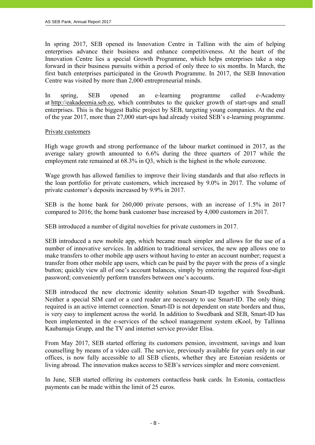In spring 2017, SEB opened its Innovation Centre in Tallinn with the aim of helping enterprises advance their business and enhance competitiveness. At the heart of the Innovation Centre lies a special Growth Programme, which helps enterprises take a step forward in their business pursuits within a period of only three to six months. In March, the first batch enterprises participated in the Growth Programme. In 2017, the SEB Innovation Centre was visited by more than 2,000 entrepreneurial minds.

In spring, SEB opened an e-learning programme called e-Academy at http://eakadeemia.seb.ee, which contributes to the quicker growth of start-ups and small enterprises. This is the biggest Baltic project by SEB, targeting young companies. At the end of the year 2017, more than 27,000 start-ups had already visited SEB's e-learning programme.

## Private customers

High wage growth and strong performance of the labour market continued in 2017, as the average salary growth amounted to 6.6% during the three quarters of 2017 while the employment rate remained at 68.3% in Q3, which is the highest in the whole eurozone.

Wage growth has allowed families to improve their living standards and that also reflects in the loan portfolio for private customers, which increased by 9.0% in 2017. The volume of private customer's deposits increased by 9.9% in 2017.

SEB is the home bank for 260,000 private persons, with an increase of 1.5% in 2017 compared to 2016; the home bank customer base increased by 4,000 customers in 2017.

SEB introduced a number of digital novelties for private customers in 2017.

SEB introduced a new mobile app, which became much simpler and allows for the use of a number of innovative services. In addition to traditional services, the new app allows one to make transfers to other mobile app users without having to enter an account number; request a transfer from other mobile app users, which can be paid by the payer with the press of a single button; quickly view all of one's account balances, simply by entering the required four-digit password; conveniently perform transfers between one's accounts.

SEB introduced the new electronic identity solution Smart-ID together with Swedbank. Neither a special SIM card or a card reader are necessary to use Smart-ID. The only thing required is an active internet connection. Smart-ID is not dependent on state borders and thus, is very easy to implement across the world. In addition to Swedbank and SEB, Smart-ID has been implemented in the e-services of the school management system eKool, by Tallinna Kaubamaja Grupp, and the TV and internet service provider Elisa.

From May 2017, SEB started offering its customers pension, investment, savings and loan counselling by means of a video call. The service, previously available for years only in our offices, is now fully accessible to all SEB clients, whether they are Estonian residents or living abroad. The innovation makes access to SEB's services simpler and more convenient.

In June, SEB started offering its customers contactless bank cards. In Estonia, contactless payments can be made within the limit of 25 euros.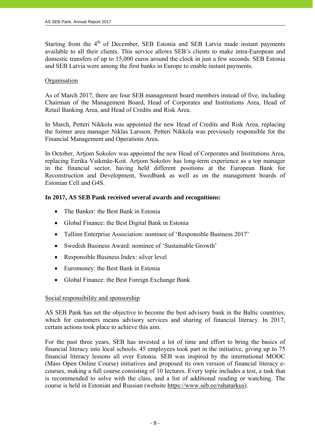Starting from the  $4<sup>th</sup>$  of December, SEB Estonia and SEB Latvia made instant payments available to all their clients. This service allows SEB's clients to make intra-European and domestic transfers of up to 15,000 euros around the clock in just a few seconds. SEB Estonia and SEB Latvia were among the first banks in Europe to enable instant payments.

## **Organisation**

j

As of March 2017, there are four SEB management board members instead of five, including Chairman of the Management Board, Head of Corporates and Institutions Area, Head of Retail Banking Area, and Head of Credits and Risk Area.

In March, Petteri Nikkola was appointed the new Head of Credits and Risk Area, replacing the former area manager Niklas Larsson. Petteri Nikkola was previously responsible for the Financial Management and Operations Area.

In October, Artjom Sokolov was appointed the new Head of Corporates and Institutions Area, replacing Eerika Vaikmäe-Koit. Artjom Sokolov has long-term experience as a top manager in the financial sector, having held different positions at the European Bank for Reconstruction and Development, Swedbank as well as on the management boards of Estonian Cell and G4S.

## **In 2017, AS SEB Pank received several awards and recognitions:**

- The Banker: the Best Bank in Estonia
- Global Finance: the Best Digital Bank in Estonia
- Tallinn Enterprise Association: nominee of 'Responsible Business 2017'
- Swedish Business Award: nominee of 'Sustainable Growth'
- Responsible Business Index: silver level
- Euromoney: the Best Bank in Estonia
- Global Finance: the Best Foreign Exchange Bank

## Social responsibility and sponsorship

AS SEB Pank has set the objective to become the best advisory bank in the Baltic countries, which for customers means advisory services and sharing of financial literacy. In 2017, certain actions took place to achieve this aim.

For the past three years, SEB has invested a lot of time and effort to bring the basics of financial literacy into local schools. 45 employees took part in the initiative, giving up to 75 financial literacy lessons all over Estonia. SEB was inspired by the international MOOC (Mass Open Online Course) initiatives and proposed its own version of financial literacy ecourses, making a full course consisting of 10 lectures. Every topic includes a test, a task that is recommended to solve with the class, and a list of additional reading or watching. The course is held in Estonian and Russian (website https://www.seb.ee/rahatarkus).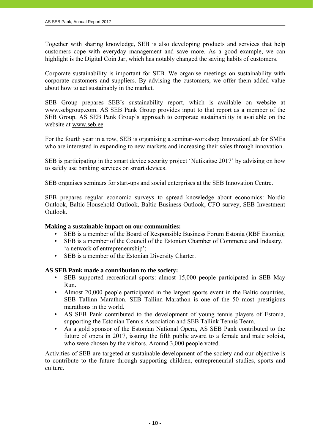Together with sharing knowledge, SEB is also developing products and services that help customers cope with everyday management and save more. As a good example, we can highlight is the Digital Coin Jar, which has notably changed the saving habits of customers.

Corporate sustainability is important for SEB. We organise meetings on sustainability with corporate customers and suppliers. By advising the customers, we offer them added value about how to act sustainably in the market.

SEB Group prepares SEB's sustainability report, which is available on website at www.sebgroup.com. AS SEB Pank Group provides input to that report as a member of the SEB Group. AS SEB Pank Group's approach to corporate sustainability is available on the website at www.seb.ee.

For the fourth year in a row, SEB is organising a seminar-workshop InnovationLab for SMEs who are interested in expanding to new markets and increasing their sales through innovation.

SEB is participating in the smart device security project 'Nutikaitse 2017' by advising on how to safely use banking services on smart devices.

SEB organises seminars for start-ups and social enterprises at the SEB Innovation Centre.

SEB prepares regular economic surveys to spread knowledge about economics: Nordic Outlook, Baltic Household Outlook, Baltic Business Outlook, CFO survey, SEB Investment Outlook.

## **Making a sustainable impact on our communities:**

- SEB is a member of the Board of Responsible Business Forum Estonia (RBF Estonia);
- SEB is a member of the Council of the Estonian Chamber of Commerce and Industry, 'a network of entrepreneurship';
- SEB is a member of the Estonian Diversity Charter.

## **AS SEB Pank made a contribution to the society:**

- SEB supported recreational sports: almost 15,000 people participated in SEB May Run.
- Almost 20,000 people participated in the largest sports event in the Baltic countries, SEB Tallinn Marathon. SEB Tallinn Marathon is one of the 50 most prestigious marathons in the world.
- AS SEB Pank contributed to the development of young tennis players of Estonia, supporting the Estonian Tennis Association and SEB Tallink Tennis Team.
- As a gold sponsor of the Estonian National Opera, AS SEB Pank contributed to the future of opera in 2017, issuing the fifth public award to a female and male soloist, who were chosen by the visitors. Around 3,000 people voted.

Activities of SEB are targeted at sustainable development of the society and our objective is to contribute to the future through supporting children, entrepreneurial studies, sports and culture.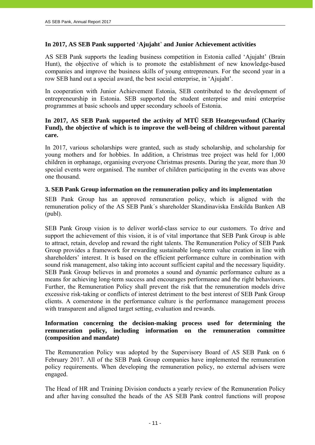## **In 2017, AS SEB Pank supported** '**Ajujaht**' **and Junior Achievement activities**

AS SEB Pank supports the leading business competition in Estonia called 'Ajujaht' (Brain Hunt), the objective of which is to promote the establishment of new knowledge-based companies and improve the business skills of young entrepreneurs. For the second year in a row SEB hand out a special award, the best social enterprise, in 'Ajujaht'.

In cooperation with Junior Achievement Estonia, SEB contributed to the development of entrepreneurship in Estonia. SEB supported the student enterprise and mini enterprise programmes at basic schools and upper secondary schools of Estonia.

## **In 2017, AS SEB Pank supported the activity of MTÜ SEB Heategevusfond (Charity Fund), the objective of which is to improve the well-being of children without parental care.**

In 2017, various scholarships were granted, such as study scholarship, and scholarship for young mothers and for hobbies. In addition, a Christmas tree project was held for 1,000 children in orphanage, organising everyone Christmas presents. During the year, more than 30 special events were organised. The number of children participating in the events was above one thousand.

## **3. SEB Pank Group information on the remuneration policy and its implementation**

SEB Pank Group has an approved remuneration policy, which is aligned with the remuneration policy of the AS SEB Pank´s shareholder Skandinaviska Enskilda Banken AB (publ).

SEB Pank Group vision is to deliver world-class service to our customers. To drive and support the achievement of this vision, it is of vital importance that SEB Pank Group is able to attract, retain, develop and reward the right talents. The Remuneration Policy of SEB Pank Group provides a framework for rewarding sustainable long-term value creation in line with shareholders' interest. It is based on the efficient performance culture in combination with sound risk management, also taking into account sufficient capital and the necessary liquidity. SEB Pank Group believes in and promotes a sound and dynamic performance culture as a means for achieving long-term success and encourages performance and the right behaviours. Further, the Remuneration Policy shall prevent the risk that the remuneration models drive excessive risk-taking or conflicts of interest detriment to the best interest of SEB Pank Group clients. A cornerstone in the performance culture is the performance management process with transparent and aligned target setting, evaluation and rewards.

## **Information concerning the decision-making process used for determining the remuneration policy, including information on the remuneration committee (composition and mandate)**

The Remuneration Policy was adopted by the Supervisory Board of AS SEB Pank on 6 February 2017. All of the SEB Pank Group companies have implemented the remuneration policy requirements. When developing the remuneration policy, no external advisers were engaged.

The Head of HR and Training Division conducts a yearly review of the Remuneration Policy and after having consulted the heads of the AS SEB Pank control functions will propose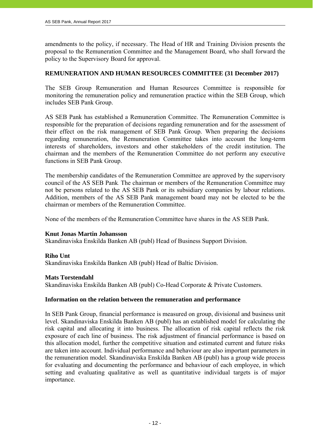amendments to the policy, if necessary. The Head of HR and Training Division presents the proposal to the Remuneration Committee and the Management Board, who shall forward the policy to the Supervisory Board for approval.

## **REMUNERATION AND HUMAN RESOURCES COMMITTEE (31 December 2017)**

The SEB Group Remuneration and Human Resources Committee is responsible for monitoring the remuneration policy and remuneration practice within the SEB Group, which includes SEB Pank Group.

AS SEB Pank has established a Remuneration Committee. The Remuneration Committee is responsible for the preparation of decisions regarding remuneration and for the assessment of their effect on the risk management of SEB Pank Group. When preparing the decisions regarding remuneration, the Remuneration Committee takes into account the long-term interests of shareholders, investors and other stakeholders of the credit institution. The chairman and the members of the Remuneration Committee do not perform any executive functions in SEB Pank Group.

The membership candidates of the Remuneration Committee are approved by the supervisory council of the AS SEB Pank. The chairman or members of the Remuneration Committee may not be persons related to the AS SEB Pank or its subsidiary companies by labour relations. Addition, members of the AS SEB Pank management board may not be elected to be the chairman or members of the Remuneration Committee.

None of the members of the Remuneration Committee have shares in the AS SEB Pank.

## **Knut Jonas Martin Johansson**

Skandinaviska Enskilda Banken AB (publ) Head of Business Support Division.

## **Riho Unt**

Skandinaviska Enskilda Banken AB (publ) Head of Baltic Division.

## **Mats Torstendahl**

Skandinaviska Enskilda Banken AB (publ) Co-Head Corporate & Private Customers.

## **Information on the relation between the remuneration and performance**

In SEB Pank Group, financial performance is measured on group, divisional and business unit level. Skandinaviska Enskilda Banken AB (publ) has an established model for calculating the risk capital and allocating it into business. The allocation of risk capital reflects the risk exposure of each line of business. The risk adjustment of financial performance is based on this allocation model, further the competitive situation and estimated current and future risks are taken into account. Individual performance and behaviour are also important parameters in the remuneration model. Skandinaviska Enskilda Banken AB (publ) has a group wide process for evaluating and documenting the performance and behaviour of each employee, in which setting and evaluating qualitative as well as quantitative individual targets is of major importance.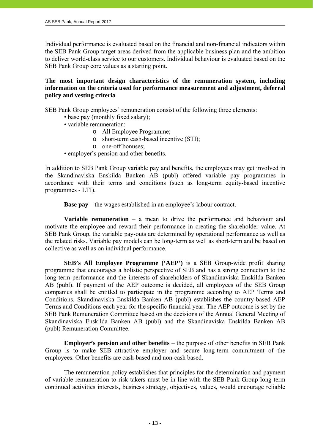Individual performance is evaluated based on the financial and non-financial indicators within the SEB Pank Group target areas derived from the applicable business plan and the ambition to deliver world-class service to our customers. Individual behaviour is evaluated based on the SEB Pank Group core values as a starting point.

## **The most important design characteristics of the remuneration system, including information on the criteria used for performance measurement and adjustment, deferral policy and vesting criteria**

SEB Pank Group employees' remuneration consist of the following three elements:

- base pay (monthly fixed salary);
- variable remuneration:
	- o All Employee Programme;
	- o short-term cash-based incentive (STI);
	- o one-off bonuses;
- employer's pension and other benefits.

In addition to SEB Pank Group variable pay and benefits, the employees may get involved in the Skandinaviska Enskilda Banken AB (publ) offered variable pay programmes in accordance with their terms and conditions (such as long-term equity-based incentive programmes - LTI).

**Base pay** – the wages established in an employee's labour contract.

**Variable remuneration** – a mean to drive the performance and behaviour and motivate the employee and reward their performance in creating the shareholder value. At SEB Pank Group, the variable pay-outs are determined by operational performance as well as the related risks. Variable pay models can be long-term as well as short-term and be based on collective as well as on individual performance.

**SEB's All Employee Programme ('AEP')** is a SEB Group-wide profit sharing programme that encourages a holistic perspective of SEB and has a strong connection to the long-term performance and the interests of shareholders of Skandinaviska Enskilda Banken AB (publ). If payment of the AEP outcome is decided, all employees of the SEB Group companies shall be entitled to participate in the programme according to AEP Terms and Conditions. Skandinaviska Enskilda Banken AB (publ) establishes the country-based AEP Terms and Conditions each year for the specific financial year. The AEP outcome is set by the SEB Pank Remuneration Committee based on the decisions of the Annual General Meeting of Skandinaviska Enskilda Banken AB (publ) and the Skandinaviska Enskilda Banken AB (publ) Remuneration Committee.

**Employer's pension and other benefits** – the purpose of other benefits in SEB Pank Group is to make SEB attractive employer and secure long-term commitment of the employees. Other benefits are cash-based and non-cash based.

The remuneration policy establishes that principles for the determination and payment of variable remuneration to risk-takers must be in line with the SEB Pank Group long-term continued activities interests, business strategy, objectives, values, would encourage reliable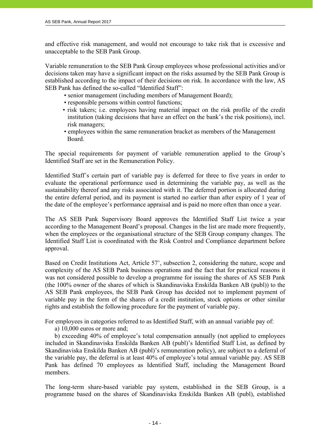and effective risk management, and would not encourage to take risk that is excessive and unacceptable to the SEB Pank Group.

Variable remuneration to the SEB Pank Group employees whose professional activities and/or decisions taken may have a significant impact on the risks assumed by the SEB Pank Group is established according to the impact of their decisions on risk. In accordance with the law, AS SEB Pank has defined the so-called "Identified Staff":

- senior management (including members of Management Board);
- responsible persons within control functions;
- risk takers; i.e. employees having material impact on the risk profile of the credit institution (taking decisions that have an effect on the bank's the risk positions), incl. risk managers;
- employees within the same remuneration bracket as members of the Management Board.

The special requirements for payment of variable remuneration applied to the Group's Identified Staff are set in the Remuneration Policy.

Identified Staff´s certain part of variable pay is deferred for three to five years in order to evaluate the operational performance used in determining the variable pay, as well as the sustainability thereof and any risks associated with it. The deferred portion is allocated during the entire deferral period, and its payment is started no earlier than after expiry of 1 year of the date of the employee's performance appraisal and is paid no more often than once a year.

The AS SEB Pank Supervisory Board approves the Identified Staff List twice a year according to the Management Board's proposal. Changes in the list are made more frequently, when the employees or the organisational structure of the SEB Group company changes. The Identified Staff List is coordinated with the Risk Control and Compliance department before approval.

Based on Credit Institutions Act, Article 57', subsection 2, considering the nature, scope and complexity of the AS SEB Pank business operations and the fact that for practical reasons it was not considered possible to develop a programme for issuing the shares of AS SEB Pank (the 100% owner of the shares of which is Skandinaviska Enskilda Banken AB (publ)) to the AS SEB Pank employees, the SEB Pank Group has decided not to implement payment of variable pay in the form of the shares of a credit institution, stock options or other similar rights and establish the following procedure for the payment of variable pay.

For employees in categories referred to as Identified Staff, with an annual variable pay of:

a) 10,000 euros or more and;

b) exceeding 40% of employee's total compensation annually (not applied to employees included in Skandinaviska Enskilda Banken AB (publ)'s Identified Staff List, as defined by Skandinaviska Enskilda Banken AB (publ)'s remuneration policy), are subject to a deferral of the variable pay, the deferral is at least 40% of employee's total annual variable pay. AS SEB Pank has defined 70 employees as Identified Staff, including the Management Board members.

The long-term share-based variable pay system, established in the SEB Group, is a programme based on the shares of Skandinaviska Enskilda Banken AB (publ), established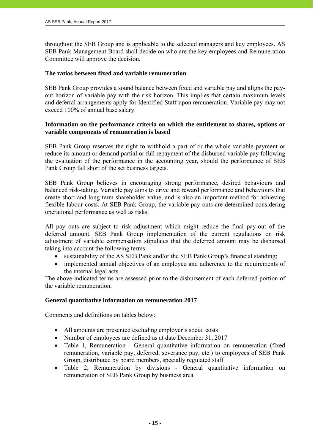throughout the SEB Group and is applicable to the selected managers and key employees. AS SEB Pank Management Board shall decide on who are the key employees and Remuneration Committee will approve the decision.

## **The ratios between fixed and variable remuneration**

SEB Pank Group provides a sound balance between fixed and variable pay and aligns the payout horizon of variable pay with the risk horizon. This implies that certain maximum levels and deferral arrangements apply for Identified Staff upon remuneration. Variable pay may not exceed 100% of annual base salary.

## **Information on the performance criteria on which the entitlement to shares, options or variable components of remuneration is based**

SEB Pank Group reserves the right to withhold a part of or the whole variable payment or reduce its amount or demand partial or full repayment of the disbursed variable pay following the evaluation of the performance in the accounting year, should the performance of SEB Pank Group fall short of the set business targets.

SEB Pank Group believes in encouraging strong performance, desired behaviours and balanced risk-taking. Variable pay aims to drive and reward performance and behaviours that create short and long term shareholder value, and is also an important method for achieving flexible labour costs. At SEB Pank Group, the variable pay-outs are determined considering operational performance as well as risks.

All pay outs are subject to risk adjustment which might reduce the final pay-out of the deferred amount. SEB Pank Group implementation of the current regulations on risk adjustment of variable compensation stipulates that the deferred amount may be disbursed taking into account the following terms:

- sustainability of the AS SEB Pank and/or the SEB Pank Group's financial standing;
- implemented annual objectives of an employee and adherence to the requirements of the internal legal acts.

The above-indicated terms are assessed prior to the disbursement of each deferred portion of the variable remuneration.

## **General quantitative information on remuneration 2017**

Comments and definitions on tables below:

- All amounts are presented excluding employer's social costs
- Number of employees are defined as at date December 31, 2017
- Table 1, Remuneration General quantitative information on remuneration (fixed remuneration, variable pay, deferred, severance pay, etc.) to employees of SEB Pank Group, distributed by board members, specially regulated staff
- Table 2, Remuneration by divisions General quantitative information on remuneration of SEB Pank Group by business area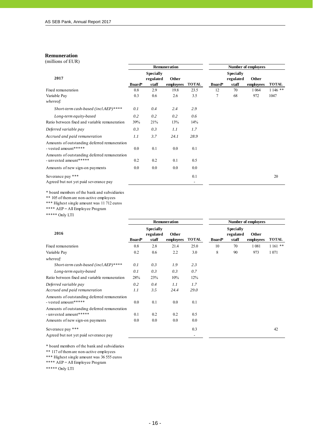## **Remuneration**

j

(millions of EUR)

|                                                                        | <b>Remuneration</b> |                                        |                    |              | Number of employees |                                        |                    |              |
|------------------------------------------------------------------------|---------------------|----------------------------------------|--------------------|--------------|---------------------|----------------------------------------|--------------------|--------------|
| 2017                                                                   | Board*              | <b>Specially</b><br>regulated<br>staff | Other<br>employees | <b>TOTAL</b> | Board*              | <b>Specially</b><br>regulated<br>staff | Other<br>employees | <b>TOTAL</b> |
| Fixed remuneration                                                     | 0.8                 | 2.9                                    | 19.8               | 23.5         | 12                  | 70                                     | 1 0 6 4            | $1146$ **    |
| Variable Pay<br>whereof:                                               | 0.3                 | 0.6                                    | 2.6                | 3.5          | 7                   | 68                                     | 972                | 1047         |
| Short-term cash-based (incl.AEP)****                                   | 0.1                 | 0.4                                    | 2.4                | 2.9          |                     |                                        |                    |              |
| Long-term equity-based                                                 | 0.2                 | 0.2                                    | 0.2                | 0.6          |                     |                                        |                    |              |
| Ratio between fixed and variable remuneration                          | 39%                 | 21%                                    | 13%                | 14%          |                     |                                        |                    |              |
| Deferred variable pay                                                  | 0.3                 | 0.3                                    | 1.1                | 1.7          |                     |                                        |                    |              |
| Accrued and paid remuneration                                          | 1.1                 | 3.7                                    | 24.1               | 28.9         |                     |                                        |                    |              |
| Amounts of outstanding deferred remuneration<br>- vested amount*****   | $0.0\,$             | 0.1                                    | 0.0                | 0.1          |                     |                                        |                    |              |
| Amounts of outstanding deferred remuneration<br>- unvested amount***** | 0.2                 | 0.2                                    | 0.1                | 0.5          |                     |                                        |                    |              |
| Amounts of new sign-on payments                                        | 0.0                 | 0.0                                    | 0.0                | 0.0          |                     |                                        |                    |              |
| Severance pay ***                                                      |                     |                                        |                    | 0.1          |                     |                                        |                    | 20           |
| Agreed but not yet paid severance pay                                  |                     |                                        |                    |              |                     |                                        |                    |              |

\* board members of the bank and subsidiaries

\*\* 105 of them are non-active employees

\*\*\* Highest single amount was 11 712 euros

\*\*\*\* AEP = All Employee Program

\*\*\*\*\* Only LTI

|                                                                        | <b>Remuneration</b> |                                        |                    |                | Number of employees |                                        |                    |              |
|------------------------------------------------------------------------|---------------------|----------------------------------------|--------------------|----------------|---------------------|----------------------------------------|--------------------|--------------|
| 2016                                                                   | Board*              | <b>Specially</b><br>regulated<br>staff | Other<br>employees | <b>TOTAL</b>   | Board*              | <b>Specially</b><br>regulated<br>staff | Other<br>employees | <b>TOTAL</b> |
| Fixed remuneration                                                     | 0.8                 | 2.8                                    | 21.4               | 25.0           | 10                  | 70                                     | 1081               | $1161$ **    |
| Variable Pay                                                           | 0.2                 | 0.6                                    | 2.2                | 3.0            | 8                   | 90                                     | 973                | 1 0 7 1      |
| whereof:                                                               |                     |                                        |                    |                |                     |                                        |                    |              |
| Short-term cash-based (incl.AEP)****                                   | 0.1                 | 0.3                                    | 1.9                | 2.3            |                     |                                        |                    |              |
| Long-term equity-based                                                 | 0.1                 | 0.3                                    | 0.3                | 0.7            |                     |                                        |                    |              |
| Ratio between fixed and variable remuneration                          | 28%                 | 23%                                    | 10%                | 12%            |                     |                                        |                    |              |
| Deferred variable pay                                                  | 0.2                 | 0.4                                    | 1.1                | 1.7            |                     |                                        |                    |              |
| Accrued and paid remuneration                                          | 1.1                 | 3.5                                    | 24.4               | 29.0           |                     |                                        |                    |              |
| Amounts of outstanding deferred remuneration<br>- vested amount*****   | 0.0                 | 0.1                                    | 0.0                | 0.1            |                     |                                        |                    |              |
| Amounts of outstanding deferred remuneration<br>- unvested amount***** | 0.1                 | 0.2                                    | 0.2                | 0.5            |                     |                                        |                    |              |
| Amounts of new sign-on payments                                        | 0.0                 | 0.0                                    | 0.0                | 0.0            |                     |                                        |                    |              |
| Severance pay ***                                                      |                     |                                        |                    | 0.3            |                     |                                        |                    | 42           |
| Agreed but not yet paid severance pay                                  |                     |                                        |                    | $\blacksquare$ |                     |                                        |                    |              |

\* board members of the bank and subsidiaries

\*\* 117 of them are non-active employees

\*\*\* Highest single amount was 36 555 euros

\*\*\*\* AEP = All Employee Program

\*\*\*\*\* Only LTI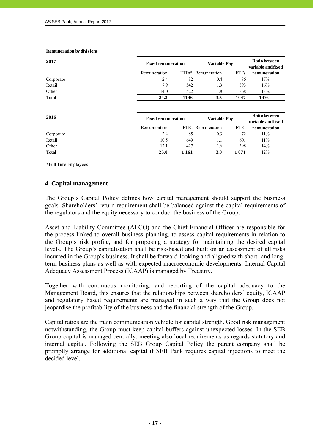| 2017         | <b>Fixed remuneration</b> |         | <b>Variable Pay</b>             | <b>Ratio between</b><br>variable and fixed |                                            |  |
|--------------|---------------------------|---------|---------------------------------|--------------------------------------------|--------------------------------------------|--|
|              | Remuneration              |         | FTE <sub>s</sub> * Remuneration | <b>FTEs</b>                                | remuneration                               |  |
| Corporate    | 2.4                       | 82      | 0.4                             | 86                                         | 17%                                        |  |
| Retail       | 7.9                       | 542     | 1.3                             | 593                                        | 16%                                        |  |
| Other        | 14.0                      | 522     | 1.8                             | 368                                        | 13%                                        |  |
| <b>Total</b> | 24.3                      | 1146    | 3.5                             | 1047                                       | 14%                                        |  |
| 2016         | <b>Fixed remuneration</b> |         | <b>Variable Pay</b>             |                                            | <b>Ratio between</b><br>variable and fixed |  |
|              | Remuneration              |         | FTEs Remuneration               | <b>FTEs</b>                                | remuneration                               |  |
| Corporate    | 2.4                       | 85      | 0.3                             | 72                                         | 11%                                        |  |
| Retail       | 10.5                      | 649     | 1.1                             | 601                                        | 11%                                        |  |
| Other        | 12.1                      | 427     | 1.6                             | 398                                        | 14%                                        |  |
| <b>Total</b> | 25.0                      | 1 1 6 1 | 3.0                             | 1071                                       | 12%                                        |  |

#### **Remuneration by divisions**

j

\*Full Time Employees

## **4. Capital management**

The Group's Capital Policy defines how capital management should support the business goals. Shareholders' return requirement shall be balanced against the capital requirements of the regulators and the equity necessary to conduct the business of the Group.

Asset and Liability Committee (ALCO) and the Chief Financial Officer are responsible for the process linked to overall business planning, to assess capital requirements in relation to the Group's risk profile, and for proposing a strategy for maintaining the desired capital levels. The Group's capitalisation shall be risk-based and built on an assessment of all risks incurred in the Group's business. It shall be forward-looking and aligned with short- and longterm business plans as well as with expected macroeconomic developments. Internal Capital Adequacy Assessment Process (ICAAP) is managed by Treasury.

Together with continuous monitoring, and reporting of the capital adequacy to the Management Board, this ensures that the relationships between shareholders' equity, ICAAP and regulatory based requirements are managed in such a way that the Group does not jeopardise the profitability of the business and the financial strength of the Group.

Capital ratios are the main communication vehicle for capital strength. Good risk management notwithstanding, the Group must keep capital buffers against unexpected losses. In the SEB Group capital is managed centrally, meeting also local requirements as regards statutory and internal capital. Following the SEB Group Capital Policy the parent company shall be promptly arrange for additional capital if SEB Pank requires capital injections to meet the decided level.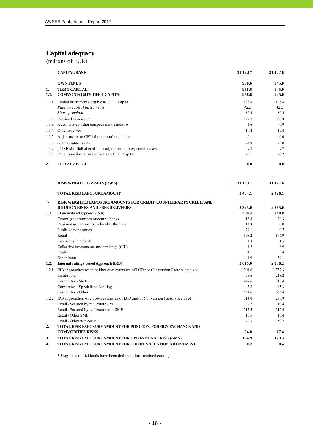# **Capital adequacy**

(millions of EUR)

j

|                  | <b>CAPITAL BASE</b>                                                    | 31.12.17 | 31.12.16 |
|------------------|------------------------------------------------------------------------|----------|----------|
|                  | <b>OWN FUNDS</b>                                                       | 958.6    | 945.0    |
| 1.               | <b>TIER 1 CAPITAL</b>                                                  | 958.6    | 945.0    |
| 1.1.             | <b>COMMON EQUITY TIER 1 CAPITAL</b>                                    | 958.6    | 945.0    |
| 1.1.1.           | Capital instruments eligible as CET1 Capital                           | 128.8    | 128.8    |
|                  | Paid up capital instruments                                            | 42.5     | 42.5     |
|                  | Share premium                                                          | 86.3     | 86.3     |
|                  | 1.1.2. Retained earnings *                                             | 822.7    | 806.8    |
|                  | 1.1.3. Accumulated other comprehensive income                          | 1.6      | 0.9      |
|                  | 1.1.4. Other reserves                                                  | 19.4     | 19.4     |
|                  | 1.1.5. Adjustments to CET1 due to prudential filters                   | $-0.1$   | 0.0      |
|                  | 1.1.6. (-) Intangible assets                                           | $-3.9$   | $-3.0$   |
|                  | 1.1.7. (-) IRB shortfall of credit risk adjustments to expected losses | $-9.8$   | $-7.7$   |
|                  | 1.1.8. Other transitional adjustments to CET1 Capital                  | $-0.1$   | $-0.2$   |
| $\overline{2}$ . | <b>TIER 2 CAPITAL</b>                                                  | 0.0      | 0.0      |

|        | <b>RISK WEIGHTED ASSETS (RWA)</b>                                                  | 31.12.17   | 31.12.16    |
|--------|------------------------------------------------------------------------------------|------------|-------------|
|        | TOTAL RISK EXPOSURE AMOUNT                                                         | 2484.1     | 2426.1      |
| 1.     | RISK WEIGHTED EXPOSURE AMOUNTS FOR CREDIT, COUNTERPARTY CREDIT AND                 |            |             |
|        | <b>DILUTION RISKS AND FREE DELIVERIES</b>                                          | 2 3 2 5 .0 | 2 2 8 5 .0  |
| 1.1.   | Standardised approach (SA)                                                         | 309.4      | 248.8       |
|        | Central governments or central banks                                               | 16.8       | 20.3        |
|        | Regional governments or local authorities                                          | 13.8       | 0.0         |
|        | Public sector entities                                                             | 29.1       | 0.7         |
|        | Retail                                                                             | 198.2      | 176.9       |
|        | Exposures in default                                                               | 1.3        | 1.5         |
|        | Collective investments undertakings (CIU)                                          | 4.2        | 6.9         |
|        | Equity                                                                             | 4.1        | 3.4         |
|        | Other items                                                                        | 41.9       | 39.1        |
| 1.2.   | Internal ratings based Approach (IRB)                                              | 2015.6     | 2 0 3 6 .2  |
| 1.2.1. | IRB approaches when neither own estimates of LGD nor Conversion Factors are used   | 1701.6     | 1 7 3 7 . 3 |
|        | Institutions                                                                       | 55.6       | 218.2       |
|        | Corporates - SME                                                                   | 947.6      | 818.4       |
|        | Corporates - Specialised Lending                                                   | 43.8       | 45.3        |
|        | Corporates - Other                                                                 | 654.6      | 655.4       |
|        | 1.2.2. IRB approaches when own estimates of LGD and/or Conversion Factors are used | 314.0      | 298.9       |
|        | Retail - Secured by real estate SME                                                | 9.7        | 10.4        |
|        | Retail - Secured by real estate non-SME                                            | 217.5      | 212.4       |
|        | Retail - Other SME                                                                 | 16.5       | 16.4        |
|        | Retail - Other non-SME                                                             | 70.3       | 59.7        |
| 2.     | TOTAL RISK EXPOSURE AMOUNT FOR POSITION, FOREIGN EXCHANGE AND                      |            |             |
|        | <b>COMMODITIES RISKS</b>                                                           | 24.0       | 17.4        |
| 3.     | TOTAL RISK EXPOSURE AMOUNT FOR OPERATIONAL RISK (AMA)                              | 134.9      | 123.3       |
| 4.     | TOTAL RISK EXPOSURE AMOUNT FOR CREDIT VALUATION ADJUSTMENT                         | 0.2        | 0.4         |

\* Prognosis of dividends have been deducted from retained earnings.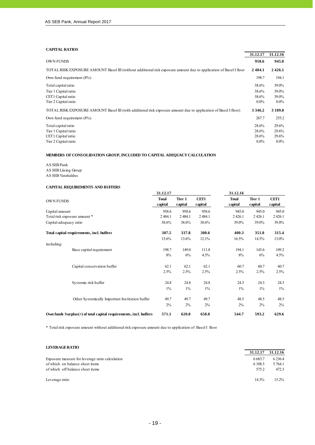#### **CAPITAL RATIOS**

j

|                                                                                                                   | 31.12.17   | 31.12.16 |
|-------------------------------------------------------------------------------------------------------------------|------------|----------|
| <b>OWN FUNDS</b>                                                                                                  | 958.6      | 945.0    |
| TOTAL RISK EXPOSURE AMOUNT Basel III (without additional risk exposure amount due to application of Basel I floor | 2484.1     | 2426.1   |
| Own fund requirement (8%)                                                                                         | 198.7      | 194.1    |
| Total capital ratio                                                                                               | 38.6%      | 39.0%    |
| Tier 1 Capital ratio                                                                                              | 38.6%      | 39.0%    |
| CET1 Capital ratio                                                                                                | 38.6%      | 39.0%    |
| Tier 2 Capital ratio                                                                                              | $0.0\%$    | $0.0\%$  |
| TOTAL RISK EXPOSURE AMOUNT Basel III (with additional risk exposure amount due to application of Basel I floor)   | 3 3 4 6 .2 | 3 189.8  |
| Own fund requirement (8%)                                                                                         | 267.7      | 255.2    |
| Total capital ratio                                                                                               | 28.6%      | 29.6%    |
| Tier 1 Capital ratio                                                                                              | 28.6%      | 29.6%    |
| CET1 Capital ratio                                                                                                | 28.6%      | 29.6%    |
| Tier 2 Capital ratio                                                                                              | $0.0\%$    | $0.0\%$  |

### **MEMBERS OF CONSOLIDATION GROUP, INCLUDED TO CAPITAL ADEQUACY CALCULATION**

AS SEB Pank AS SEB Liising Group AS SEB Varahaldus

#### **CAPITAL REQUIREMENTS AND BUFFERS**

|                        |                                                                     | 31.12.17                |                   |                 | 31.12.16                |                   |                 |
|------------------------|---------------------------------------------------------------------|-------------------------|-------------------|-----------------|-------------------------|-------------------|-----------------|
| <b>OWN FUNDS</b>       |                                                                     | <b>Total</b><br>capital | Tier 1<br>capital | CET1<br>capital | <b>Total</b><br>capital | Tier 1<br>capital | CET1<br>capital |
| Capital amount         |                                                                     | 958.6                   | 958.6             | 958.6           | 945.0                   | 945.0             | 945.0           |
|                        | Total risk exposure amount *                                        | 2 4 8 4 1               | 2484.1            | 2 4 8 4 1       | 2 4 2 6 1               | 2 4 2 6.1         | 2 4 2 6.1       |
| Capital adequacy ratio |                                                                     | 38.6%                   | 38.6%             | 38.6%           | 39.0%                   | 39.0%             | 39.0%           |
|                        | Total capital requirements, incl. buffers                           | 387.5                   | 337.8             | 300.6           | 400.3                   | 351.8             | 315.4           |
|                        |                                                                     | 15.6%                   | 13.6%             | 12.1%           | 16.5%                   | 14.5%             | 13.0%           |
| including:             |                                                                     |                         |                   |                 |                         |                   |                 |
|                        | Base capital requirement                                            | 198.7                   | 149.0             | 111.8           | 194.1                   | 145.6             | 109.2           |
|                        |                                                                     | 8%                      | 6%                | 4.5%            | 8%                      | 6%                | 4.5%            |
|                        | Capital conservation buffer                                         | 62.1                    | 62.1              | 62.1            | 60.7                    | 60.7              | 60.7            |
|                        |                                                                     | 2.5%                    | 2.5%              | 2.5%            | 2.5%                    | 2.5%              | 2.5%            |
|                        | Systemic risk buffer                                                | 24.8                    | 24.8              | 24.8            | 24.3                    | 24.3              | 24.3            |
|                        |                                                                     | $1\%$                   | $1\%$             | $1\%$           | $1\%$                   | $1\%$             | $1\%$           |
|                        | Other Systemically Important Institution buffer                     | 49.7                    | 49.7              | 49.7            | 48.5                    | 48.5              | 48.5            |
|                        |                                                                     | 2%                      | $2\%$             | 2%              | 2%                      | $2\%$             | 2%              |
|                        | Own funds $Surplus(+)$ of total capital requirements, incl. buffers | 571.1                   | 620.8             | 658.0           | 544.7                   | 593.2             | 629.6           |

\* Total risk exposure amount without additional risk exposure amount due to application of Basel I floor

#### **LEVERAGE RATIO**

| LEV ENAUE NA HV                                 |           |           |
|-------------------------------------------------|-----------|-----------|
|                                                 | 31.12.17  | 31.12.16  |
| Exposure measure for leverage ratio calculation | 6 6 8 3.7 | 6 2 3 6 4 |
| of which on balance sheet items                 | 6 108.5   | 5 764.1   |
| of which off balance sheet items                | 575.2     | 472.3     |
| Leverage ratio                                  | 14.3%     | $15.2\%$  |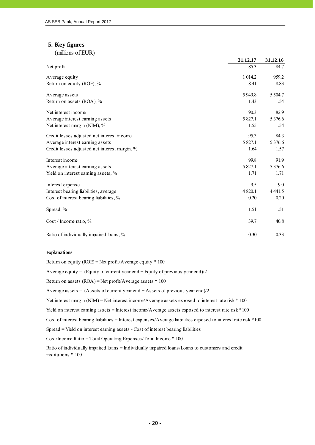## **5. Key figures** (millions of EUR)

j

|                                               | 31.12.17  | 31.12.16    |
|-----------------------------------------------|-----------|-------------|
| Net profit                                    | 85.3      | 84.7        |
| Average equity                                | 1 0 1 4.2 | 959.2       |
| Return on equity (ROE), %                     | 8.41      | 8.83        |
| Average assets                                | 5 9 4 9.8 | 5 5 0 4.7   |
| Return on assets (ROA), %                     | 1.43      | 1.54        |
| Net interest income                           | 90.3      | 82.9        |
| Average interest earning assets               | 5 827.1   | 5 3 7 6.6   |
| Net interest margin (NIM), %                  | 1.55      | 1.54        |
| Credit losses adjusted net interest income    | 95.3      | 84.3        |
| Average interest earning assets               | 5 827.1   | 5 3 7 6 . 6 |
| Credit losses adjusted net interest margin, % | 1.64      | 1.57        |
| Interest income                               | 99.8      | 91.9        |
| Average interest earning assets               | 5 827.1   | 5 3 7 6 . 6 |
| Yield on interest earning assets, %           | 1.71      | 1.71        |
| Interest expense                              | 9.5       | 9.0         |
| Interest bearing liabilities, average         | 4 8 20.1  | 4 4 4 1 .5  |
| Cost of interest bearing liabilities, %       | 0.20      | 0.20        |
| Spread, %                                     | 1.51      | 1.51        |
| Cost / Income ratio, %                        | 39.7      | 40.8        |
| Ratio of individually impaired loans, %       | 0.30      | 0.33        |

#### **Explanations**

Return on equity ( $ROE$ ) = Net profit/Average equity  $*100$ Average equity = (Equity of current year end + Equity of previous year end)/2 Return on assets  $(ROA)$  = Net profit/Average assets  $*100$ Average assets = (Assets of current year end + Assets of previous year end)/2 Net interest margin (NIM) = Net interest income/Average assets exposed to interest rate risk \* 100 Yield on interest earning assets = Interest income/Average assets exposed to interest rate risk \*100 Cost of interest bearing liabilities = Interest expenses/Average liabilities exposed to interest rate risk \*100 Spread = Yield on interest earning assets - Cost of interest bearing liabilities Cost/Income Ratio = Total Operating Expenses/Total Income \* 100 Ratio of individually impaired loans = Individually impaired loans/Loans to customers and credit institutions \* 100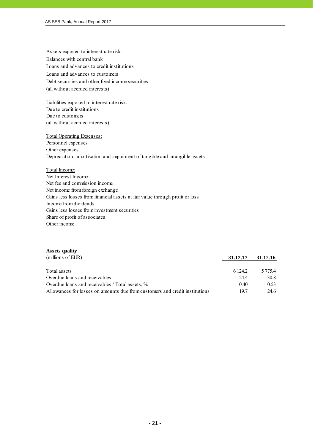Assets exposed to interest rate risk: Balances with central bank Loans and advances to credit institutions Loans and advances to customers Debt securities and other fixed income securities (all without accrued interests)

Liabilities exposed to interest rate risk: Due to credit institutions Due to customers (all without accrued interests)

Total Operating Expenses:

Personnel expenses Other expenses Depreciation, amortisation and impairment of tangible and intangible assets

Total Income:

Net Interest Income Net fee and commission income Net income from foreign exchange Gains less losses from financial assets at fair value through profit or loss Income from dividends Gains less losses from investment securities Share of profit of associates Other income

|  | <b>Assets quality</b> |
|--|-----------------------|
|  |                       |

| (millions of EUR)                                                           | 31.12.17  | 31.12.16 |
|-----------------------------------------------------------------------------|-----------|----------|
|                                                                             |           |          |
| Total assets                                                                | 6 1 2 4 2 | 5 775 4  |
| Overdue loans and receivables                                               | 244       | 30.8     |
| Overdue loans and receivables / Total assets, %                             | 0.40      | 0.53     |
| Allowances for losses on amounts due from customers and credit institutions | 197       | 24.6     |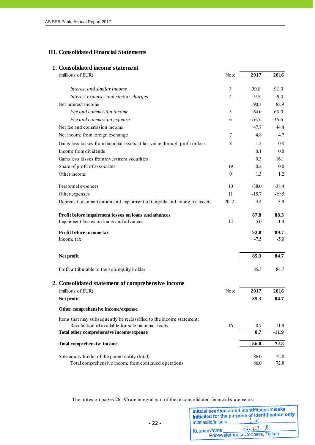## **III. Consolidated Financial Statements**

## **1. Consolidated income statement**

| (millions of EUR)                                                                              | Note   | 2017       | 2016               |
|------------------------------------------------------------------------------------------------|--------|------------|--------------------|
| Interest and similar income                                                                    | 3      | 99.8       | 91.9               |
| Interest expenses and similar charges                                                          | 4      | $-9.5$     | $-9.0$             |
| Net Interest Income                                                                            |        | 90.3       | 82.9               |
| Fee and commission income                                                                      | 5      | 64.0       | 60.0               |
| Fee and commission expense                                                                     | 6      | $-16.3$    | $-15.6$            |
| Net fee and commission income                                                                  |        | 47.7       | 44.4               |
| Net income from foreign exchange                                                               | 7      | 4.8        | 4.7                |
| Gains less losses from financial assets at fair value through profit or loss                   | 8      | 1.2        | 0.8                |
| Income from dividends                                                                          |        | 0.1        | 0.0                |
| Gains less losses from investment securities                                                   |        | 0.3        | 16.1               |
| Share of profit of associates                                                                  | 19     | 0.2        | 0.0                |
| Other income                                                                                   | 9      | 1.3        | 1.2                |
| Personnel expenses                                                                             | 10     | $-38.0$    | $-38.4$            |
| Other expenses                                                                                 | 11     | $-15.7$    | $-19.5$            |
| Depreciation, amortisation and impairment of tangible and intangible assets                    | 20, 21 | $-4.4$     | $-3.9$             |
| Profit before impairment losses on loans and advances                                          |        | 87.8       | 88.3               |
| Impairment losses on loans and advances                                                        | 12     | 5.0        | 1.4                |
| Profit before income tax                                                                       |        | 92.8       | 89.7               |
| Income tax                                                                                     |        | $-7.5$     | $-5.0$             |
| Net profit                                                                                     |        | 85.3       | 84.7               |
| Profit attributable to the sole equity holder                                                  |        | 85.3       | 84.7               |
| 2. Consolidated statement of comprehensive income                                              |        |            |                    |
| (millions of EUR)                                                                              | Note   | 2017       | 2016               |
| Net profit                                                                                     |        | 85.3       | 84.7               |
| Other comprehensive income/expense                                                             |        |            |                    |
| Items that may subsequently be reclassified to the income statement:                           |        |            |                    |
| Revaluation of available-for-sale financial assets<br>Total other comprehensive income/expense | 16     | 0.7<br>0.7 | $-11.9$<br>$-11.9$ |
|                                                                                                |        |            |                    |
| Total comprehensive income                                                                     |        | 86.0       | 72.8               |
| Sole equity holder of the parent entity (total)                                                |        | 86.0       | 72.8               |
| Total comprehensive income from continued operations                                           |        | 86.0       | 72.8               |

| Initsiaalid/initials | Initsialiseeritud ainult identifitseerimiseks<br>Initialled for the purpose of identification only |
|----------------------|----------------------------------------------------------------------------------------------------|
| Kuupäev/date         | 12.03.18<br>PricewaterhouseCoopers, Tallinn                                                        |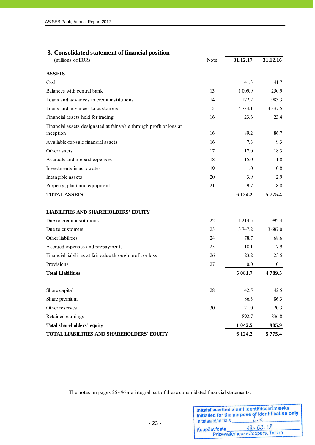## **3. Consolidated statement of financial position**

| (millions of EUR)                                                                | Note | 31.12.17   | 31.12.16   |
|----------------------------------------------------------------------------------|------|------------|------------|
| <b>ASSETS</b>                                                                    |      |            |            |
| Cash                                                                             |      | 41.3       | 41.7       |
| Balances with central bank                                                       | 13   | 1 009.9    | 250.9      |
| Loans and advances to credit institutions                                        | 14   | 172.2      | 983.3      |
| Loans and advances to customers                                                  | 15   | 4734.1     | 4337.5     |
| Financial assets held for trading                                                | 16   | 23.6       | 23.4       |
| Financial assets designated at fair value through profit or loss at<br>inception | 16   | 89.2       | 86.7       |
| Available-for-sale financial assets                                              | 16   | 7.3        | 9.3        |
| Other assets                                                                     | 17   | 17.0       | 18.3       |
| Accruals and prepaid expenses                                                    | 18   | 15.0       | 11.8       |
| Investments in associates                                                        | 19   | 1.0        | 0.8        |
| Intangible assets                                                                | 20   | 3.9        | 2.9        |
| Property, plant and equipment                                                    | 21   | 9.7        | 8.8        |
| <b>TOTAL ASSETS</b>                                                              |      | 6 1 2 4 .2 | 5 7 7 5 .4 |
|                                                                                  |      |            |            |
| <b>LIABILITIES AND SHAREHOLDERS' EQUITY</b>                                      |      |            |            |
| Due to credit institutions                                                       | 22   | 1 2 1 4 .5 | 992.4      |
| Due to customers                                                                 | 23   | 3 747.2    | 3687.0     |
| Other liabilities                                                                | 24   | 78.7       | 68.6       |
| Accrued expenses and prepayments                                                 | 25   | 18.1       | 17.9       |
| Financial liabilities at fair value through profit or loss                       | 26   | 23.2       | 23.5       |
| Provisions                                                                       | 27   | 0.0        | 0.1        |
| <b>Total Liabilities</b>                                                         |      | 5 081.7    | 4789.5     |
| Share capital                                                                    | 28   | 42.5       | 42.5       |
| Share premium                                                                    |      | 86.3       | 86.3       |
| Other reserves                                                                   | 30   | 21.0       | 20.3       |
| Retained earnings                                                                |      | 892.7      | 836.8      |
| Total shareholders' equity                                                       |      | 1 042.5    | 985.9      |
| TOTAL LIABILITIES AND SHAREHOLDERS' EQUITY                                       |      | 6 1 2 4 .2 | 5 7 7 5 .4 |

| Initsiaalid/initials | Initsialiseeritud ainult identifitseerimiseks<br>Initialled for the purpose of identification only |
|----------------------|----------------------------------------------------------------------------------------------------|
| Kuupäev/date         | 12.03.18<br>PricewaterhouseCoopers, Tallinn                                                        |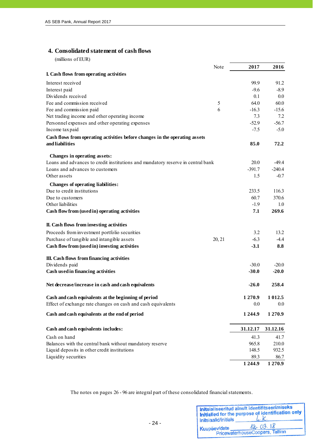## **4. Consolidated statement of cash flows**

(millions of EUR)

|                                                                                 | Note   | 2017      | 2016       |
|---------------------------------------------------------------------------------|--------|-----------|------------|
| I. Cash flows from operating activities                                         |        |           |            |
| Interest received                                                               |        | 99.9      | 91.2       |
| Interest paid                                                                   |        | $-9.6$    | $-8.9$     |
| Dividends received                                                              |        | 0.1       | $0.0\,$    |
| Fee and commission received                                                     | 5      | 64.0      | 60.0       |
| Fee and commission paid                                                         | 6      | $-16.3$   | $-15.6$    |
| Net trading income and other operating income                                   |        | 7.3       | 7.2        |
| Personnel expenses and other operating expenses                                 |        | $-52.9$   | $-56.7$    |
| Income tax paid                                                                 |        | $-7.5$    | $-5.0$     |
| Cash flows from operating activities before changes in the operating assets     |        |           |            |
| and liabilities                                                                 |        | 85.0      | 72.2       |
| Changes in operating assets:                                                    |        |           |            |
| Loans and advances to credit institutions and mandatory reserve in central bank |        | 20.0      | $-49.4$    |
| Loans and advances to customers                                                 |        | $-391.7$  | $-240.4$   |
| Other assets                                                                    |        | 1.5       | $-0.7$     |
| <b>Changes of operating liabilities:</b>                                        |        |           |            |
| Due to credit institutions                                                      |        | 233.5     | 116.3      |
| Due to customers                                                                |        | 60.7      | 370.6      |
| Other liabilities                                                               |        | $-1.9$    | 1.0        |
| Cash flow from (used in) operating activities                                   |        | 7.1       | 269.6      |
| II. Cash flows from investing activities                                        |        |           |            |
| Proceeds from investment portfolio securities                                   |        | 3.2       | 13.2       |
| Purchase of tangible and intangible assets                                      | 20, 21 | $-6.3$    | $-4.4$     |
| Cash flow from (used in) investing activities                                   |        | $-3.1$    | 8.8        |
| III. Cash flows from financing activities                                       |        |           |            |
| Dividends paid                                                                  |        | $-30.0$   | $-20.0$    |
| Cash used in financing activities                                               |        | $-30.0$   | $-20.0$    |
| Net decrease/increase in cash and cash equivalents                              |        | $-26.0$   | 258.4      |
| Cash and cash equivalents at the beginning of period                            |        | 1 270.9   | 1 0 1 2 .5 |
| Effect of exchange rate changes on cash and cash equivalents                    |        | 0.0       | 0.0        |
| Cash and cash equivalents at the end of period                                  |        | 1 2 4 4.9 | 1270.9     |
| Cash and cash equivalents includes:                                             |        | 31.12.17  | 31.12.16   |
| Cash on hand                                                                    |        | 41.3      | 41.7       |
| Balances with the central bank without mandatory reserve                        |        | 965.8     | 210.0      |
| Liquid deposits in other credit institutions                                    |        | 148.5     | 932.5      |
| Liquidity securities                                                            |        | 89.3      | 86.7       |
|                                                                                 |        | 1 2 4 4.9 | 1270.9     |

| Initsiaalid/initials | Initsialiseeritud ainult identifitseerimiseks<br>Initialled for the purpose of identification only |
|----------------------|----------------------------------------------------------------------------------------------------|
| Kuupäev/date         | 12.03.18<br>PricewaterhouseCoopers, Tallinn                                                        |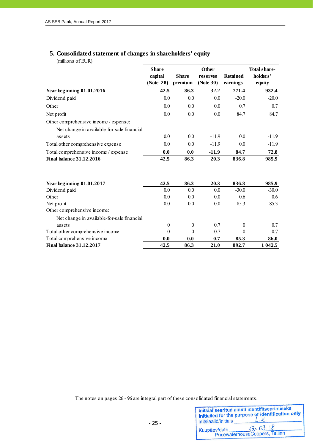# **5. Consolidated statement of changes in shareholders' equity**

(millions of EUR)

|                                                   | <b>Share</b><br>capital<br>(Note 28) | <b>Share</b><br>premium | Other<br>reserves<br>(Note 30) | <b>Retained</b><br>earnings | <b>Total share-</b><br>holders'<br>equity |
|---------------------------------------------------|--------------------------------------|-------------------------|--------------------------------|-----------------------------|-------------------------------------------|
| <b>Year beginning 01.01.2016</b>                  | 42.5                                 | 86.3                    | 32.2                           | 771.4                       | 932.4                                     |
| Dividend paid                                     | 0.0                                  | 0.0                     | 0.0                            | $-20.0$                     | $-20.0$                                   |
| Other                                             | 0.0                                  | 0.0                     | 0.0                            | 0.7                         | 0.7                                       |
| Net profit                                        | 0.0                                  | 0.0                     | 0.0                            | 84.7                        | 84.7                                      |
| Other comprehensive income / expense:             |                                      |                         |                                |                             |                                           |
| Net change in available-for-sale financial        |                                      |                         |                                |                             |                                           |
| assets                                            | 0.0                                  | 0.0                     | $-11.9$                        | 0.0                         | $-11.9$                                   |
| Total other comprehensive expense                 | 0.0                                  | 0.0                     | $-11.9$                        | 0.0                         | $-11.9$                                   |
| Total comprehensive income / expense              | 0.0                                  | 0.0                     | $-11.9$                        | 84.7                        | 72.8                                      |
| <b>Final balance 31.12.2016</b>                   | 42.5                                 | 86.3                    | 20.3                           | 836.8                       | 985.9                                     |
|                                                   | 42.5                                 | 86.3                    | 20.3                           | 836.8                       | 985.9                                     |
| <b>Year beginning 01.01.2017</b><br>Dividend paid | 0.0                                  | 0.0                     | 0.0                            | $-30.0$                     | $-30.0$                                   |
| Other                                             | 0.0                                  | 0.0                     | 0.0                            | 0.6                         | 0.6                                       |
| Net profit                                        | 0.0                                  | 0.0                     | 0.0                            | 85.3                        | 85.3                                      |
| Other comprehensive income:                       |                                      |                         |                                |                             |                                           |
| Net change in available-for-sale financial        |                                      |                         |                                |                             |                                           |
| assets                                            | $\theta$                             | $\mathbf{0}$            | 0.7                            | $\theta$                    | 0.7                                       |
| Total other comprehensive income                  | $\theta$                             | $\theta$                | 0.7                            | $\theta$                    | 0.7                                       |
| Total comprehensive income                        | 0.0                                  | 0.0                     | 0.7                            | 85.3                        | 86.0                                      |
| <b>Final balance 31.12.2017</b>                   | 42.5                                 | 86.3                    | 21.0                           | 892.7                       | 1 042.5                                   |

| Initsiaalid/initials | Initsialiseeritud ainult identifitseerimiseks<br>Initialled for the purpose of identification only |
|----------------------|----------------------------------------------------------------------------------------------------|
| Kuupäev/date         | 12.03.18<br>PricewaterhouseCoopers, Tallinn                                                        |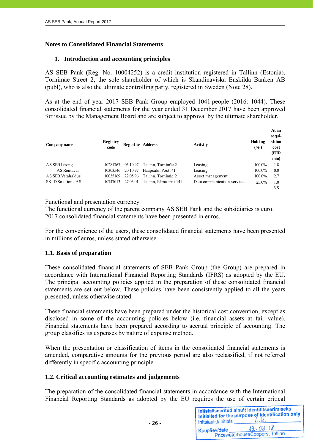## **Notes to Consolidated Financial Statements**

## **1. Introduction and accounting principles**

AS SEB Pank (Reg. No. 10004252) is a credit institution registered in Tallinn (Estonia), Tornimäe Street 2, the sole shareholder of which is Skandinaviska Enskilda Banken AB (publ), who is also the ultimate controlling party, registered in Sweden (Note 28).

As at the end of year 2017 SEB Pank Group employed 1041 people (2016: 1044). These consolidated financial statements for the year ended 31 December 2017 have been approved for issue by the Management Board and are subject to approval by the ultimate shareholder.

| Company name       | <b>Registry</b><br>code | Reg. date Address |                        | <b>Activity</b>             | Holding<br>(%) | At an<br>acqui-<br>sition<br>cost<br>(EUR<br>mio) |
|--------------------|-------------------------|-------------------|------------------------|-----------------------------|----------------|---------------------------------------------------|
| AS SEB Liising     | 10281767                | 03.10.97          | Tallinn, Tornimäe 2    | Leasing                     | 100.0%         | 1.8                                               |
| AS Rentacar        | 10303546                | 20.10.97          | Haapsalu, Posti 41     | Leasing                     | 100.0%         | 0.0                                               |
| AS SEB Varahaldus  | 10035169                | 22.05.96          | Tallinn, Tornimäe 2    | Asset management            | 100.0%         | 2.7                                               |
| SK ID Solutions AS | 10747013                | 27.03.01          | Tallinn, Pärnu mnt 141 | Data communication services | 25.0%          | 1.0                                               |
|                    |                         |                   |                        |                             |                | 5.5                                               |

## Functional and presentation currency

The functional currency of the parent company AS SEB Pank and the subsidiaries is euro. 2017 consolidated financial statements have been presented in euros.

For the convenience of the users, these consolidated financial statements have been presented in millions of euros, unless stated otherwise.

## **1.1. Basis of preparation**

These consolidated financial statements of SEB Pank Group (the Group) are prepared in accordance with International Financial Reporting Standards (IFRS) as adopted by the EU. The principal accounting policies applied in the preparation of these consolidated financial statements are set out below. These policies have been consistently applied to all the years presented, unless otherwise stated.

These financial statements have been prepared under the historical cost convention, except as disclosed in some of the accounting policies below (i.e. financial assets at fair value). Financial statements have been prepared according to accrual principle of accounting. The group classifies its expenses by nature of expense method.

When the presentation or classification of items in the consolidated financial statements is amended, comparative amounts for the previous period are also reclassified, if not referred differently in specific accounting principle.

## **1.2. Critical accounting estimates and judgements**

The preparation of the consolidated financial statements in accordance with the International Financial Reporting Standards as adopted by the EU requires the use of certain critical

| Initsiaalid/initials | Initsialiseeritud ainult identifitseerimiseks<br>Initialled for the purpose of identification only |
|----------------------|----------------------------------------------------------------------------------------------------|
| Kuupäev/date         | 12.03.18<br>PricewaterhouseCoopers, Tallinn                                                        |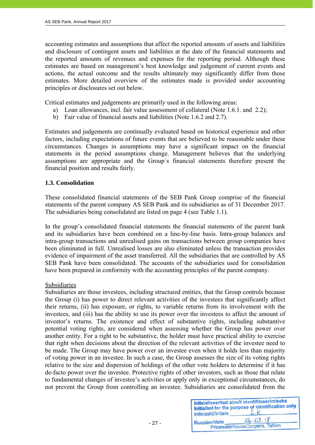accounting estimates and assumptions that affect the reported amounts of assets and liabilities and disclosure of contingent assets and liabilities at the date of the financial statements and the reported amounts of revenues and expenses for the reporting period. Although these estimates are based on management's best knowledge and judgement of current events and actions, the actual outcome and the results ultimately may significantly differ from those estimates. More detailed overview of the estimates made is provided under accounting principles or disclosures set out below.

Critical estimates and judgements are primarily used in the following areas:

- a) Loan allowances, incl. fair value assessment of collateral (Note 1.6.1. and 2.2);
- b) Fair value of financial assets and liabilities (Note 1.6.2 and 2.7).

Estimates and judgements are continually evaluated based on historical experience and other factors, including expectations of future events that are believed to be reasonable under these circumstances. Changes in assumptions may have a significant impact on the financial statements in the period assumptions change. Management believes that the underlying assumptions are appropriate and the Group´s financial statements therefore present the financial position and results fairly.

## **1.3. Consolidation**

These consolidated financial statements of the SEB Pank Group comprise of the financial statements of the parent company AS SEB Pank and its subsidiaries as of 31 December 2017. The subsidiaries being consolidated are listed on page 4 (see Table 1.1).

In the group's consolidated financial statements the financial statements of the parent bank and its subsidiaries have been combined on a line-by-line basis. Intra-group balances and intra-group transactions and unrealised gains on transactions between group companies have been eliminated in full. Unrealised losses are also eliminated unless the transaction provides evidence of impairment of the asset transferred. All the subsidiaries that are controlled by AS SEB Pank have been consolidated. The accounts of the subsidiaries used for consolidation have been prepared in conformity with the accounting principles of the parent company.

## Subsidiaries

Subsidiaries are those investees, including structured entities, that the Group controls because the Group (i) has power to direct relevant activities of the investees that significantly affect their returns, (ii) has exposure, or rights, to variable returns from its involvement with the investees, and (iii) has the ability to use its power over the investees to affect the amount of investor's returns. The existence and effect of substantive rights, including substantive potential voting rights, are considered when assessing whether the Group has power over another entity. For a right to be substantive, the holder must have practical ability to exercise that right when decisions about the direction of the relevant activities of the investee need to be made. The Group may have power over an investee even when it holds less than majority of voting power in an investee. In such a case, the Group assesses the size of its voting rights relative to the size and dispersion of holdings of the other vote holders to determine if it has de-facto power over the investee. Protective rights of other investors, such as those that relate to fundamental changes of investee's activities or apply only in exceptional circumstances, do not prevent the Group from controlling an investee. Subsidiaries are consolidated from the

| Initsiaalid/initials | Initsialiseeritud ainult identifitseerimiseks<br>Initialled for the purpose of identification only |
|----------------------|----------------------------------------------------------------------------------------------------|
| Kuupäev/date         | 12.03.18<br>PricewaterhouseCoopers, Tallinn                                                        |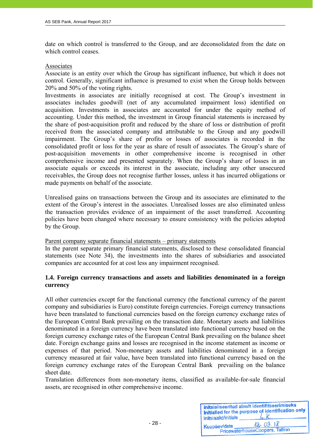date on which control is transferred to the Group, and are deconsolidated from the date on which control ceases

## Associates

Associate is an entity over which the Group has significant influence, but which it does not control. Generally, significant influence is presumed to exist when the Group holds between 20% and 50% of the voting rights.

Investments in associates are initially recognised at cost. The Group's investment in associates includes goodwill (net of any accumulated impairment loss) identified on acquisition. Investments in associates are accounted for under the equity method of accounting. Under this method, the investment in Group financial statements is increased by the share of post-acquisition profit and reduced by the share of loss or distribution of profit received from the associated company and attributable to the Group and any goodwill impairment. The Group's share of profits or losses of associates is recorded in the consolidated profit or loss for the year as share of result of associates. The Group's share of post-acquisition movements in other comprehensive income is recognised in other comprehensive income and presented separately. When the Group's share of losses in an associate equals or exceeds its interest in the associate, including any other unsecured receivables, the Group does not recognise further losses, unless it has incurred obligations or made payments on behalf of the associate.

Unrealised gains on transactions between the Group and its associates are eliminated to the extent of the Group's interest in the associates. Unrealised losses are also eliminated unless the transaction provides evidence of an impairment of the asset transferred. Accounting policies have been changed where necessary to ensure consistency with the policies adopted by the Group.

## Parent company separate financial statements – primary statements

In the parent separate primary financial statements, disclosed to these consolidated financial statements (see Note 34), the investments into the shares of subsidiaries and associated companies are accounted for at cost less any impairment recognised.

## **1.4. Foreign currency transactions and assets and liabilities denominated in a foreign currency**

All other currencies except for the functional currency (the functional currency of the parent company and subsidiaries is Euro) constitute foreign currencies. Foreign currency transactions have been translated to functional currencies based on the foreign currency exchange rates of the European Central Bank prevailing on the transaction date. Monetary assets and liabilities denominated in a foreign currency have been translated into functional currency based on the foreign currency exchange rates of the European Central Bank prevailing on the balance sheet date. Foreign exchange gains and losses are recognised in the income statement as income or expenses of that period. Non-monetary assets and liabilities denominated in a foreign currency measured at fair value, have been translated into functional currency based on the foreign currency exchange rates of the European Central Bank prevailing on the balance sheet date.

Translation differences from non-monetary items, classified as available-for-sale financial assets, are recognised in other comprehensive income.

| Initsiaalid/initials | Initsialiseeritud ainult identifitseerimiseks<br>Initialled for the purpose of identification only |
|----------------------|----------------------------------------------------------------------------------------------------|
| Kuupäev/date         | 12.03.18<br>PricewaterhouseCoopers. Tallinn                                                        |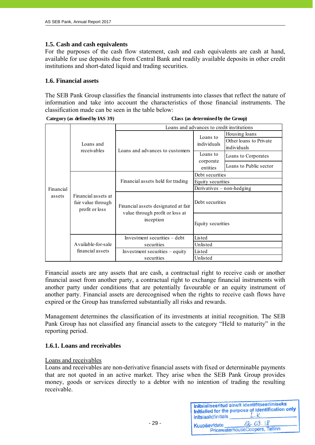## **1.5. Cash and cash equivalents**

For the purposes of the cash flow statement, cash and cash equivalents are cash at hand, available for use deposits due from Central Bank and readily available deposits in other credit institutions and short-dated liquid and trading securities.

## **1.6. Financial assets**

The SEB Pank Group classifies the financial instruments into classes that reflect the nature of information and take into account the characteristics of those financial instruments. The classification made can be seen in the table below:

**Category (as defined by IAS 39) Class (as determined by the Group)**

|                                                                                    |                                              | Loans and advances to credit institutions |                                                        |                        |
|------------------------------------------------------------------------------------|----------------------------------------------|-------------------------------------------|--------------------------------------------------------|------------------------|
| Loans and                                                                          |                                              | Loans to<br>individuals                   | Housing loans<br>Other loans to Private<br>individuals |                        |
|                                                                                    | receivables                                  | Loans and advances to customers           | Loans to                                               | Loans to Corporates    |
|                                                                                    |                                              |                                           | corporate<br>entities                                  | Loans to Public sector |
|                                                                                    |                                              |                                           | Debt securities                                        |                        |
| Financial<br>Financial assets at<br>assets<br>fair value through<br>profit or loss | Financial assets held for trading            | Equity securities                         |                                                        |                        |
|                                                                                    |                                              | Derivatives $-$ non-hedging               |                                                        |                        |
|                                                                                    | Financial assets designated at fair          | Debt securities                           |                                                        |                        |
|                                                                                    | value through profit or loss at<br>inception | Equity securities                         |                                                        |                        |
|                                                                                    |                                              | Investment securities – debt              | Listed                                                 |                        |
| Available-for-sale<br>financial assets                                             | securities                                   | Unlisted                                  |                                                        |                        |
|                                                                                    | Investment securities $-$ equity             | Listed                                    |                                                        |                        |
|                                                                                    |                                              | securities                                | Unlisted                                               |                        |

Financial assets are any assets that are cash, a contractual right to receive cash or another financial asset from another party, a contractual right to exchange financial instruments with another party under conditions that are potentially favourable or an equity instrument of another party. Financial assets are derecognised when the rights to receive cash flows have expired or the Group has transferred substantially all risks and rewards.

Management determines the classification of its investments at initial recognition. The SEB Pank Group has not classified any financial assets to the category "Held to maturity" in the reporting period.

## **1.6.1. Loans and receivables**

## Loans and receivables

Loans and receivables are non-derivative financial assets with fixed or determinable payments that are not quoted in an active market. They arise when the SEB Pank Group provides money, goods or services directly to a debtor with no intention of trading the resulting receivable.

| Initsiaalid/initials | Initsialiseeritud ainult identifitseerimiseks<br>Initialled for the purpose of identification only |
|----------------------|----------------------------------------------------------------------------------------------------|
| Kuupäev/date         | vev/date 12. 03. 18<br>PricewaterhouseCoopers, Tallinn                                             |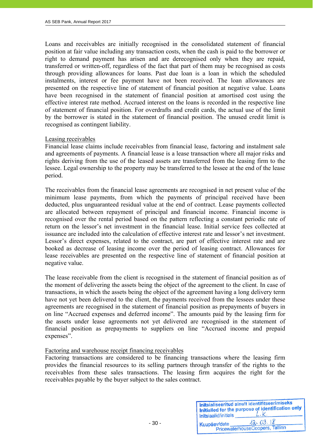Loans and receivables are initially recognised in the consolidated statement of financial position at fair value including any transaction costs, when the cash is paid to the borrower or right to demand payment has arisen and are derecognised only when they are repaid, transferred or written-off, regardless of the fact that part of them may be recognised as costs through providing allowances for loans. Past due loan is a loan in which the scheduled instalments, interest or fee payment have not been received. The loan allowances are presented on the respective line of statement of financial position at negative value. Loans have been recognised in the statement of financial position at amortised cost using the effective interest rate method. Accrued interest on the loans is recorded in the respective line of statement of financial position. For overdrafts and credit cards, the actual use of the limit by the borrower is stated in the statement of financial position. The unused credit limit is recognised as contingent liability.

## Leasing receivables

Financial lease claims include receivables from financial lease, factoring and instalment sale and agreements of payments. A financial lease is a lease transaction where all major risks and rights deriving from the use of the leased assets are transferred from the leasing firm to the lessee. Legal ownership to the property may be transferred to the lessee at the end of the lease period.

The receivables from the financial lease agreements are recognised in net present value of the minimum lease payments, from which the payments of principal received have been deducted, plus unguaranteed residual value at the end of contract. Lease payments collected are allocated between repayment of principal and financial income. Financial income is recognised over the rental period based on the pattern reflecting a constant periodic rate of return on the lessor's net investment in the financial lease. Initial service fees collected at issuance are included into the calculation of effective interest rate and lessor's net investment. Lessor's direct expenses, related to the contract, are part of effective interest rate and are booked as decrease of leasing income over the period of leasing contract. Allowances for lease receivables are presented on the respective line of statement of financial position at negative value.

The lease receivable from the client is recognised in the statement of financial position as of the moment of delivering the assets being the object of the agreement to the client. In case of transactions, in which the assets being the object of the agreement having a long delivery term have not yet been delivered to the client, the payments received from the lessees under these agreements are recognised in the statement of financial position as prepayments of buyers in on line "Accrued expenses and deferred income". The amounts paid by the leasing firm for the assets under lease agreements not yet delivered are recognised in the statement of financial position as prepayments to suppliers on line "Accrued income and prepaid expenses".

## Factoring and warehouse receipt financing receivables

Factoring transactions are considered to be financing transactions where the leasing firm provides the financial resources to its selling partners through transfer of the rights to the receivables from these sales transactions. The leasing firm acquires the right for the receivables payable by the buyer subject to the sales contract.

| Initsiaalid/initials | Initsialiseeritud ainult identifitseerimiseks<br>Initialled for the purpose of identification only |
|----------------------|----------------------------------------------------------------------------------------------------|
| Kuupäev/date         | 12.03.18<br>PricewaterhouseCoopers, Tallinn                                                        |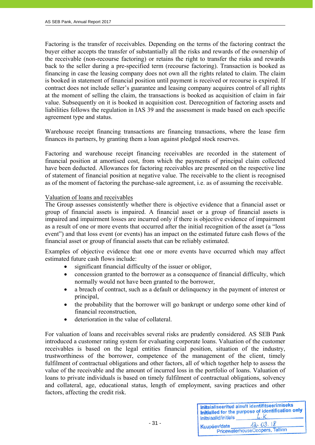Factoring is the transfer of receivables. Depending on the terms of the factoring contract the buyer either accepts the transfer of substantially all the risks and rewards of the ownership of the receivable (non-recourse factoring) or retains the right to transfer the risks and rewards back to the seller during a pre-specified term (recourse factoring). Transaction is booked as financing in case the leasing company does not own all the rights related to claim. The claim is booked in statement of financial position until payment is received or recourse is expired. If contract does not include seller's guarantee and leasing company acquires control of all rights at the moment of selling the claim, the transactions is booked as acquisition of claim in fair value. Subsequently on it is booked in acquisition cost. Derecognition of factoring assets and liabilities follows the regulation in IAS 39 and the assessment is made based on each specific agreement type and status.

Warehouse receipt financing transactions are financing transactions, where the lease firm finances its partners, by granting them a loan against pledged stock reserves.

Factoring and warehouse receipt financing receivables are recorded in the statement of financial position at amortised cost, from which the payments of principal claim collected have been deducted. Allowances for factoring receivables are presented on the respective line of statement of financial position at negative value. The receivable to the client is recognised as of the moment of factoring the purchase-sale agreement, i.e. as of assuming the receivable.

## Valuation of loans and receivables

The Group assesses consistently whether there is objective evidence that a financial asset or group of financial assets is impaired. A financial asset or a group of financial assets is impaired and impairment losses are incurred only if there is objective evidence of impairment as a result of one or more events that occurred after the initial recognition of the asset (a "loss event") and that loss event (or events) has an impact on the estimated future cash flows of the financial asset or group of financial assets that can be reliably estimated.

Examples of objective evidence that one or more events have occurred which may affect estimated future cash flows include:

- significant financial difficulty of the issuer or obligor,
- concession granted to the borrower as a consequence of financial difficulty, which normally would not have been granted to the borrower,
- a breach of contract, such as a default or delinquency in the payment of interest or principal,
- the probability that the borrower will go bankrupt or undergo some other kind of financial reconstruction,
- deterioration in the value of collateral.

For valuation of loans and receivables several risks are prudently considered. AS SEB Pank introduced a customer rating system for evaluating corporate loans. Valuation of the customer receivables is based on the legal entities financial position, situation of the industry, trustworthiness of the borrower, competence of the management of the client, timely fulfilment of contractual obligations and other factors, all of which together help to assess the value of the receivable and the amount of incurred loss in the portfolio of loans. Valuation of loans to private individuals is based on timely fulfilment of contractual obligations, solvency and collateral, age, educational status, length of employment, saving practices and other factors, affecting the credit risk.

| Initsiaalid/initials | Initsialiseeritud ainult identifitseerimiseks<br>Initialled for the purpose of identification only |
|----------------------|----------------------------------------------------------------------------------------------------|
| Kuupäev/date         | 12.03.18<br>PricewaterhouseCoopers, Tallinn                                                        |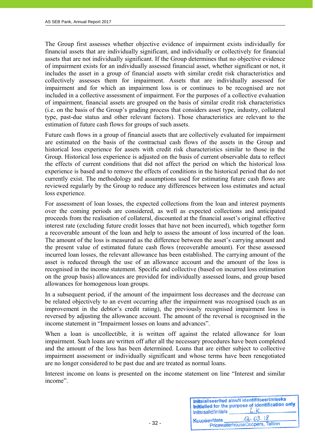The Group first assesses whether objective evidence of impairment exists individually for financial assets that are individually significant, and individually or collectively for financial assets that are not individually significant. If the Group determines that no objective evidence of impairment exists for an individually assessed financial asset, whether significant or not, it includes the asset in a group of financial assets with similar credit risk characteristics and collectively assesses them for impairment. Assets that are individually assessed for impairment and for which an impairment loss is or continues to be recognised are not included in a collective assessment of impairment. For the purposes of a collective evaluation of impairment, financial assets are grouped on the basis of similar credit risk characteristics (i.e. on the basis of the Group's grading process that considers asset type, industry, collateral type, past-due status and other relevant factors). Those characteristics are relevant to the estimation of future cash flows for groups of such assets.

Future cash flows in a group of financial assets that are collectively evaluated for impairment are estimated on the basis of the contractual cash flows of the assets in the Group and historical loss experience for assets with credit risk characteristics similar to those in the Group. Historical loss experience is adjusted on the basis of current observable data to reflect the effects of current conditions that did not affect the period on which the historical loss experience is based and to remove the effects of conditions in the historical period that do not currently exist. The methodology and assumptions used for estimating future cash flows are reviewed regularly by the Group to reduce any differences between loss estimates and actual loss experience.

For assessment of loan losses, the expected collections from the loan and interest payments over the coming periods are considered, as well as expected collections and anticipated proceeds from the realisation of collateral, discounted at the financial asset's original effective interest rate (excluding future credit losses that have not been incurred), which together form a recoverable amount of the loan and help to assess the amount of loss incurred of the loan. The amount of the loss is measured as the difference between the asset's carrying amount and the present value of estimated future cash flows (recoverable amount). For these assessed incurred loan losses, the relevant allowance has been established. The carrying amount of the asset is reduced through the use of an allowance account and the amount of the loss is recognised in the income statement. Specific and collective (based on incurred loss estimation on the group basis) allowances are provided for individually assessed loans, and group based allowances for homogenous loan groups.

In a subsequent period, if the amount of the impairment loss decreases and the decrease can be related objectively to an event occurring after the impairment was recognised (such as an improvement in the debtor's credit rating), the previously recognised impairment loss is reversed by adjusting the allowance account. The amount of the reversal is recognised in the income statement in "Impairment losses on loans and advances".

When a loan is uncollectible, it is written off against the related allowance for loan impairment. Such loans are written off after all the necessary procedures have been completed and the amount of the loss has been determined. Loans that are either subject to collective impairment assessment or individually significant and whose terms have been renegotiated are no longer considered to be past due and are treated as normal loans.

Interest income on loans is presented on the income statement on line "Interest and similar income".

| nitsiaalid/initials | Initsialiseeritud ainult identifitseerimiseks<br>Initialled for the purpose of identification only |
|---------------------|----------------------------------------------------------------------------------------------------|
| Kuupäev/date        | 12.03.18<br>PricewaterhouseCoopers, Tallinn                                                        |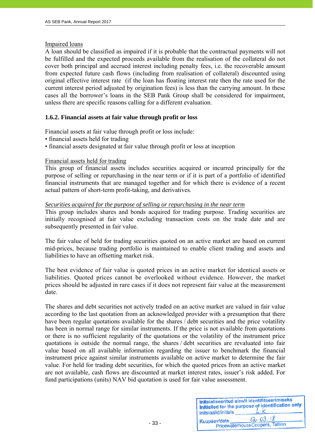## Impaired loans

A loan should be classified as impaired if it is probable that the contractual payments will not be fulfilled and the expected proceeds available from the realisation of the collateral do not cover both principal and accrued interest including penalty fees, i.e. the recoverable amount from expected future cash flows (including from realisation of collateral) discounted using original effective interest rate (if the loan has floating interest rate then the rate used for the current interest period adjusted by origination fees) is less than the carrying amount. In these cases all the borrower's loans in the SEB Pank Group shall be considered for impairment, unless there are specific reasons calling for a different evaluation.

## **1.6.2. Financial assets at fair value through profit or loss**

Financial assets at fair value through profit or loss include:

- financial assets held for trading
- financial assets designated at fair value through profit or loss at inception

## Financial assets held for trading

This group of financial assets includes securities acquired or incurred principally for the purpose of selling or repurchasing in the near term or if it is part of a portfolio of identified financial instruments that are managed together and for which there is evidence of a recent actual pattern of short-term profit-taking, and derivatives.

## *Securities acquired for the purpose of selling or repurchasing in the near term*

This group includes shares and bonds acquired for trading purpose. Trading securities are initially recognised at fair value excluding transaction costs on the trade date and are subsequently presented in fair value.

The fair value of held for trading securities quoted on an active market are based on current mid-prices, because trading portfolio is maintained to enable client trading and assets and liabilities to have an offsetting market risk.

The best evidence of fair value is quoted prices in an active market for identical assets or liabilities. Quoted prices cannot be overlooked without evidence. However, the market prices should be adjusted in rare cases if it does not represent fair value at the measurement date.

The shares and debt securities not actively traded on an active market are valued in fair value according to the last quotation from an acknowledged provider with a presumption that there have been regular quotations available for the shares / debt securities and the price volatility has been in normal range for similar instruments. If the price is not available from quotations or there is no sufficient regularity of the quotations or the volatility of the instrument price quotations is outside the normal range, the shares / debt securities are revaluated into fair value based on all available information regarding the issuer to benchmark the financial instrument price against similar instruments available on active market to determine the fair value. For held for trading debt securities, for which the quoted prices from an active market are not available, cash flows are discounted at market interest rates, issuer's risk added. For fund participations (units) NAV bid quotation is used for fair value assessment.

| Initsiaalid/initials | Initsialiseeritud ainult identifitseerimiseks<br>Initialled for the purpose of identification only |
|----------------------|----------------------------------------------------------------------------------------------------|
| Kuupäev/date         | 12.03.18<br>PricewaterhouseCoopers, Tallinn                                                        |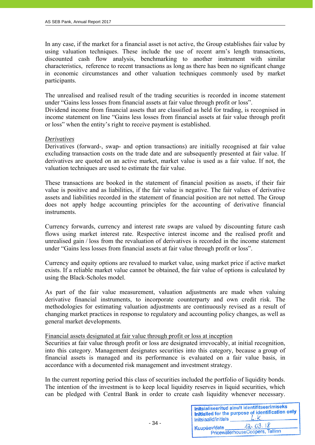In any case, if the market for a financial asset is not active, the Group establishes fair value by using valuation techniques. These include the use of recent arm's length transactions, discounted cash flow analysis, benchmarking to another instrument with similar characteristics, reference to recent transactions as long as there has been no significant change in economic circumstances and other valuation techniques commonly used by market participants.

The unrealised and realised result of the trading securities is recorded in income statement under "Gains less losses from financial assets at fair value through profit or loss".

Dividend income from financial assets that are classified as held for trading, is recognised in income statement on line "Gains less losses from financial assets at fair value through profit or loss" when the entity's right to receive payment is established.

## *Derivatives*

Derivatives (forward-, swap- and option transactions) are initially recognised at fair value excluding transaction costs on the trade date and are subsequently presented at fair value. If derivatives are quoted on an active market, market value is used as a fair value. If not, the valuation techniques are used to estimate the fair value.

These transactions are booked in the statement of financial position as assets, if their fair value is positive and as liabilities, if the fair value is negative. The fair values of derivative assets and liabilities recorded in the statement of financial position are not netted. The Group does not apply hedge accounting principles for the accounting of derivative financial instruments.

Currency forwards, currency and interest rate swaps are valued by discounting future cash flows using market interest rate. Respective interest income and the realised profit and unrealised gain / loss from the revaluation of derivatives is recorded in the income statement under "Gains less losses from financial assets at fair value through profit or loss".

Currency and equity options are revalued to market value, using market price if active market exists. If a reliable market value cannot be obtained, the fair value of options is calculated by using the Black-Scholes model.

As part of the fair value measurement, valuation adjustments are made when valuing derivative financial instruments, to incorporate counterparty and own credit risk. The methodologies for estimating valuation adjustments are continuously revised as a result of changing market practices in response to regulatory and accounting policy changes, as well as general market developments.

Financial assets designated at fair value through profit or loss at inception

Securities at fair value through profit or loss are designated irrevocably, at initial recognition, into this category. Management designates securities into this category, because a group of financial assets is managed and its performance is evaluated on a fair value basis, in accordance with a documented risk management and investment strategy.

In the current reporting period this class of securities included the portfolio of liquidity bonds. The intention of the investment is to keep local liquidity reserves in liquid securities, which can be pledged with Central Bank in order to create cash liquidity whenever necessary.

| Initsiaalid/initials | Initsialiseeritud ainult identifitseerimiseks<br>Initialled for the purpose of identification only |
|----------------------|----------------------------------------------------------------------------------------------------|
| Kuupäev/date         | 12.03.18<br>PricewaterhouseCoopers, Tallinn                                                        |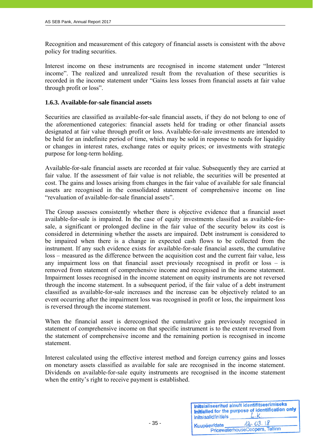Recognition and measurement of this category of financial assets is consistent with the above policy for trading securities.

Interest income on these instruments are recognised in income statement under "Interest income". The realized and unrealized result from the revaluation of these securities is recorded in the income statement under "Gains less losses from financial assets at fair value through profit or loss".

## **1.6.3. Available-for-sale financial assets**

Securities are classified as available-for-sale financial assets, if they do not belong to one of the aforementioned categories: financial assets held for trading or other financial assets designated at fair value through profit or loss. Available-for-sale investments are intended to be held for an indefinite period of time, which may be sold in response to needs for liquidity or changes in interest rates, exchange rates or equity prices; or investments with strategic purpose for long-term holding.

Available-for-sale financial assets are recorded at fair value. Subsequently they are carried at fair value. If the assessment of fair value is not reliable, the securities will be presented at cost. The gains and losses arising from changes in the fair value of available for sale financial assets are recognised in the consolidated statement of comprehensive income on line "revaluation of available-for-sale financial assets".

The Group assesses consistently whether there is objective evidence that a financial asset available-for-sale is impaired. In the case of equity investments classified as available-forsale, a significant or prolonged decline in the fair value of the security below its cost is considered in determining whether the assets are impaired. Debt instrument is considered to be impaired when there is a change in expected cash flows to be collected from the instrument. If any such evidence exists for available-for-sale financial assets, the cumulative loss – measured as the difference between the acquisition cost and the current fair value, less any impairment loss on that financial asset previously recognised in profit or loss – is removed from statement of comprehensive income and recognised in the income statement. Impairment losses recognised in the income statement on equity instruments are not reversed through the income statement. In a subsequent period, if the fair value of a debt instrument classified as available-for-sale increases and the increase can be objectively related to an event occurring after the impairment loss was recognised in profit or loss, the impairment loss is reversed through the income statement.

When the financial asset is derecognised the cumulative gain previously recognised in statement of comprehensive income on that specific instrument is to the extent reversed from the statement of comprehensive income and the remaining portion is recognised in income statement.

Interest calculated using the effective interest method and foreign currency gains and losses on monetary assets classified as available for sale are recognised in the income statement. Dividends on available-for-sale equity instruments are recognised in the income statement when the entity's right to receive payment is established.

| Initsiaalid/initials | Initsialiseeritud ainult identifitseerimiseks<br>Initialled for the purpose of identification only |
|----------------------|----------------------------------------------------------------------------------------------------|
| Kuupäev/date         | 12.03.18<br>PricewaterhouseCoopers, Tallinn                                                        |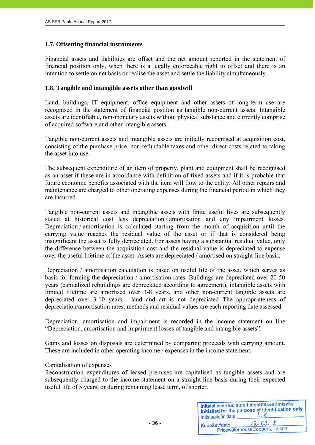### **1.7. Offsetting financial instruments**

Financial assets and liabilities are offset and the net amount reported in the statement of financial position only, when there is a legally enforceable right to offset and there is an intention to settle on net basis or realise the asset and settle the liability simultaneously.

### **1.8. Tangible and intangible assets other than goodwill**

Land, buildings, IT equipment, office equipment and other assets of long-term use are recognised in the statement of financial position as tangible non-current assets. Intangible assets are identifiable, non-monetary assets without physical substance and currently comprise of acquired software and other intangible assets.

Tangible non-current assets and intangible assets are initially recognised at acquisition cost, consisting of the purchase price, non-refundable taxes and other direct costs related to taking the asset into use.

The subsequent expenditure of an item of property, plant and equipment shall be recognised as an asset if these are in accordance with definition of fixed assets and if it is probable that future economic benefits associated with the item will flow to the entity. All other repairs and maintenance are charged to other operating expenses during the financial period in which they are incurred.

Tangible non-current assets and intangible assets with finite useful lives are subsequently stated at historical cost less depreciation / amortisation and any impairment losses. Depreciation / amortisation is calculated starting from the month of acquisition until the carrying value reaches the residual value of the asset or if that is considered being insignificant the asset is fully depreciated. For assets having a substantial residual value, only the difference between the acquisition cost and the residual value is depreciated to expense over the useful lifetime of the asset. Assets are depreciated / amortised on straight-line basis.

Depreciation / amortisation calculation is based on useful life of the asset, which serves as basis for forming the depreciation / amortisation rates. Buildings are depreciated over 20-50 years (capitalized rebuildings are depreciated according to agreement), intangible assets with limited lifetime are amortised over 3-8 years, and other non-current tangible assets are depreciated over 3-10 years, land and art is not depreciated The appropriateness of depreciation/amortisation rates, methods and residual values are each reporting date assessed.

Depreciation, amortisation and impairment is recorded in the income statement on line "Depreciation, amortisation and impairment losses of tangible and intangible assets".

Gains and losses on disposals are determined by comparing proceeds with carrying amount. These are included in other operating income / expenses in the income statement.

### Capitalisation of expenses

Reconstruction expenditures of leased premises are capitalised as tangible assets and are subsequently charged to the income statement on a straight-line basis during their expected useful life of 5 years, or during remaining lease term, of shorter.

| Initsialiseeritud ainult identifitseerimiseks<br>Initialled for the purpose of identification only<br>Initsiaalid/initials |                                             |  |
|----------------------------------------------------------------------------------------------------------------------------|---------------------------------------------|--|
| Kuupäev/date                                                                                                               | 12.03.18<br>PricewaterhouseCoopers, Tallinn |  |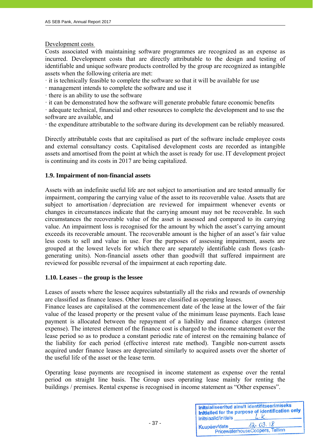### Development costs

Costs associated with maintaining software programmes are recognized as an expense as incurred. Development costs that are directly attributable to the design and testing of identifiable and unique software products controlled by the group are recognized as intangible assets when the following criteria are met:

- · it is technically feasible to complete the software so that it will be available for use
- · management intends to complete the software and use it
- · there is an ability to use the software
- · it can be demonstrated how the software will generate probable future economic benefits

· adequate technical, financial and other resources to complete the development and to use the software are available, and

· the expenditure attributable to the software during its development can be reliably measured.

Directly attributable costs that are capitalised as part of the software include employee costs and external consultancy costs. Capitalised development costs are recorded as intangible assets and amortised from the point at which the asset is ready for use. IT development project is continuing and its costs in 2017 are being capitalized.

### **1.9. Impairment of non-financial assets**

Assets with an indefinite useful life are not subject to amortisation and are tested annually for impairment, comparing the carrying value of the asset to its recoverable value. Assets that are subject to amortisation / depreciation are reviewed for impairment whenever events or changes in circumstances indicate that the carrying amount may not be recoverable. In such circumstances the recoverable value of the asset is assessed and compared to its carrying value. An impairment loss is recognised for the amount by which the asset's carrying amount exceeds its recoverable amount. The recoverable amount is the higher of an asset's fair value less costs to sell and value in use. For the purposes of assessing impairment, assets are grouped at the lowest levels for which there are separately identifiable cash flows (cashgenerating units). Non-financial assets other than goodwill that suffered impairment are reviewed for possible reversal of the impairment at each reporting date.

### **1.10. Leases – the group is the lessee**

Leases of assets where the lessee acquires substantially all the risks and rewards of ownership are classified as finance leases. Other leases are classified as operating leases.

Finance leases are capitalised at the commencement date of the lease at the lower of the fair value of the leased property or the present value of the minimum lease payments. Each lease payment is allocated between the repayment of a liability and finance charges (interest expense). The interest element of the finance cost is charged to the income statement over the lease period so as to produce a constant periodic rate of interest on the remaining balance of the liability for each period (effective interest rate method). Tangible non-current assets acquired under finance leases are depreciated similarly to acquired assets over the shorter of the useful life of the asset or the lease term.

Operating lease payments are recognised in income statement as expense over the rental period on straight line basis. The Group uses operating lease mainly for renting the buildings / premises. Rental expense is recognised in income statement as "Other expenses".

|                      | Initsialiseeritud ainult identifitseerimiseks<br>Initialled for the purpose of identification only |
|----------------------|----------------------------------------------------------------------------------------------------|
| Initsiaalid/initials |                                                                                                    |
| Kuupäev/date         | 12.03.18<br>PricewaterhouseCoopers, Tallinn                                                        |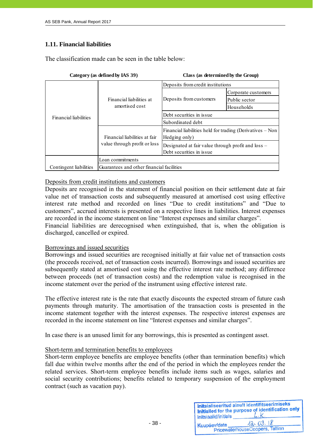### **1.11. Financial liabilities**

The classification made can be seen in the table below:

| $\frac{1}{2}$                |                                                               |                                                                                |                     |
|------------------------------|---------------------------------------------------------------|--------------------------------------------------------------------------------|---------------------|
| <b>Financial liabilities</b> | Financial liabilities at<br>amortised cost                    | Deposits from credit institutions                                              |                     |
|                              |                                                               | Deposits from customers                                                        | Corporate customers |
|                              |                                                               |                                                                                | Public sector       |
|                              |                                                               |                                                                                | Households          |
|                              |                                                               | Debt securities in issue                                                       |                     |
|                              |                                                               | Subordinated debt                                                              |                     |
|                              | Financial liabilities at fair<br>value through profit or loss | Financial liabilities held for trading (Derivatives – Non<br>Hedging only)     |                     |
|                              |                                                               | Designated at fair value through profit and loss -<br>Debt securities in issue |                     |
|                              | Loan commitments                                              |                                                                                |                     |
| Contingent liabilities       | Guarantees and other financial facilities                     |                                                                                |                     |

#### **Category (as defined by IAS 39) Class (as determined by the Group)**

### Deposits from credit institutions and customers

Deposits are recognised in the statement of financial position on their settlement date at fair value net of transaction costs and subsequently measured at amortised cost using effective interest rate method and recorded on lines "Due to credit institutions" and "Due to customers", accrued interests is presented on a respective lines in liabilities. Interest expenses are recorded in the income statement on line "Interest expenses and similar charges".

Financial liabilities are derecognised when extinguished, that is, when the obligation is discharged, cancelled or expired.

### Borrowings and issued securities

Borrowings and issued securities are recognised initially at fair value net of transaction costs (the proceeds received, net of transaction costs incurred). Borrowings and issued securities are subsequently stated at amortised cost using the effective interest rate method; any difference between proceeds (net of transaction costs) and the redemption value is recognised in the income statement over the period of the instrument using effective interest rate.

The effective interest rate is the rate that exactly discounts the expected stream of future cash payments through maturity. The amortisation of the transaction costs is presented in the income statement together with the interest expenses. The respective interest expenses are recorded in the income statement on line "Interest expenses and similar charges".

In case there is an unused limit for any borrowings, this is presented as contingent asset.

### Short-term and termination benefits to employees

Short-term employee benefits are employee benefits (other than termination benefits) which fall due within twelve months after the end of the period in which the employees render the related services. Short-term employee benefits include items such as wages, salaries and social security contributions; benefits related to temporary suspension of the employment contract (such as vacation pay).

| Initsiaalid/initials | Initsialiseeritud ainult identifitseerimiseks<br>Initialled for the purpose of identification only |
|----------------------|----------------------------------------------------------------------------------------------------|
| Kuupäev/date         | 12.03.18<br>PricewaterhouseCoopers, Tallinn                                                        |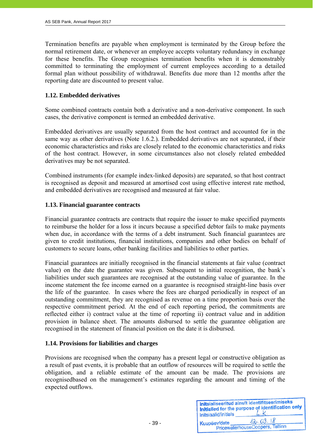Termination benefits are payable when employment is terminated by the Group before the normal retirement date, or whenever an employee accepts voluntary redundancy in exchange for these benefits. The Group recognises termination benefits when it is demonstrably committed to terminating the employment of current employees according to a detailed formal plan without possibility of withdrawal. Benefits due more than 12 months after the reporting date are discounted to present value.

### **1.12. Embedded derivatives**

Some combined contracts contain both a derivative and a non-derivative component. In such cases, the derivative component is termed an embedded derivative.

Embedded derivatives are usually separated from the host contract and accounted for in the same way as other derivatives (Note 1.6.2.). Embedded derivatives are not separated, if their economic characteristics and risks are closely related to the economic characteristics and risks of the host contract. However, in some circumstances also not closely related embedded derivatives may be not separated.

Combined instruments (for example index-linked deposits) are separated, so that host contract is recognised as deposit and measured at amortised cost using effective interest rate method, and embedded derivatives are recognised and measured at fair value.

### **1.13. Financial guarantee contracts**

Financial guarantee contracts are contracts that require the issuer to make specified payments to reimburse the holder for a loss it incurs because a specified debtor fails to make payments when due, in accordance with the terms of a debt instrument. Such financial guarantees are given to credit institutions, financial institutions, companies and other bodies on behalf of customers to secure loans, other banking facilities and liabilities to other parties.

Financial guarantees are initially recognised in the financial statements at fair value (contract value) on the date the guarantee was given. Subsequent to initial recognition, the bank's liabilities under such guarantees are recognised at the outstanding value of guarantee. In the income statement the fee income earned on a guarantee is recognised straight-line basis over the life of the guarantee. In cases where the fees are charged periodically in respect of an outstanding commitment, they are recognised as revenue on a time proportion basis over the respective commitment period. At the end of each reporting period, the commitments are reflected either i) contract value at the time of reporting ii) contract value and in addition provision in balance sheet. The amounts disbursed to settle the guarantee obligation are recognised in the statement of financial position on the date it is disbursed.

### **1.14. Provisions for liabilities and charges**

Provisions are recognised when the company has a present legal or constructive obligation as a result of past events, it is probable that an outflow of resources will be required to settle the obligation, and a reliable estimate of the amount can be made. The provisions are recognisedbased on the management's estimates regarding the amount and timing of the expected outflows.

| Initsialiseeritud ainult identifitseerimiseks<br>Initialled for the purpose of identification only<br>Initsiaalid/initials |                                             |  |
|----------------------------------------------------------------------------------------------------------------------------|---------------------------------------------|--|
| Kuupäev/date                                                                                                               | 12.03.18<br>PricewaterhouseCoopers, Tallinn |  |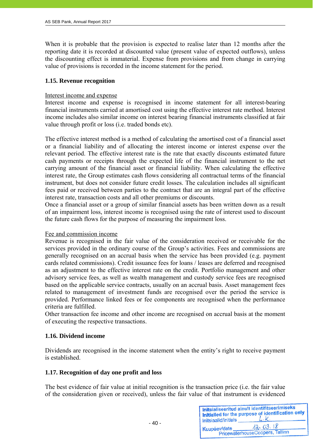When it is probable that the provision is expected to realise later than 12 months after the reporting date it is recorded at discounted value (present value of expected outflows), unless the discounting effect is immaterial. Expense from provisions and from change in carrying value of provisions is recorded in the income statement for the period.

### **1.15. Revenue recognition**

#### Interest income and expense

Interest income and expense is recognised in income statement for all interest-bearing financial instruments carried at amortised cost using the effective interest rate method. Interest income includes also similar income on interest bearing financial instruments classified at fair value through profit or loss (i.e. traded bonds etc).

The effective interest method is a method of calculating the amortised cost of a financial asset or a financial liability and of allocating the interest income or interest expense over the relevant period. The effective interest rate is the rate that exactly discounts estimated future cash payments or receipts through the expected life of the financial instrument to the net carrying amount of the financial asset or financial liability. When calculating the effective interest rate, the Group estimates cash flows considering all contractual terms of the financial instrument, but does not consider future credit losses. The calculation includes all significant fees paid or received between parties to the contract that are an integral part of the effective interest rate, transaction costs and all other premiums or discounts.

Once a financial asset or a group of similar financial assets has been written down as a result of an impairment loss, interest income is recognised using the rate of interest used to discount the future cash flows for the purpose of measuring the impairment loss.

### Fee and commission income

Revenue is recognised in the fair value of the consideration received or receivable for the services provided in the ordinary course of the Group's activities. Fees and commissions are generally recognised on an accrual basis when the service has been provided (e.g. payment cards related commissions). Credit issuance fees for loans / leases are deferred and recognised as an adjustment to the effective interest rate on the credit. Portfolio management and other advisory service fees, as well as wealth management and custody service fees are recognised based on the applicable service contracts, usually on an accrual basis. Asset management fees related to management of investment funds are recognised over the period the service is provided. Performance linked fees or fee components are recognised when the performance criteria are fulfilled.

Other transaction fee income and other income are recognised on accrual basis at the moment of executing the respective transactions.

### **1.16. Dividend income**

Dividends are recognised in the income statement when the entity's right to receive payment is established.

### **1.17. Recognition of day one profit and loss**

The best evidence of fair value at initial recognition is the transaction price (i.e. the fair value of the consideration given or received), unless the fair value of that instrument is evidenced

| Initsiaalid/initials | Initsialiseeritud ainult identifitseerimiseks<br>Initialled for the purpose of identification only |
|----------------------|----------------------------------------------------------------------------------------------------|
| Kuupäev/date         | 12.03.18<br>PricewaterhouseCoopers, Tallinn                                                        |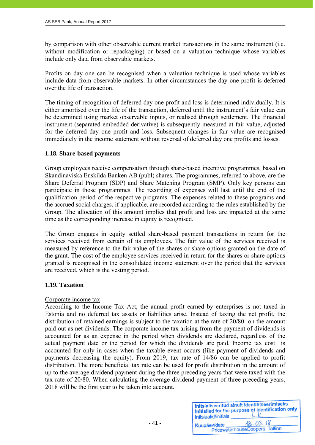by comparison with other observable current market transactions in the same instrument (i.e. without modification or repackaging) or based on a valuation technique whose variables include only data from observable markets.

Profits on day one can be recognised when a valuation technique is used whose variables include data from observable markets. In other circumstances the day one profit is deferred over the life of transaction.

The timing of recognition of deferred day one profit and loss is determined individually. It is either amortised over the life of the transaction, deferred until the instrument's fair value can be determined using market observable inputs, or realised through settlement. The financial instrument (separated embedded derivative) is subsequently measured at fair value, adjusted for the deferred day one profit and loss. Subsequent changes in fair value are recognised immediately in the income statement without reversal of deferred day one profits and losses.

### **1.18. Share-based payments**

Group employees receive compensation through share-based incentive programmes, based on Skandinaviska Enskilda Banken AB (publ) shares. The programmes, referred to above, are the Share Deferral Program (SDP) and Share Matching Program (SMP). Only key persons can participate in those programmes. The recording of expenses will last until the end of the qualification period of the respective programs. The expenses related to these programs and the accrued social charges, if applicable, are recorded according to the rules established by the Group. The allocation of this amount implies that profit and loss are impacted at the same time as the corresponding increase in equity is recognised.

The Group engages in equity settled share-based payment transactions in return for the services received from certain of its employees. The fair value of the services received is measured by reference to the fair value of the shares or share options granted on the date of the grant. The cost of the employee services received in return for the shares or share options granted is recognised in the consolidated income statement over the period that the services are received, which is the vesting period.

### **1.19. Taxation**

### Corporate income tax

According to the Income Tax Act, the annual profit earned by enterprises is not taxed in Estonia and no deferred tax assets or liabilities arise. Instead of taxing the net profit, the distribution of retained earnings is subject to the taxation at the rate of 20/80 on the amount paid out as net dividends. The corporate income tax arising from the payment of dividends is accounted for as an expense in the period when dividends are declared, regardless of the actual payment date or the period for which the dividends are paid. Income tax cost is accounted for only in cases when the taxable event occurs (like payment of dividends and payments decreasing the equity). From 2019, tax rate of 14/86 can be applied to profit distribution. The more beneficial tax rate can be used for profit distribution in the amount of up to the average dividend payment during the three preceding years that were taxed with the tax rate of 20/80. When calculating the average dividend payment of three preceding years, 2018 will be the first year to be taken into account.

| Initsiaalid/initials | Initsialiseeritud ainult identifitseerimiseks<br>Initialled for the purpose of identification only |
|----------------------|----------------------------------------------------------------------------------------------------|
| Kuupäev/date         | 12.03.18<br>PricewaterhouseCoopers, Tallinn                                                        |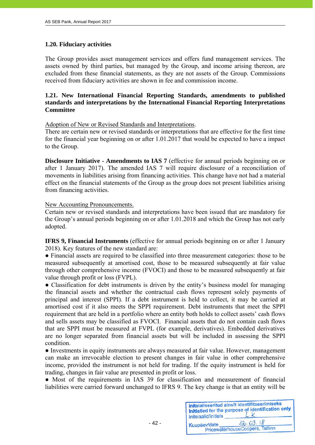### **1.20. Fiduciary activities**

The Group provides asset management services and offers fund management services. The assets owned by third parties, but managed by the Group, and income arising thereon, are excluded from these financial statements, as they are not assets of the Group. Commissions received from fiduciary activities are shown in fee and commission income.

### **1.21. New International Financial Reporting Standards, amendments to published standards and interpretations by the International Financial Reporting Interpretations Committee**

Adoption of New or Revised Standards and Interpretations.

There are certain new or revised standards or interpretations that are effective for the first time for the financial year beginning on or after 1.01.2017 that would be expected to have a impact to the Group.

**Disclosure Initiative - Amendments to IAS 7** (effective for annual periods beginning on or after 1 January 2017). The amended IAS 7 will require disclosure of a reconciliation of movements in liabilities arising from financing activities. This change have not had a material effect on the financial statements of the Group as the group does not present liabilities arising from financing activities.

### New Accounting Pronouncements.

Certain new or revised standards and interpretations have been issued that are mandatory for the Group's annual periods beginning on or after 1.01.2018 and which the Group has not early adopted.

**IFRS 9, Financial Instruments** (effective for annual periods beginning on or after 1 January 2018). Key features of the new standard are:

● Financial assets are required to be classified into three measurement categories: those to be measured subsequently at amortised cost, those to be measured subsequently at fair value through other comprehensive income (FVOCI) and those to be measured subsequently at fair value through profit or loss (FVPL).

● Classification for debt instruments is driven by the entity's business model for managing the financial assets and whether the contractual cash flows represent solely payments of principal and interest (SPPI). If a debt instrument is held to collect, it may be carried at amortised cost if it also meets the SPPI requirement. Debt instruments that meet the SPPI requirement that are held in a portfolio where an entity both holds to collect assets' cash flows and sells assets may be classified as FVOCI. Financial assets that do not contain cash flows that are SPPI must be measured at FVPL (for example, derivatives). Embedded derivatives are no longer separated from financial assets but will be included in assessing the SPPI condition.

● Investments in equity instruments are always measured at fair value. However, management can make an irrevocable election to present changes in fair value in other comprehensive income, provided the instrument is not held for trading. If the equity instrument is held for trading, changes in fair value are presented in profit or loss.

● Most of the requirements in IAS 39 for classification and measurement of financial liabilities were carried forward unchanged to IFRS 9. The key change is that an entity will be

| Initsiaalid/initials | Initsialiseeritud ainult identifitseerimiseks<br>Initialled for the purpose of identification only |
|----------------------|----------------------------------------------------------------------------------------------------|
| Kuupäev/date         | 12.03.18<br>PricewaterhouseCoopers, Tallinn                                                        |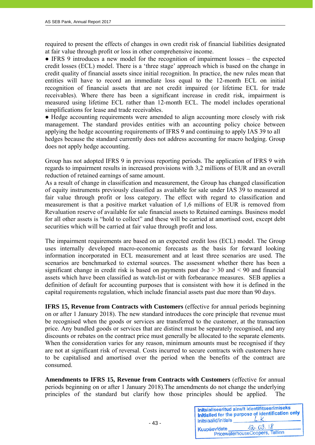required to present the effects of changes in own credit risk of financial liabilities designated at fair value through profit or loss in other comprehensive income.

● IFRS 9 introduces a new model for the recognition of impairment losses – the expected credit losses (ECL) model. There is a 'three stage' approach which is based on the change in credit quality of financial assets since initial recognition. In practice, the new rules mean that entities will have to record an immediate loss equal to the 12-month ECL on initial recognition of financial assets that are not credit impaired (or lifetime ECL for trade receivables). Where there has been a significant increase in credit risk, impairment is measured using lifetime ECL rather than 12-month ECL. The model includes operational simplifications for lease and trade receivables.

• Hedge accounting requirements were amended to align accounting more closely with risk management. The standard provides entities with an accounting policy choice between applying the hedge accounting requirements of IFRS 9 and continuing to apply IAS 39 to all hedges because the standard currently does not address accounting for macro hedging. Group does not apply hedge accounting.

Group has not adopted IFRS 9 in previous reporting periods. The application of IFRS 9 with regards to impairment results in increased provisions with 3,2 millions of EUR and an overall reduction of retained earnings of same amount.

As a result of change in classification and measurement, the Group has changed classification of equity instruments previously classified as available for sale under IAS 39 to measured at fair value through profit or loss category. The effect with regard to classification and measurement is that a positive market valuation of 1,6 millions of EUR is removed from Revaluation reserve of available for sale financial assets to Retained earnings. Business model for all other assets is "hold to collect" and these will be carried at amortised cost, except debt securities which will be carried at fair value through profit and loss.

The impairment requirements are based on an expected credit loss (ECL) model. The Group uses internally developed macro-economic forecasts as the basis for forward looking information incorporated in ECL measurement and at least three scenarios are used. The scenarios are benchmarked to external sources. The assessment whether there has been a significant change in credit risk is based on payments past due  $> 30$  and  $< 90$  and financial assets which have been classified as watch-list or with forbearance measures. SEB applies a definition of default for accounting purposes that is consistent with how it is defined in the capital requirements regulation, which include financial assets past due more than 90 days.

**IFRS 15, Revenue from Contracts with Customers** (effective for annual periods beginning on or after 1 January 2018). The new standard introduces the core principle that revenue must be recognised when the goods or services are transferred to the customer, at the transaction price. Any bundled goods or services that are distinct must be separately recognised, and any discounts or rebates on the contract price must generally be allocated to the separate elements. When the consideration varies for any reason, minimum amounts must be recognised if they are not at significant risk of reversal. Costs incurred to secure contracts with customers have to be capitalised and amortised over the period when the benefits of the contract are consumed.

**Amendments to IFRS 15, Revenue from Contracts with Customers** (effective for annual periods beginning on or after 1 January 2018).The amendments do not change the underlying principles of the standard but clarify how those principles should be applied. The

| Initsiaalid/initials | Initsialiseeritud ainult identifitseerimiseks<br>Initialled for the purpose of identification only |
|----------------------|----------------------------------------------------------------------------------------------------|
| Kuupäev/date         | 12.03.18<br>PricewaterhouseCoopers, Tallinn                                                        |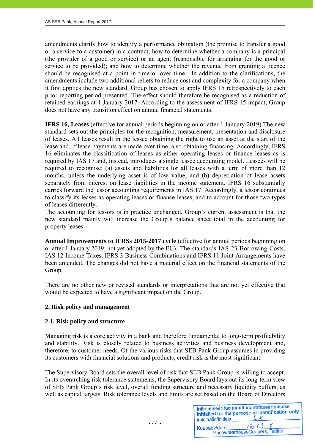amendments clarify how to identify a performance obligation (the promise to transfer a good or a service to a customer) in a contract; how to determine whether a company is a principal (the provider of a good or service) or an agent (responsible for arranging for the good or service to be provided); and how to determine whether the revenue from granting a licence should be recognised at a point in time or over time. In addition to the clarifications, the amendments include two additional reliefs to reduce cost and complexity for a company when it first applies the new standard. Group has chosen to apply IFRS 15 retrospectively to each prior reporting period presented. The effect should therefore be recognised as a reduction of retained earnings at 1 January 2017. According to the assessment of IFRS 15 impact, Group does not have any transition effect on annual financial statements.

**IFRS 16, Leases** (effective for annual periods beginning on or after 1 January 2019).The new standard sets out the principles for the recognition, measurement, presentation and disclosure of leases. All leases result in the lessee obtaining the right to use an asset at the start of the lease and, if lease payments are made over time, also obtaining financing. Accordingly, IFRS 16 eliminates the classification of leases as either operating leases or finance leases as is required by IAS 17 and, instead, introduces a single lessee accounting model. Lessees will be required to recognise: (a) assets and liabilities for all leases with a term of more than 12 months, unless the underlying asset is of low value; and (b) depreciation of lease assets separately from interest on lease liabilities in the income statement. IFRS 16 substantially carries forward the lessor accounting requirements in IAS 17. Accordingly, a lessor continues to classify its leases as operating leases or finance leases, and to account for those two types of leases differently.

The accounting for lessors is in practice unchanged. Group's current assessment is that the new standard mainly will increase the Group's balance sheet total in the accounting for property leases.

**Annual Improvements to IFRSs 2015-2017 cycle** (effective for annual periods beginning on or after 1 January 2019; not yet adopted by the EU). The standards IAS 23 Borrowing Costs, IAS 12 Income Taxes, IFRS 3 Business Combinations and IFRS 11 Joint Arrangements have been amended. The changes did not have a material effect on the financial statements of the Group.

There are no other new or revised standards or interpretations that are not yet effective that would be expected to have a significant impact on the Group.

### **2. Risk policy and management**

### **2.1. Risk policy and structure**

Managing risk is a core activity in a bank and therefore fundamental to long-term profitability and stability. Risk is closely related to business activities and business development and, therefore, to customer needs. Of the various risks that SEB Pank Group assumes in providing its customers with financial solutions and products, credit risk is the most significant.

The Supervisory Board sets the overall level of risk that SEB Pank Group is willing to accept. In its overarching risk tolerance statements, the Supervisory Board lays out its long-term view of SEB Pank Group's risk level, overall funding structure and necessary liquidity buffers, as well as capital targets. Risk tolerance levels and limits are set based on the Board of Directors

| Initsiaalid/initials | Initsialiseeritud ainult identifitseerimiseks<br>Initialled for the purpose of identification only |
|----------------------|----------------------------------------------------------------------------------------------------|
| Kuupäev/date         | 12.03.18<br>PricewaterhouseCoopers, Tallinn                                                        |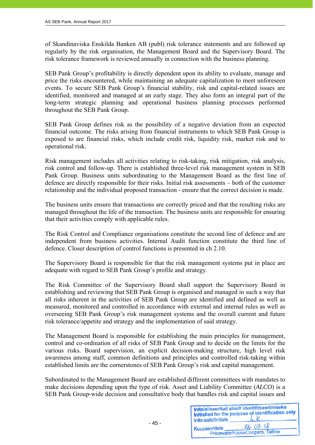of Skandinaviska Enskilda Banken AB (publ) risk tolerance statements and are followed up regularly by the risk organisation, the Management Board and the Supervisory Board. The risk tolerance framework is reviewed annually in connection with the business planning.

SEB Pank Group's profitability is directly dependent upon its ability to evaluate, manage and price the risks encountered, while maintaining an adequate capitalization to meet unforeseen events. To secure SEB Pank Group's financial stability, risk and capital-related issues are identified, monitored and managed at an early stage. They also form an integral part of the long-term strategic planning and operational business planning processes performed throughout the SEB Pank Group.

SEB Pank Group defines risk as the possibility of a negative deviation from an expected financial outcome. The risks arising from financial instruments to which SEB Pank Group is exposed to are financial risks, which include credit risk, liquidity risk, market risk and to operational risk.

Risk management includes all activities relating to risk-taking, risk mitigation, risk analysis, risk control and follow-up. There is established three-level risk management system in SEB Pank Group. Business units subordinating to the Management Board as the first line of defence are directly responsible for their risks. Initial risk assessments – both of the customer relationship and the individual proposed transaction - ensure that the correct decision is made.

The business units ensure that transactions are correctly priced and that the resulting risks are managed throughout the life of the transaction. The business units are responsible for ensuring that their activities comply with applicable rules.

The Risk Control and Compliance organisations constitute the second line of defence and are independent from business activities. Internal Audit function constitute the third line of defence. Closer description of control functions is presented in ch 2.10.

The Supervisory Board is responsible for that the risk management systems put in place are adequate with regard to SEB Pank Group's profile and strategy.

The Risk Committee of the Supervisory Board shall support the Supervisory Board in establishing and reviewing that SEB Pank Group is organised and managed in such a way that all risks inherent in the activities of SEB Pank Group are identified and defined as well as measured, monitored and controlled in accordance with external and internal rules as well as overseeing SEB Pank Group's risk management systems and the overall current and future risk tolerance/appetite and strategy and the implementation of said strategy.

The Management Board is responsible for establishing the main principles for management, control and co-ordination of all risks of SEB Pank Group and to decide on the limits for the various risks. Board supervision, an explicit decision-making structure, high level risk awareness among staff, common definitions and principles and controlled risk-taking within established limits are the cornerstones of SEB Pank Group's risk and capital management.

Subordinated to the Management Board are established different committees with mandates to make decisions depending upon the type of risk. Asset and Liability Committee (*ALCO*) is a SEB Pank Group-wide decision and consultative body that handles risk and capital issues and

| Initsiaalid/initials | Initsialiseeritud ainult identifitseerimiseks<br>Initialled for the purpose of identification only |
|----------------------|----------------------------------------------------------------------------------------------------|
| Kuupäev/date         | 12.03.18<br>PricewaterhouseCoopers, Tallinn                                                        |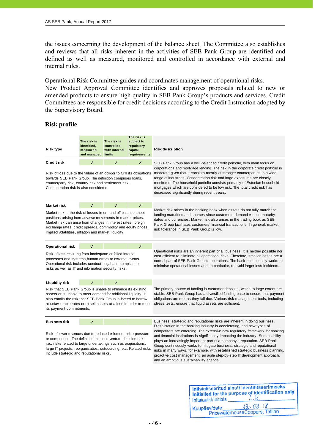the issues concerning the development of the balance sheet. The Committee also establishes and reviews that all risks inherent in the activities of SEB Pank Group are identified and defined as well as measured, monitored and controlled in accordance with external and internal rules.

Operational Risk Committee guides and coordinates management of operational risks. New Product Approval Committee identifies and approves proposals related to new or amended products to ensure high quality in SEB Pank Group's products and services. Credit Committees are responsible for credit decisions according to the Credit Instruction adopted by the Supervisory Board.

#### **Risk profile**

| <b>Risk type</b>                                                                                                                                                                                                                                                                                                                                              | The risk is<br>identified,<br>measured<br>and managed limits | The risk is<br>controlled<br>with internal | The risk is<br>subject to<br>regulatory<br>capital<br>requirements | <b>Risk description</b>                                                                                                                                                                                                                                                                                                                                                                                                                                                                                                                                                                                                                              |
|---------------------------------------------------------------------------------------------------------------------------------------------------------------------------------------------------------------------------------------------------------------------------------------------------------------------------------------------------------------|--------------------------------------------------------------|--------------------------------------------|--------------------------------------------------------------------|------------------------------------------------------------------------------------------------------------------------------------------------------------------------------------------------------------------------------------------------------------------------------------------------------------------------------------------------------------------------------------------------------------------------------------------------------------------------------------------------------------------------------------------------------------------------------------------------------------------------------------------------------|
| <b>Credit risk</b><br>$\checkmark$<br>$\checkmark$<br>$\checkmark$<br>Risk of loss due to the failure of an obligor to fulfil its obligations<br>towards SEB Pank Group. The definition comprises loans,<br>counterparty risk, country risk and settlement risk.<br>Concentration risk is also considered.                                                    |                                                              |                                            |                                                                    | SEB Pank Group has a well-balanced credit portfolio, with main focus on<br>corporations and mortgage lending. The risk in the corporate credit portfolio is<br>moderate given that it consists mostly of stronger counterparties in a wide<br>range of industries. Concentration risk and large exposures are closely<br>monitored. The household portfolio consists primarily of Estonian household<br>mortgages which are considered to be low risk. The total credit risk has<br>decreased significantly during recent years.                                                                                                                     |
| <b>Market risk</b><br>✓<br>√<br>✓<br>Market risk is the risk of losses in on- and off-balance sheet<br>positions arising from adverse movements in market prices.<br>Market risk can arise from changes in interest rates, foreign<br>exchange rates, credit spreads, commodity and equity prices,<br>implied volatilities, inflation and market liquidity.   |                                                              |                                            |                                                                    | Market risk arises in the banking book when assets do not fully match the<br>funding maturities and sources since customers demand various maturity<br>dates and currencies. Market risk also arises in the trading book as SEB<br>Pank Group facilitates customers' financial transactions. In general, market<br>risk tolerance in SEB Pank Group is low.                                                                                                                                                                                                                                                                                          |
| <b>Operational risk</b><br>$\checkmark$<br>✓<br>Risk of loss resulting from inadequate or failed internal<br>processes and systems, human errors or external events.<br>Operational risk includes conduct, legal and compliance<br>risks as well as IT and information security risks.                                                                        |                                                              |                                            |                                                                    | Operational risks are an inherent part of all business. It is neither possible nor<br>cost efficient to eliminate all operational risks. Therefore, smaller losses are a<br>normal part of SEB Pank Group's operations. The bank continuously works to<br>minimise operational losses and, in particular, to avoid larger loss incidents.                                                                                                                                                                                                                                                                                                            |
| $\checkmark$<br>$\checkmark$<br><b>Liquidity risk</b><br>Risk that SEB Pank Group is unable to refinance its existing<br>assets or is unable to meet demand for additional liquidity. It<br>also entails the risk that SEB Pank Group is forced to borrow<br>at unfavourable rates or to sell assets at a loss in order to meet<br>its payment commitments.   |                                                              |                                            |                                                                    | The primary source of funding is customer deposits, which to large extent are<br>stable. SEB Pank Group has a diversified funding base to ensure that payment<br>obligations are met as they fall due. Various risk management tools, including<br>stress tests, ensure that liquid assets are sufficient.                                                                                                                                                                                                                                                                                                                                           |
| $\checkmark$<br><b>Business risk</b><br>Risk of lower revenues due to reduced volumes, price pressure<br>or competition. The definition includes venture decision risk,<br>i.e., risks related to large undertakings such as acquisitions,<br>large IT projects, reorganisatios, outsourcing, etc. Related risks<br>include strategic and reputational risks. |                                                              |                                            |                                                                    | Business, strategic and reputational risks are inherent in doing business.<br>Digitalisation in the banking industry is accelerating, and new types of<br>competitors are emerging. The extensive new regulatory framework for banking<br>and financial institutions is significantly impacting the industry. Sustainability<br>plays an increasingly important part of a company's reputation. SEB Pank<br>Group continuously works to mitigate business, strategic and reputational<br>risks in many ways, for example, with established strategic business planning,<br>proactive cost management, an agile step-by-step IT development approach, |

and an ambitious sustainability agenda.

| Initsiaalid/initials | Initsialiseeritud ainult identifitseerimiseks<br>Initialled for the purpose of identification only |
|----------------------|----------------------------------------------------------------------------------------------------|
| Kuupäev/date         | 12.03.18<br>PricewaterhouseCoopers, Tallinn                                                        |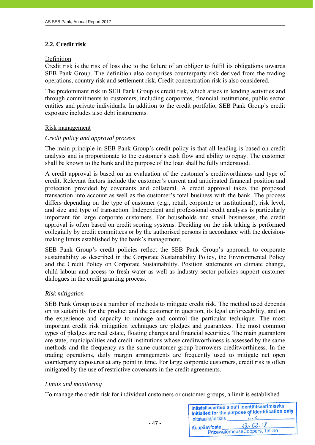### **2.2. Credit risk**

#### Definition

Credit risk is the risk of loss due to the failure of an obligor to fulfil its obligations towards SEB Pank Group. The definition also comprises counterparty risk derived from the trading operations, country risk and settlement risk. Credit concentration risk is also considered.

The predominant risk in SEB Pank Group is credit risk, which arises in lending activities and through commitments to customers, including corporates, financial institutions, public sector entities and private individuals. In addition to the credit portfolio, SEB Pank Group's credit exposure includes also debt instruments.

### Risk management

### *Credit policy and approval process*

The main principle in SEB Pank Group's credit policy is that all lending is based on credit analysis and is proportionate to the customer's cash flow and ability to repay. The customer shall be known to the bank and the purpose of the loan shall be fully understood.

A credit approval is based on an evaluation of the customer's creditworthiness and type of credit. Relevant factors include the customer's current and anticipated financial position and protection provided by covenants and collateral. A credit approval takes the proposed transaction into account as well as the customer's total business with the bank. The process differs depending on the type of customer (e.g., retail, corporate or institutional), risk level, and size and type of transaction. Independent and professional credit analysis is particularly important for large corporate customers. For households and small businesses, the credit approval is often based on credit scoring systems. Deciding on the risk taking is performed collegially by credit committees or by the authorised persons in accordance with the decisionmaking limits established by the bank's management.

SEB Pank Group's credit policies reflect the SEB Pank Group's approach to corporate sustainability as described in the Corporate Sustainability Policy, the Environmental Policy and the Credit Policy on Corporate Sustainability. Position statements on climate change, child labour and access to fresh water as well as industry sector policies support customer dialogues in the credit granting process.

### *Risk mitigation*

SEB Pank Group uses a number of methods to mitigate credit risk. The method used depends on its suitability for the product and the customer in question, its legal enforceability, and on the experience and capacity to manage and control the particular technique. The most important credit risk mitigation techniques are pledges and guarantees. The most common types of pledges are real estate, floating charges and financial securities. The main guarantors are state, municipalities and credit institutions whose creditworthiness is assessed by the same methods and the frequency as the same customer group borrowers creditworthiness. In the trading operations, daily margin arrangements are frequently used to mitigate net open counterparty exposures at any point in time. For large corporate customers, credit risk is often mitigated by the use of restrictive covenants in the credit agreements.

### *Limits and monitoring*

To manage the credit risk for individual customers or customer groups, a limit is established

Initsialiseeritud ainult identifitseerimiseks Initialled for the purpose of identification only  $L_{\star}$ Initsiaalid/initials  $12.03.18$ Kuupäev/date PricewaterhouseCoopers, Tallinn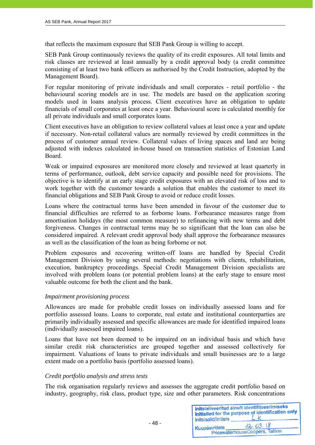that reflects the maximum exposure that SEB Pank Group is willing to accept.

SEB Pank Group continuously reviews the quality of its credit exposures. All total limits and risk classes are reviewed at least annually by a credit approval body (a credit committee consisting of at least two bank officers as authorised by the Credit Instruction, adopted by the Management Board).

For regular monitoring of private individuals and small corporates - retail portfolio - the behavioural scoring models are in use. The models are based on the application scoring models used in loans analysis process. Client executives have an obligation to update financials of small corporates at least once a year. Behavioural score is calculated monthly for all private individuals and small corporates loans.

Client executives have an obligation to review collateral values at least once a year and update if necessary. Non-retail collateral values are normally reviewed by credit committees in the process of customer annual review. Collateral values of living spaces and land are being adjusted with indexes calculated in-house based on transaction statistics of Estonian Land Board.

Weak or impaired exposures are monitored more closely and reviewed at least quarterly in terms of performance, outlook, debt service capacity and possible need for provisions. The objective is to identify at an early stage credit exposures with an elevated risk of loss and to work together with the customer towards a solution that enables the customer to meet its financial obligations and SEB Pank Group to avoid or reduce credit losses.

Loans where the contractual terms have been amended in favour of the customer due to financial difficulties are referred to as forborne loans. Forbearance measures range from amortisation holidays (the most common measure) to refinancing with new terms and debt forgiveness. Changes in contractual terms may be so significant that the loan can also be considered impaired. A relevant credit approval body shall approve the forbearance measures as well as the classification of the loan as being forborne or not.

Problem exposures and recovering written-off loans are handled by Special Credit Management Division by using several methods: negotiations with clients, rehabilitation, execution, bankruptcy proceedings. Special Credit Management Division specialists are involved with problem loans (or potential problem loans) at the early stage to ensure most valuable outcome for both the client and the bank.

### *Impairment provisioning process*

Allowances are made for probable credit losses on individually assessed loans and for portfolio assessed loans. Loans to corporate, real estate and institutional counterparties are primarily individually assessed and specific allowances are made for identified impaired loans (individually assessed impaired loans).

Loans that have not been deemed to be impaired on an individual basis and which have similar credit risk characteristics are grouped together and assessed collectively for impairment. Valuations of loans to private individuals and small businesses are to a large extent made on a portfolio basis (portfolio assessed loans).

### *Credit portfolio analysis and stress tests*

The risk organisation regularly reviews and assesses the aggregate credit portfolio based on industry, geography, risk class, product type, size and other parameters. Risk concentrations

| Initsiaalid/initials | Initsialiseeritud ainult identifitseerimiseks<br>Initialled for the purpose of identification only |
|----------------------|----------------------------------------------------------------------------------------------------|
| Kuupäev/date         | 12.03.18<br>PricewaterhouseCoopers, Tallinn                                                        |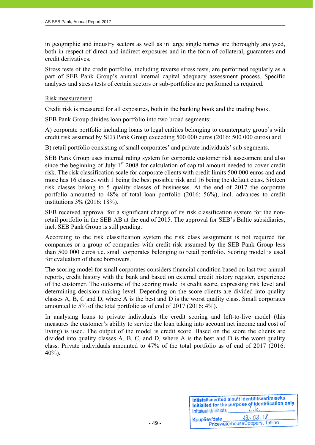in geographic and industry sectors as well as in large single names are thoroughly analysed, both in respect of direct and indirect exposures and in the form of collateral, guarantees and credit derivatives.

Stress tests of the credit portfolio, including reverse stress tests, are performed regularly as a part of SEB Pank Group's annual internal capital adequacy assessment process. Specific analyses and stress tests of certain sectors or sub-portfolios are performed as required.

#### Risk measurement

Credit risk is measured for all exposures, both in the banking book and the trading book.

SEB Pank Group divides loan portfolio into two broad segments:

A) corporate portfolio including loans to legal entities belonging to counterparty group's with credit risk assumed by SEB Pank Group exceeding 500 000 euros (2016: 500 000 euros) and

B) retail portfolio consisting of small corporates' and private individuals' sub-segments.

SEB Pank Group uses internal rating system for corporate customer risk assessment and also since the beginning of July  $1<sup>st</sup> 2008$  for calculation of capital amount needed to cover credit risk. The risk classification scale for corporate clients with credit limits 500 000 euros and and more has 16 classes with 1 being the best possible risk and 16 being the default class. Sixteen risk classes belong to 5 quality classes of businesses. At the end of 2017 the corporate portfolio amounted to 48% of total loan portfolio (2016: 56%), incl. advances to credit institutions 3% (2016: 18%).

SEB received approval for a significant change of its risk classification system for the nonretail portfolio in the SEB AB at the end of 2015. The approval for SEB's Baltic subsidiaries, incl. SEB Pank Group is still pending.

According to the risk classification system the risk class assignment is not required for companies or a group of companies with credit risk assumed by the SEB Pank Group less than 500 000 euros i.e. small corporates belonging to retail portfolio. Scoring model is used for evaluation of these borrowers.

The scoring model for small corporates considers financial condition based on last two annual reports, credit history with the bank and based on external credit history register, experience of the customer. The outcome of the scoring model is credit score, expressing risk level and determining decision-making level. Depending on the score clients are divided into quality classes A, B, C and D, where A is the best and D is the worst quality class. Small corporates amounted to 5% of the total portfolio as of end of 2017 (2016: 4%).

In analysing loans to private individuals the credit scoring and left-to-live model (this measures the customer's ability to service the loan taking into account net income and cost of living) is used. The output of the model is credit score. Based on the score the clients are divided into quality classes A, B, C, and D, where A is the best and D is the worst quality class. Private individuals amounted to 47% of the total portfolio as of end of 2017 (2016: 40%).

| Initsiaalid/initials | Initsialiseeritud ainult identifitseerimiseks<br>Initialled for the purpose of identification only |
|----------------------|----------------------------------------------------------------------------------------------------|
| Kuupäev/date         | 12.03.18<br>PricewaterhouseCoopers, Tallinn                                                        |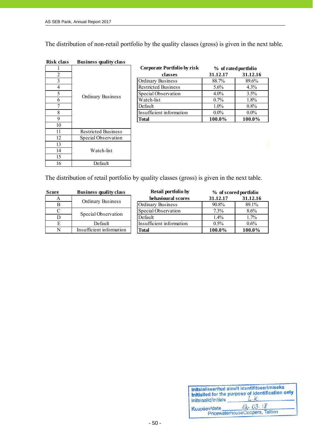The distribution of non-retail portfolio by the quality classes (gross) is given in the next table.

| <b>Risk class</b> | <b>Business quality class</b> |
|-------------------|-------------------------------|
|                   |                               |
| 2                 |                               |
| 3                 |                               |
| $\overline{4}$    |                               |
| 5                 |                               |
| 6                 | Ordinary Business             |
| 7                 |                               |
| 8                 |                               |
| 9                 |                               |
| 10                |                               |
| 11                | <b>Restricted Business</b>    |
| 12                | Special Observation           |
| 13                |                               |
| 14                | Watch-list                    |
| 15                |                               |
| 16                | Default                       |

|                |                          | <b>Corporate Portfolio by risk</b> | % of rated portfolio |          |  |  |
|----------------|--------------------------|------------------------------------|----------------------|----------|--|--|
| $\overline{c}$ |                          | classes                            | 31.12.17             | 31.12.16 |  |  |
|                |                          | <b>Ordinary Business</b>           | 88.7%                | 89.6%    |  |  |
| 4              |                          | <b>Restricted Business</b>         | $5.6\%$              | $4.3\%$  |  |  |
| 5              |                          | Special Observation                | $4.0\%$              | $3.5\%$  |  |  |
| 6              | <b>Ordinary Business</b> | Watch-list                         | $0.7\%$              | 1.8%     |  |  |
|                |                          | Default                            | $1.0\%$              | $0.8\%$  |  |  |
| $\overline{8}$ |                          | Insufficient information           | $0.0\%$              | $0.0\%$  |  |  |
| q              |                          | <b>Total</b>                       | 100.0%               | 100.0%   |  |  |
|                |                          |                                    |                      |          |  |  |

The distribution of retail portfolio by quality classes (gross) is given in the next table.

| <b>Business quality class</b><br>Score |                          | Retail po        |
|----------------------------------------|--------------------------|------------------|
|                                        | Ordinary Business        | behaviou         |
|                                        |                          | Ordinary Busin   |
| C                                      |                          | Special Observ   |
|                                        | Special Observation      | Default          |
| E                                      | Default                  | Insufficient inf |
|                                        | Insufficient information | Total            |

| Score | <b>Business quality class</b> | Retail portfolio by      | % of scored portfolio |          |  |  |
|-------|-------------------------------|--------------------------|-----------------------|----------|--|--|
|       |                               | behavioural scores       | 31.12.17              | 31.12.16 |  |  |
|       | Ordinary Business             | <b>Ordinary Business</b> | 90.8%                 | 89.1%    |  |  |
|       |                               | Special Observation      | $7.3\%$               | 8.6%     |  |  |
|       | Special Observation           | Default                  | $1.4\%$               | $1.7\%$  |  |  |
|       | Default                       | Insufficient information | $0.5\%$               | $0.6\%$  |  |  |
| N     | Insufficient information      | <b>Total</b>             | 100.0%                | 100.0%   |  |  |

| Initsiaalid/initials | Initsialiseeritud ainult identifitseerimiseks<br>Initialled for the purpose of identification only |
|----------------------|----------------------------------------------------------------------------------------------------|
| Kuupäev/date         | 12.03.18<br>PricewaterhouseCoopers, Tallinn                                                        |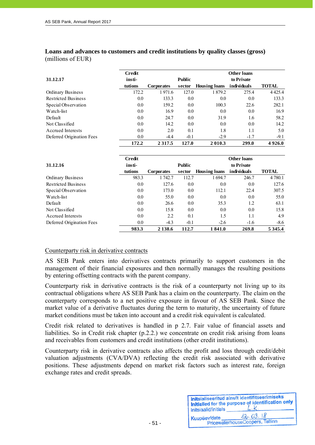| 31.12.17                   | <b>Credit</b><br>insti- | <b>Public</b>     |        |                      | <b>Other loans</b><br>to Private |              |  |  |
|----------------------------|-------------------------|-------------------|--------|----------------------|----------------------------------|--------------|--|--|
|                            | tutions                 | <b>Corporates</b> | sector | <b>Housing loans</b> | individuals                      | <b>TOTAL</b> |  |  |
| <b>Ordinary Business</b>   | 172.2                   | 1971.6            | 127.0  | 1879.2               | 275.4                            | 4425.4       |  |  |
| <b>Restricted Business</b> | 0.0                     | 133.3             | 0.0    | 0.0                  | 0.0                              | 133.3        |  |  |
| Special Observation        | 0.0                     | 159.2             | 0.0    | 100.3                | 22.6                             | 282.1        |  |  |
| Watch-list                 | 0.0                     | 16.9              | 0.0    | 0.0                  | 0.0                              | 16.9         |  |  |
| Default                    | 0.0                     | 24.7              | 0.0    | 31.9                 | 1.6                              | 58.2         |  |  |
| Not Classified             | 0.0                     | 14.2              | 0.0    | 0.0                  | 0.0                              | 14.2         |  |  |
| <b>Accrued Interests</b>   | 0.0                     | 2.0               | 0.1    | 1.8                  | 1.1                              | 5.0          |  |  |
| Deferred Origination Fees  | 0.0                     | $-4.4$            | $-0.1$ | $-2.9$               | $-1.7$                           | $-9.1$       |  |  |
|                            | 172.2                   | 2 3 1 7 .5        | 127.0  | 2010.3               | 299.0                            | 4926.0       |  |  |

### **Loans and advances to customers and credit institutions by quality classes (gross)**  (millions of EUR)

|                            | <b>Credit</b> |                   |        |                      | <b>Other loans</b> |              |  |  |
|----------------------------|---------------|-------------------|--------|----------------------|--------------------|--------------|--|--|
| 31.12.16                   | insti-        | <b>Public</b>     |        |                      | to Private         |              |  |  |
|                            | tutions       | <b>Corporates</b> | sector | <b>Housing loans</b> | <i>individuals</i> | <b>TOTAL</b> |  |  |
| <b>Ordinary Business</b>   | 983.3         | 1742.7            | 112.7  | 1 694.7              | 246.7              | 4 7 8 0.1    |  |  |
| <b>Restricted Business</b> | 0.0           | 127.6             | 0.0    | 0.0                  | 0.0                | 127.6        |  |  |
| Special Observation        | 0.0           | 173.0             | 0.0    | 112.1                | 22.4               | 307.5        |  |  |
| Watch-list                 | 0.0           | 55.0              | 0.0    | 0.0                  | 0.0                | 55.0         |  |  |
| Default                    | 0.0           | 26.6              | 0.0    | 35.3                 | 1.2                | 63.1         |  |  |
| Not Classified             | 0.0           | 15.8              | 0.0    | 0.0                  | 0.0                | 15.8         |  |  |
| Accrued Interests          | 0.0           | 2.2               | 0.1    | 1.5                  | 1.1                | 4.9          |  |  |
| Deferred Origination Fees  | 0.0           | $-4.3$            | $-0.1$ | $-2.6$               | $-1.6$             | $-8.6$       |  |  |
|                            | 983.3         | 2 1 3 8 . 6       | 112.7  | 1841.0               | 269.8              | 5 3 4 5 .4   |  |  |

### Counterparty risk in derivative contracts

AS SEB Pank enters into derivatives contracts primarily to support customers in the management of their financial exposures and then normally manages the resulting positions by entering offsetting contracts with the parent company.

Counterparty risk in derivative contracts is the risk of a counterparty not living up to its contractual obligations where AS SEB Pank has a claim on the counterparty. The claim on the counterparty corresponds to a net positive exposure in favour of AS SEB Pank. Since the market value of a derivative fluctuates during the term to maturity, the uncertainty of future market conditions must be taken into account and a credit risk equivalent is calculated.

Credit risk related to derivatives is handled in p 2.7. Fair value of financial assets and liabilities. So in Credit risk chapter (p.2.2.) we concentrate on credit risk arising from loans and receivables from customers and credit institutions (other credit institutions).

Counterparty risk in derivative contracts also affects the profit and loss through credit/debit valuation adjustments (CVA/DVA) reflecting the credit risk associated with derivative positions. These adjustments depend on market risk factors such as interest rate, foreign exchange rates and credit spreads.

|                      | Initsialiseeritud ainult identifitseerimiseks<br>Initialled for the purpose of identification only |
|----------------------|----------------------------------------------------------------------------------------------------|
| Initsiaalid/initials |                                                                                                    |
| Kuupäev/date         | 12.03.18<br>PricewaterhouseCoopers, Tallinn                                                        |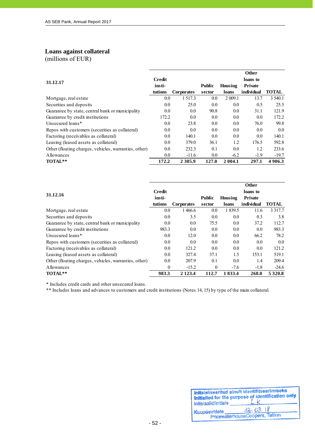# **Loans against collateral**

(millions of EUR)

|                                                       |         |                   |               |            | Other      |              |
|-------------------------------------------------------|---------|-------------------|---------------|------------|------------|--------------|
| 31.12.17                                              | Credit  |                   |               |            | loans to   |              |
|                                                       | insti-  |                   | <b>Public</b> | Housing    | Private    |              |
|                                                       | tutions | <b>Corporates</b> | sector        | loans      | individual | <b>TOTAL</b> |
| Mortgage, real estate                                 | 0.0     | 1517.3            | 0.0           | 2 0 0 9 .1 | 13.7       | 3 540.1      |
| Securities and deposits                               | 0.0     | 25.0              | 0.0           | 0.0        | 0.5        | 25.5         |
| Guarantee by state, central bank or municipality      | 0.0     | 0.0               | 90.8          | 0.0        | 31.1       | 121.9        |
| Guarantee by credit institutions                      | 172.2   | 0.0               | 0.0           | 0.0        | 0.0        | 172.2        |
| Unsecured loans*                                      | 0.0     | 23.8              | 0.0           | 0.0        | 76.0       | 99.8         |
| Repos with customers (securities as collateral)       | 0.0     | 0.0               | 0.0           | 0.0        | 0.0        | 0.0          |
| Factoring (receivables as collateral)                 | $0.0\,$ | 140.1             | 0.0           | 0.0        | 0.0        | 140.1        |
| Leasing (leased assets as collateral)                 | 0.0     | 379.0             | 36.1          | 1.2        | 176.5      | 592.8        |
| Other (floating charges, vehicles, warranties, other) | 0.0     | 232.3             | 0.1           | 0.0        | 1.2        | 233.6        |
| Allowances                                            | $0.0\,$ | $-11.6$           | 0.0           | $-6.2$     | $-1.9$     | $-19.7$      |
| TOTAL**                                               | 172.2   | 2 3 0 5 .9        | 127.0         | 2 0 0 4 .1 | 297.1      | 4 9 0 6.3    |

|                                                       |              |                   |               |           | Other      |              |
|-------------------------------------------------------|--------------|-------------------|---------------|-----------|------------|--------------|
| 31.12.16                                              | Credit       |                   |               |           | loans to   |              |
|                                                       | insti-       |                   | <b>Public</b> | Housing   | Private    |              |
|                                                       | tutions      | <b>Corporates</b> | sector        | loans     | individual | <b>TOTAL</b> |
| Mortgage, real estate                                 | 0.0          | 1466.6            | 0.0           | 1 8 3 9.5 | 11.6       | 3 3 1 7 . 7  |
| Securities and deposits                               | 0.0          | 3.5               | 0.0           | 0.0       | 0.3        | 3.8          |
| Guarantee by state, central bank or municipality      | 0.0          | 0.0               | 75.5          | 0.0       | 37.2       | 112.7        |
| Guarantee by credit institutions                      | 983.3        | 0.0               | 0.0           | 0.0       | 0.0        | 983.3        |
| Unsecured loans*                                      | 0.0          | 12.0              | 0.0           | 0.0       | 66.2       | 78.2         |
| Repos with customers (securities as collateral)       | 0.0          | 0.0               | 0.0           | 0.0       | 0.0        | 0.0          |
| Factoring (receivables as collateral)                 | 0.0          | 121.2             | 0.0           | 0.0       | 0.0        | 121.2        |
| Leasing (leased assets as collateral)                 | 0.0          | 327.4             | 37.1          | 1.5       | 153.1      | 519.1        |
| Other (floating charges, vehicles, warranties, other) | 0.0          | 207.9             | 0.1           | 0.0       | 1.4        | 209.4        |
| Allowances                                            | $\mathbf{0}$ | $-15.2$           | $\theta$      | $-7.6$    | $-1.8$     | $-24.6$      |
| TOTAL**                                               | 983.3        | 2 1 2 3 .4        | 112.7         | 1833.4    | 268.0      | 5 3 2 0.8    |

\* Includes credit cards and other unsecured loans.

\*\* Includes loans and advances to customers and credit institutions (Notes 14, 15) by type of the main collateral.

| Initsiaalid/initials | Initsialiseeritud ainult identifitseerimiseks<br>Initialled for the purpose of identification only |
|----------------------|----------------------------------------------------------------------------------------------------|
| Kuupäev/date         | 12.03.18<br>PricewaterhouseCoopers, Tallinn                                                        |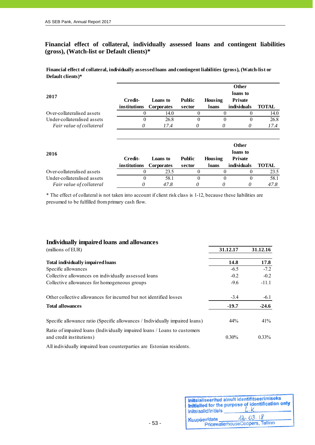### **Financial effect of collateral, individually assessed loans and contingent liabilities (gross), (Watch-list or Default clients)\***

**Financial effect of collateral, individually assessed loans and contingent liabilities (gross), (Watch-list or Default clients)\***

|                             |              |                   |               |         | <b>Other</b>   |       |
|-----------------------------|--------------|-------------------|---------------|---------|----------------|-------|
| 2017                        |              |                   |               |         | loans to       |       |
|                             | Credit-      | Loans to          | <b>Public</b> | Housing | <b>Private</b> |       |
|                             | institutions | <b>Corporates</b> | sector        | loans   | individuals    | TOTAL |
| Over-collateralised assets  |              | 14.0              | $\theta$      |         |                | 14.0  |
| Under-collateralised assets |              | 26.8              | $\theta$      |         | $_{0}$         | 26.8  |
| Fair value of collateral    |              | 174               | 0             |         | $\theta$       | 17.4  |
|                             |              |                   |               |         |                |       |

| 2016                        | Credit-<br>institutions | Loans to<br><b>Corporates</b> | <b>Public</b><br>sector | Housing<br>loans | <b>Other</b><br>loans to<br><b>Private</b><br>individuals | TOTAL |
|-----------------------------|-------------------------|-------------------------------|-------------------------|------------------|-----------------------------------------------------------|-------|
| Over-collateralised assets  |                         | 23.5                          |                         |                  |                                                           | 23.5  |
| Under-collateralised assets |                         | 58.1                          |                         |                  |                                                           | 58.1  |
| Fair value of collateral    |                         | 47.8                          | 0                       |                  |                                                           | 47.8  |

\* The effect of collateral is not taken into account if client risk class is 1-12, because these liabilities are presumed to be fulfilled from primary cash flow.

### **Individually impaired loans and allowances**

| (millions of EUR)                                                                                                                                                                                                                | 31.12.17 | 31.12.16 |
|----------------------------------------------------------------------------------------------------------------------------------------------------------------------------------------------------------------------------------|----------|----------|
| Total individually impaired loans                                                                                                                                                                                                | 14.8     | 17.8     |
| Specific allowances                                                                                                                                                                                                              | $-6.5$   | $-7.2$   |
| Collective allowances on individually assessed loans                                                                                                                                                                             | $-0.2$   | $-0.2$   |
| Collective allowances for homogeneous groups                                                                                                                                                                                     | $-9.6$   | $-11.1$  |
| Other collective allowances for incurred but not identified losses                                                                                                                                                               | $-3.4$   | $-6.1$   |
| <b>Total allowances</b>                                                                                                                                                                                                          | $-19.7$  | $-24.6$  |
| Specific allowance ratio (Specific allowances / Individually impaired loans)                                                                                                                                                     | 44%      | 41%      |
| Ratio of impaired loans (Individually impaired loans / Loans to customers<br>and credit institutions)                                                                                                                            | $0.30\%$ | $0.33\%$ |
| $\mathbf{A}$ and the state of the state of the state of the state of the state of the state of the state of the state of the state of the state of the state of the state of the state of the state of the state of the state of |          |          |

All individually impaired loan counterparties are Estonian residents.

| Initsiaalid/initials | Initsialiseeritud ainult identifitseerimiseks<br>Initialled for the purpose of identification only |
|----------------------|----------------------------------------------------------------------------------------------------|
| Kuupäev/date         | 12.03.18<br>PricewaterhouseCoopers, Tallinn                                                        |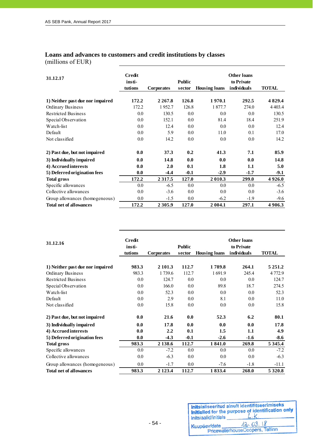# **Loans and advances to customers and credit institutions by classes**

(millions of EUR)

| 31.12.17                         | <b>Credit</b><br>insti-<br>tutions | <b>Corporates</b> | <b>Public</b><br>sector | <b>Housing loans</b> | <b>Other loans</b><br>to Private<br>individuals | <b>TOTAL</b> |
|----------------------------------|------------------------------------|-------------------|-------------------------|----------------------|-------------------------------------------------|--------------|
| 1) Neither past due nor impaired | 172.2                              | 2 2 6 7 .8        | 126.8                   | 1970.1               | 292.5                                           | 4829.4       |
| <b>Ordinary Business</b>         | 172.2                              | 1952.7            | 126.8                   | 1877.7               | 274.0                                           | 4 4 0 3.4    |
| <b>Restricted Business</b>       | 0.0                                | 130.5             | $0.0\,$                 | 0.0                  | 0.0                                             | 130.5        |
| Special Observation              | 0.0                                | 152.1             | 0.0                     | 81.4                 | 18.4                                            | 251.9        |
| Watch-list                       | 0.0                                | 12.4              | 0.0                     | 0.0                  | 0.0                                             | 12.4         |
| Default                          | 0.0                                | 5.9               | 0.0                     | 11.0                 | 0.1                                             | 17.0         |
| Not classified                   | 0.0                                | 14.2              | 0.0                     | 0.0                  | 0.0                                             | 14.2         |
| 2) Past due, but not impaired    | 0.0                                | 37.3              | 0.2                     | 41.3                 | 7.1                                             | 85.9         |
| 3) Individually impaired         | 0.0                                | 14.8              | 0.0                     | 0.0                  | 0.0                                             | 14.8         |
| 4) Accrued interests             | 0.0                                | 2.0               | 0.1                     | 1.8                  | 1.1                                             | 5.0          |
| 5) Deferred origination fees     | 0.0                                | $-4.4$            | $-0.1$                  | $-2.9$               | $-1.7$                                          | $-9.1$       |
| <b>Total gross</b>               | 172.2                              | 2 3 1 7 .5        | 127.0                   | 2 0 1 0 .3           | 299.0                                           | 4926.0       |
| Specific allowances              | 0.0                                | $-6.5$            | 0.0                     | 0.0                  | 0.0                                             | $-6.5$       |
| Collective allowances            | 0.0                                | $-3.6$            | 0.0                     | 0.0                  | 0.0                                             | $-3.6$       |
| Group allowances (homogeneous)   | 0.0                                | $-1.5$            | 0.0                     | $-6.2$               | $-1.9$                                          | $-9.6$       |
| <b>Total net of allowances</b>   | 172.2                              | 2 3 0 5 .9        | 127.0                   | 2 004.1              | 297.1                                           | 4 9 0 6.3    |

| 31.12.16                         | Credit<br>insti-<br>tutions | <b>Corporates</b> | <b>Public</b><br>sector | <b>Housing loans</b> | <b>Other loans</b><br>to Private<br>individuals | <b>TOTAL</b> |
|----------------------------------|-----------------------------|-------------------|-------------------------|----------------------|-------------------------------------------------|--------------|
|                                  |                             |                   |                         |                      |                                                 |              |
| 1) Neither past due nor impaired | 983.3                       | 2 101.3           | 112.7                   | 1789.8               | 264.1                                           | 5 2 5 1 .2   |
| Ordinary Business                | 983.3                       | 1739.6            | 112.7                   | 1691.9               | 245.4                                           | 4 7 7 2.9    |
| <b>Restricted Business</b>       | 0.0                         | 124.7             | 0.0                     | 0.0                  | 0.0                                             | 124.7        |
| Special Observation              | 0.0                         | 166.0             | 0.0                     | 89.8                 | 18.7                                            | 274.5        |
| Watch-list                       | 0.0                         | 52.3              | 0.0                     | 0.0                  | 0.0                                             | 52.3         |
| Default                          | 0.0                         | 2.9               | 0.0                     | 8.1                  | 0.0                                             | 11.0         |
| Not classified                   | 0.0                         | 15.8              | 0.0                     | 0.0                  | 0.0                                             | 15.8         |
| 2) Past due, but not impaired    | 0.0                         | 21.6              | 0.0                     | 52.3                 | 6.2                                             | 80.1         |
| 3) Individually impaired         | 0.0                         | 17.8              | 0.0                     | 0.0                  | 0.0                                             | 17.8         |
| 4) Accrued interests             | 0.0                         | 2.2               | 0.1                     | 1.5                  | 1.1                                             | 4.9          |
| 5) Deferred origination fees     | 0.0                         | $-4.3$            | $-0.1$                  | $-2.6$               | $-1.6$                                          | $-8.6$       |
| <b>Total gross</b>               | 983.3                       | 2 1 3 8 . 6       | 112.7                   | 1841.0               | 269.8                                           | 5 3 4 5 .4   |
| Specific allowances              | 0.0                         | $-7.2$            | 0.0                     | 0.0                  | 0.0                                             | $-7.2$       |
| Collective allowances            | 0.0                         | $-6.3$            | 0.0                     | 0.0                  | $0.0\,$                                         | $-6.3$       |
| Group allowances (homogeneous)   | 0.0                         | $-1.7$            | 0.0                     | $-7.6$               | $-1.8$                                          | $-11.1$      |
| <b>Total net of allowances</b>   | 983.3                       | 2 1 2 3 .4        | 112.7                   | 1833.4               | 268.0                                           | 5 3 2 0.8    |

| Initsiaalid/initials | Initsialiseeritud ainult identifitseerimiseks<br>Initialled for the purpose of identification only |
|----------------------|----------------------------------------------------------------------------------------------------|
| Kuupäev/date         | 12.03.18<br>PricewaterhouseCoopers, Tallinn                                                        |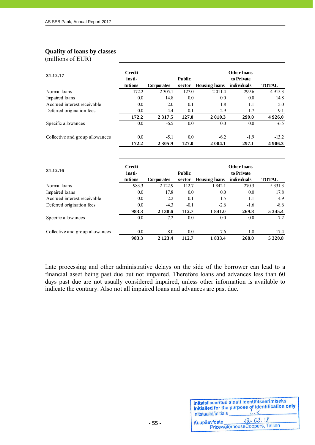### **Quality of loans by classes**

(millions of EUR)

| 31.12.17                        | <b>Credit</b><br>insti- |                   | <b>Public</b> |                      | <b>Other loans</b><br>to Private |              |
|---------------------------------|-------------------------|-------------------|---------------|----------------------|----------------------------------|--------------|
|                                 | tutions                 | <b>Corporates</b> | sector        | <b>Housing loans</b> | individuals                      | <b>TOTAL</b> |
| Normal loans                    | 172.2                   | 2 3 0 5 1         | 127.0         | 2011.4               | 299.6                            | 4915.3       |
| Impaired loans                  | 0.0                     | 14.8              | 0.0           | 0.0                  | 0.0                              | 14.8         |
| Accrued interest receivable     | 0.0                     | 2.0               | 0.1           | 1.8                  | 1.1                              | 5.0          |
| Deferred origination fees       | 0.0                     | $-4.4$            | $-0.1$        | $-2.9$               | $-1.7$                           | $-9.1$       |
|                                 | 172.2                   | 2 3 1 7 .5        | 127.0         | 2010.3               | 299.0                            | 4926.0       |
| Specific allowances             | 0.0                     | $-6.5$            | 0.0           | 0.0                  | 0.0                              | $-6.5$       |
| Collective and group allowances | 0.0                     | $-5.1$            | 0.0           | $-6.2$               | $-1.9$                           | $-13.2$      |
|                                 | 172.2                   | 2 3 0 5 .9        | 127.0         | 2 0 0 4.1            | 297.1                            | 4 9 0 6.3    |

| 31.12.16                        | Credit<br>insti- |                   | <b>Public</b> |                      | Other loans<br>to Private |              |
|---------------------------------|------------------|-------------------|---------------|----------------------|---------------------------|--------------|
|                                 | tutions          | <b>Corporates</b> | sector        | <b>Housing loans</b> | <i>individuals</i>        | <b>TOTAL</b> |
| Normal loans                    | 983.3            | 2 1 2 2 9         | 112.7         | 1842.1               | 270.3                     | 5 3 3 1 .3   |
| Impaired loans                  | 0.0              | 17.8              | 0.0           | 0.0                  | 0.0                       | 17.8         |
| Accrued interest receivable     | 0.0              | 2.2               | 0.1           | 1.5                  | 1.1                       | 4.9          |
| Deferred origination fees       | 0.0              | $-4.3$            | $-0.1$        | $-2.6$               | $-1.6$                    | $-8.6$       |
|                                 | 983.3            | 2 1 3 8 . 6       | 112.7         | 1841.0               | 269.8                     | 5 3 4 5 .4   |
| Specific allowances             | 0.0              | $-7.2$            | 0.0           | 0.0                  | 0.0                       | $-7.2$       |
| Collective and group allowances | 0.0              | $-8.0$            | 0.0           | $-7.6$               | $-1.8$                    | $-17.4$      |
|                                 | 983.3            | 2 1 2 3 .4        | 112.7         | 1833.4               | 268.0                     | 5 3 2 0.8    |

Late processing and other administrative delays on the side of the borrower can lead to a financial asset being past due but not impaired. Therefore loans and advances less than 60 days past due are not usually considered impaired, unless other information is available to indicate the contrary. Also not all impaired loans and advances are past due.

| Initsiaalid/initials | Initsialiseeritud ainult identifitseerimiseks<br>Initialled for the purpose of identification only |
|----------------------|----------------------------------------------------------------------------------------------------|
| Kuupäev/date         | 12.03.18<br>PricewaterhouseCoopers, Tallinn                                                        |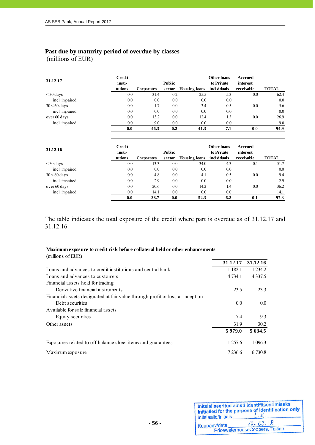# **Past due by maturity period of overdue by classes**

(millions of EUR)

| 31.12.17       | Credit<br>insti-<br>tutions | <b>Corporates</b> | <b>Public</b><br>sector | <b>Housing loans</b> | Other loans<br>to Private<br>individuals | Accrued<br>interest<br>receivable | <b>TOTAL</b> |
|----------------|-----------------------------|-------------------|-------------------------|----------------------|------------------------------------------|-----------------------------------|--------------|
| $<$ 30 days    | 0.0                         | 31.4              | 0.2                     | 25.5                 | 5.3                                      | 0.0                               | 62.4         |
| incl. impaired | 0.0                         | 0.0               | 0.0                     | 0.0                  | 0.0                                      |                                   | 0.0          |
| $30 < 60$ days | 0.0                         | 1.7               | 0.0                     | 3.4                  | 0.5                                      | 0.0                               | 5.6          |
| incl. impaired | 0.0                         | 0.0               | 0.0                     | 0.0                  | 0.0                                      |                                   | 0.0          |
| over 60 days   | 0.0                         | 13.2              | 0.0                     | 12.4                 | 1.3                                      | 0.0                               | 26.9         |
| incl. impaired | 0.0                         | 9.0               | 0.0                     | 0.0                  | 0.0                                      |                                   | 9.0          |
|                | 0.0                         | 46.3              | 0.2                     | 41.3                 | 7.1                                      | 0.0                               | 94.9         |

| 31.12.16       | <b>Credit</b><br>insti- |                   | <b>Public</b> |                      | <b>Other loans</b><br>to Private | Accrued<br>interest |              |
|----------------|-------------------------|-------------------|---------------|----------------------|----------------------------------|---------------------|--------------|
|                | tutions                 | <b>Corporates</b> | sector        | <b>Housing loans</b> | individuals                      | receivable          | <b>TOTAL</b> |
| $\leq$ 30 days | 0.0                     | 13.3              | 0.0           | 34.0                 | 4.3                              | 0.1                 | 51.7         |
| incl. impaired | 0.0                     | 0.0               | 0.0           | 0.0                  | 0.0                              |                     | 0.0          |
| $30 < 60$ days | 0.0                     | 4.8               | 0.0           | 4.1                  | 0.5                              | 0.0                 | 9.4          |
| incl. impaired | 0.0                     | 2.9               | 0.0           | 0.0                  | 0.0                              |                     | 2.9          |
| over 60 days   | 0.0                     | 20.6              | 0.0           | 14.2                 | 1.4                              | 0.0                 | 36.2         |
| incl. impaired | 0.0                     | 14.1              | 0.0           | 0.0                  | 0.0                              |                     | 14.1         |
|                | 0.0                     | 38.7              | 0.0           | 52.3                 | 6.2                              | 0.1                 | 97.3         |

The table indicates the total exposure of the credit where part is overdue as of 31.12.17 and 31.12.16.

# **Maximum exposure to credit risk before collateral held or other enhancements**

(millions of EUR)

|                                                                               | 31.12.17    | 31.12.16         |
|-------------------------------------------------------------------------------|-------------|------------------|
| Loans and advances to credit institutions and central bank                    | 1 1 8 2 . 1 | 1 2 3 4 .2       |
| Loans and advances to customers                                               | 4 7 34.1    | 4 3 3 7 .5       |
| Financial assets held for trading                                             |             |                  |
| Derivative financial instruments                                              | 23.5        | 23.3             |
| Financial assets designated at fair value through profit or loss at inception |             |                  |
| Debt securities                                                               | 0.0         | 0.0 <sub>1</sub> |
| Available for sale financial assets                                           |             |                  |
| Equity securities                                                             | 7.4         | 9.3              |
| Other assets                                                                  | 31.9        | 30.2             |
|                                                                               | 5979.0      | 5 6 3 4 .5       |
| Exposures related to off-balance sheet items and guarantees                   | 1 2 5 7 . 6 | 1 0 9 6.3        |
| Maximum exposure                                                              | 7 2 3 6.6   | 6 730.8          |

| Initsiaalid/initials | Initsialiseeritud ainult identifitseerimiseks<br>Initialled for the purpose of identification only |
|----------------------|----------------------------------------------------------------------------------------------------|
| Kuupäev/date         | 12.03.18<br>PricewaterhouseCoopers, Tallinn                                                        |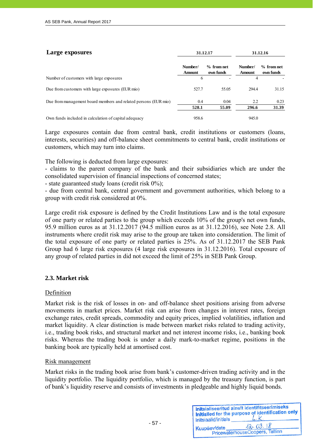| Large exposures                                                 |                          | 31.12.17                  | 31.12.16                 |                           |  |
|-----------------------------------------------------------------|--------------------------|---------------------------|--------------------------|---------------------------|--|
|                                                                 | Number/<br><b>Amount</b> | $%$ from net<br>own funds | Number/<br><b>Amount</b> | $%$ from net<br>own funds |  |
| Number of customers with large exposures                        | 6                        |                           | 4                        |                           |  |
| Due from customers with large exposures (EUR mio)               | 527.7                    | 55.05                     | 294.4                    | 31.15                     |  |
| Due from management board members and related persons (EUR mio) | 0.4                      | 0.04                      | 2.2                      | 0.23                      |  |
|                                                                 | 528.1                    | 55.09                     | 296.6                    | 31.39                     |  |
| Own funds included in calculation of capital adequacy           | 958.6                    |                           | 945.0                    |                           |  |

Large exposures contain due from central bank, credit institutions or customers (loans, interests, securities) and off-balance sheet commitments to central bank, credit institutions or customers, which may turn into claims.

The following is deducted from large exposures:

- claims to the parent company of the bank and their subsidiaries which are under the consolidated supervision of financial inspections of concerned states;

- state guaranteed study loans (credit risk 0%);

- due from central bank, central government and government authorities, which belong to a group with credit risk considered at 0%.

Large credit risk exposure is defined by the Credit Institutions Law and is the total exposure of one party or related parties to the group which exceeds 10% of the group's net own funds, 95.9 million euros as at 31.12.2017 (94.5 million euros as at 31.12.2016), see Note 2.8. All instruments where credit risk may arise to the group are taken into consideration. The limit of the total exposure of one party or related parties is 25%. As of 31.12.2017 the SEB Pank Group had 6 large risk exposures (4 large risk exposures in 31.12.2016). Total exposure of any group of related parties in did not exceed the limit of 25% in SEB Pank Group.

### **2.3. Market risk**

### Definition

Market risk is the risk of losses in on- and off-balance sheet positions arising from adverse movements in market prices. Market risk can arise from changes in interest rates, foreign exchange rates, credit spreads, commodity and equity prices, implied volatilities, inflation and market liquidity. A clear distinction is made between market risks related to trading activity, i.e., trading book risks, and structural market and net interest income risks, i.e., banking book risks. Whereas the trading book is under a daily mark-to-market regime, positions in the banking book are typically held at amortised cost.

### Risk management

Market risks in the trading book arise from bank's customer-driven trading activity and in the liquidity portfolio. The liquidity portfolio, which is managed by the treasury function, is part of bank's liquidity reserve and consists of investments in pledgeable and highly liquid bonds.

| Initsiaalid/initials | Initsialiseeritud ainult identifitseerimiseks<br>Initialled for the purpose of identification only |
|----------------------|----------------------------------------------------------------------------------------------------|
| Kuupäev/date         | 12.03.18<br>PricewaterhouseCoopers, Tallinn                                                        |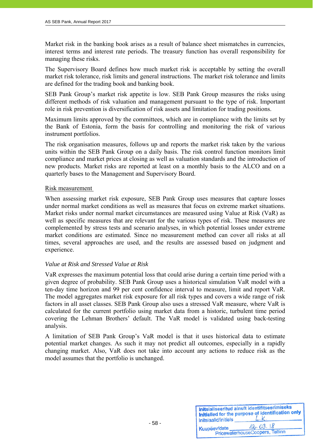Market risk in the banking book arises as a result of balance sheet mismatches in currencies, interest terms and interest rate periods. The treasury function has overall responsibility for managing these risks.

The Supervisory Board defines how much market risk is acceptable by setting the overall market risk tolerance, risk limits and general instructions. The market risk tolerance and limits are defined for the trading book and banking book.

SEB Pank Group's market risk appetite is low. SEB Pank Group measures the risks using different methods of risk valuation and management pursuant to the type of risk. Important role in risk prevention is diversification of risk assets and limitation for trading positions.

Maximum limits approved by the committees, which are in compliance with the limits set by the Bank of Estonia, form the basis for controlling and monitoring the risk of various instrument portfolios.

The risk organisation measures, follows up and reports the market risk taken by the various units within the SEB Pank Group on a daily basis. The risk control function monitors limit compliance and market prices at closing as well as valuation standards and the introduction of new products. Market risks are reported at least on a monthly basis to the ALCO and on a quarterly bases to the Management and Supervisory Board.

#### Risk measurement

When assessing market risk exposure, SEB Pank Group uses measures that capture losses under normal market conditions as well as measures that focus on extreme market situations. Market risks under normal market circumstances are measured using Value at Risk (VaR) as well as specific measures that are relevant for the various types of risk. These measures are complemented by stress tests and scenario analyses, in which potential losses under extreme market conditions are estimated. Since no measurement method can cover all risks at all times, several approaches are used, and the results are assessed based on judgment and experience.

### *Value at Risk and Stressed Value at Risk*

VaR expresses the maximum potential loss that could arise during a certain time period with a given degree of probability. SEB Pank Group uses a historical simulation VaR model with a ten-day time horizon and 99 per cent confidence interval to measure, limit and report VaR. The model aggregates market risk exposure for all risk types and covers a wide range of risk factors in all asset classes. SEB Pank Group also uses a stressed VaR measure, where VaR is calculated for the current portfolio using market data from a historic, turbulent time period covering the Lehman Brothers' default. The VaR model is validated using back-testing analysis.

A limitation of SEB Pank Group's VaR model is that it uses historical data to estimate potential market changes. As such it may not predict all outcomes, especially in a rapidly changing market. Also, VaR does not take into account any actions to reduce risk as the model assumes that the portfolio is unchanged.

| Initsiaalid/initials | Initsialiseeritud ainult identifitseerimiseks<br>Initialled for the purpose of identification only |
|----------------------|----------------------------------------------------------------------------------------------------|
| Kuupäev/date         | 12.03.18<br>PricewaterhouseCoopers, Tallinn                                                        |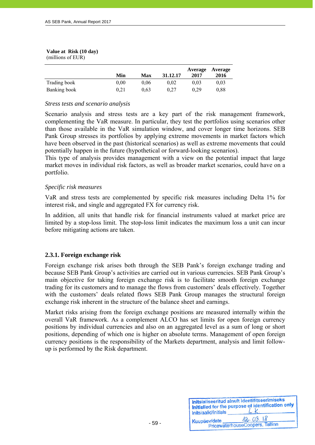#### **Value at Risk (10 day)**  (millions of EUR)

|              | Min  | Max  | 31.12.17 | Average<br>2017 | Average<br>2016 |
|--------------|------|------|----------|-----------------|-----------------|
| Trading book | 0.00 | 0.06 | 0.02     | 0.03            | 0.03            |
| Banking book | 0.21 | 0.63 | 0.27     | 0.29            | 0.88            |

### *Stress tests and scenario analysis*

Scenario analysis and stress tests are a key part of the risk management framework, complementing the VaR measure. In particular, they test the portfolios using scenarios other than those available in the VaR simulation window, and cover longer time horizons. SEB Pank Group stresses its portfolios by applying extreme movements in market factors which have been observed in the past (historical scenarios) as well as extreme movements that could potentially happen in the future (hypothetical or forward-looking scenarios).

This type of analysis provides management with a view on the potential impact that large market moves in individual risk factors, as well as broader market scenarios, could have on a portfolio.

#### *Specific risk measures*

VaR and stress tests are complemented by specific risk measures including Delta 1% for interest risk, and single and aggregated FX for currency risk.

In addition, all units that handle risk for financial instruments valued at market price are limited by a stop-loss limit. The stop-loss limit indicates the maximum loss a unit can incur before mitigating actions are taken.

### **2.3.1. Foreign exchange risk**

Foreign exchange risk arises both through the SEB Pank's foreign exchange trading and because SEB Pank Group's activities are carried out in various currencies. SEB Pank Group's main objective for taking foreign exchange risk is to facilitate smooth foreign exchange trading for its customers and to manage the flows from customers' deals effectively. Together with the customers' deals related flows SEB Pank Group manages the structural foreign exchange risk inherent in the structure of the balance sheet and earnings.

Market risks arising from the foreign exchange positions are measured internally within the overall VaR framework. As a complement ALCO has set limits for open foreign currency positions by individual currencies and also on an aggregated level as a sum of long or short positions, depending of which one is higher on absolute terms. Management of open foreign currency positions is the responsibility of the Markets department, analysis and limit followup is performed by the Risk department.

| Initsiaalid/initials | Initsialiseeritud ainult identifitseerimiseks<br>Initialled for the purpose of identification only |
|----------------------|----------------------------------------------------------------------------------------------------|
| Kuupäev/date         | 12.03.18<br>PricewaterhouseCoopers, Tallinn                                                        |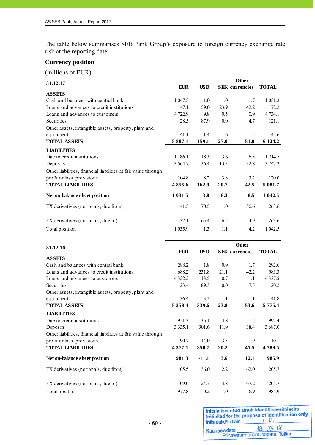The table below summarises SEB Pank Group's exposure to foreign currency exchange rate risk at the reporting date.

# **Currency position**

(millions of EUR)

|                                                                |            |            |      | Other                 |              |
|----------------------------------------------------------------|------------|------------|------|-----------------------|--------------|
| 31.12.17                                                       | <b>EUR</b> | <b>USD</b> |      | <b>SEK</b> currencies | <b>TOTAL</b> |
| <b>ASSETS</b>                                                  |            |            |      |                       |              |
| Cash and balances with central bank                            | 1 047.5    | 1.0        | 1.0  | 1.7                   | 1 0 5 1 .2   |
| Loans and advances to credit institutions                      | 47.1       | 59.0       | 23.9 | 42.2                  | 172.2        |
| Loans and advances to customers                                | 4722.9     | 9.8        | 0.5  | 0.9                   | 4734.1       |
| Securities                                                     | 28.5       | 87.9       | 0.0  | 4.7                   | 121.1        |
| Other assets, intangible assets, property, plant and           |            |            |      |                       |              |
| equipment                                                      | 41.1       | 1.4        | 1.6  | 1.5                   | 45.6         |
| <b>TOTAL ASSETS</b>                                            | 5887.1     | 159.1      | 27.0 | 51.0                  | 6 1 2 4 .2   |
| <b>LIABILITIES</b>                                             |            |            |      |                       |              |
| Due to credit institutions                                     | 1 1 8 6 .1 | 18.3       | 3.6  | 6.5                   | 1 2 1 4 .5   |
| Deposits                                                       | 3 5 6 4.7  | 136.4      | 13.3 | 32.8                  | 3747.2       |
| Other liabilities, financial liabilities at fair value through |            |            |      |                       |              |
| profit or loss, provisions                                     | 104.8      | 8.2        | 3.8  | 3.2                   | 120.0        |
| <b>TOTAL LIABILITIES</b>                                       | 4855.6     | 162.9      | 20.7 | 42.5                  | 5 081.7      |
| Net on-balance sheet position                                  | 1 0 3 1.5  | $-3.8$     | 6.3  | 8.5                   | 1 042.5      |
| FX derivatives (notionals, due from)                           | 141.5      | 70.5       | 1.0  | 50.6                  | 263.6        |
| FX derivatives (notionals, due to)                             | 137.1      | 65.4       | 6.2  | 54.9                  | 263.6        |
| Total position                                                 | 1 0 3 5.9  | 1.3        | 1.1  | 4.2                   | 1 042.5      |
|                                                                |            |            |      | <b>Other</b>          |              |
| 31.12.16                                                       | <b>EUR</b> | <b>USD</b> |      | <b>SEK</b> currencies | <b>TOTAL</b> |
| <b>ASSETS</b>                                                  |            |            |      |                       |              |
| Cash and balances with central bank                            | 288.2      | 1.8        | 0.9  | 1.7                   | 292.6        |
| Loans and advances to credit institutions                      | 688.2      | 231.8      | 21.1 | 42.2                  | 983.3        |
| Loans and advances to customers                                | 4 3 2 2.2  | 13.5       | 0.7  | 1.1                   | 4 3 3 7 .5   |
| Securities                                                     | 23.4       | 89.3       | 0.0  | 7.5                   | 120.2        |
| Other assets, intangible assets, property, plant and           |            |            |      |                       |              |
| equipment                                                      | 36.4       | 3.2        | 1.1  | 1.1                   | 41.8         |
| <b>TOTAL ASSETS</b>                                            | 5 3 5 8.4  | 339.6      | 23.8 | 53.6                  | 5 7 7 5 .4   |
| <b>LIABILITIES</b>                                             |            |            |      |                       |              |
| Due to credit institutions                                     | 951.3      | 35.1       | 4.8  | 1.2                   | 992.4        |
| Deposits                                                       | 3 3 3 5 .1 | 301.6      | 11.9 | 38.4                  | 3687.0       |
| Other liabilities, financial liabilities at fair value through |            |            |      |                       |              |
| profit or loss, provisions                                     | 90.7       | 14.0       | 3.5  | 1.9                   | 110.1        |
| <b>TOTAL LIABILITIES</b>                                       | 4377.1     | 350.7      | 20.2 | 41.5                  | 4789.5       |
| Net on-balance sheet position                                  | 981.3      | $-11.1$    | 3.6  | 12.1                  | 985.9        |

| FX derivatives (notionals, due from) | 105.5 | 36.0          | 2.2 | 62.0 | 205.7 |
|--------------------------------------|-------|---------------|-----|------|-------|
| FX derivatives (notionals, due to)   | 109.0 | 24.7          | 48  | 67.2 | 205.7 |
| Total position                       | 977.8 | $0.2^{\circ}$ | 10  | 6.9  | 985.9 |

| Initsiaalid/initials | Initsialiseeritud ainult identifitseerimiseks<br>Initialled for the purpose of identification only |
|----------------------|----------------------------------------------------------------------------------------------------|
| Kuupäev/date         | 12.03.18<br>PricewaterhouseCoopers, Tallinn                                                        |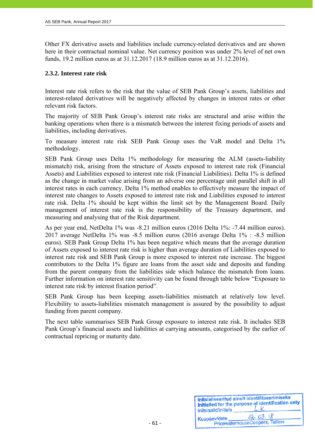Other FX derivative assets and liabilities include currency-related derivatives and are shown here in their contractual nominal value. Net currency position was under 2% level of net own funds, 19.2 million euros as at 31.12.2017 (18.9 million euros as at 31.12.2016).

### **2.3.2. Interest rate risk**

Interest rate risk refers to the risk that the value of SEB Pank Group's assets, liabilities and interest-related derivatives will be negatively affected by changes in interest rates or other relevant risk factors.

The majority of SEB Pank Group's interest rate risks are structural and arise within the banking operations when there is a mismatch between the interest fixing periods of assets and liabilities, including derivatives.

To measure interest rate risk SEB Pank Group uses the VaR model and Delta 1% methodology.

SEB Pank Group uses Delta 1% methodology for measuring the ALM (assets-liability mismatch) risk, arising from the structure of Assets exposed to interest rate risk (Financial Assets) and Liabilities exposed to interest rate risk (Financial Liabilities). Delta 1% is defined as the change in market value arising from an adverse one percentage unit parallel shift in all interest rates in each currency. Delta 1% method enables to effectively measure the impact of interest rate changes to Assets exposed to interest rate risk and Liabilities exposed to interest rate risk. Delta 1% should be kept within the limit set by the Management Board. Daily management of interest rate risk is the responsibility of the Treasury department, and measuring and analysing that of the Risk department.

As per year end, NetDelta 1% was -8.21 million euros (2016 Delta 1%: -7.44 million euros). 2017 average NetDelta 1% was -8.5 million euros (2016 average Delta 1% : -8.5 million euros). SEB Pank Group Delta 1% has been negative which means that the average duration of Assets exposed to interest rate risk is higher than average duration of Liabilities exposed to interest rate risk and SEB Pank Group is more exposed to interest rate increase. The biggest contributors to the Delta 1% figure are loans from the asset side and deposits and funding from the parent company from the liabilities side which balance the mismatch from loans. Further information on interest rate sensitivity can be found through table below "Exposure to interest rate risk by interest fixation period".

SEB Pank Group has been keeping assets-liabilities mismatch at relatively low level. Flexibility to assets-liabilities mismatch management is assured by the possibility to adjust funding from parent company.

The next table summarises SEB Pank Group exposure to interest rate risk. It includes SEB Pank Group's financial assets and liabilities at carrying amounts, categorised by the earlier of contractual repricing or maturity date.

| Initsiaalid/initials | Initsialiseeritud ainult identifitseerimiseks<br>Initialled for the purpose of identification only |
|----------------------|----------------------------------------------------------------------------------------------------|
| Kuupäev/date         | 12.03.18<br>PricewaterhouseCoopers, Tallinn                                                        |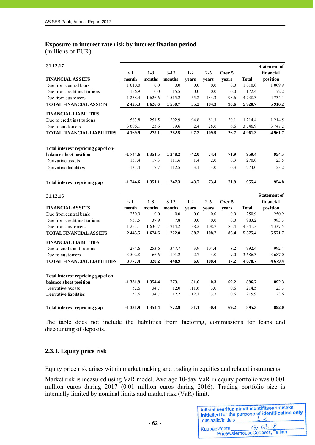### **Exposure to interest rate risk by interest fixation period**

(millions of EUR)

| 31.12.17                                         |                     |               |               |              |              |              |                  | <b>Statement of</b>   |
|--------------------------------------------------|---------------------|---------------|---------------|--------------|--------------|--------------|------------------|-----------------------|
|                                                  | $\leq 1$            | $1-3$         | $3-12$        | $1-2$        | $2 - 5$      | Over 5       |                  | financial             |
| <b>FINANCIAL ASSETS</b><br>Due from central bank | month<br>1 0 1 0 .0 | months<br>0.0 | months<br>0.0 | vears<br>0.0 | years<br>0.0 | years<br>0.0 | Total<br>1 010.0 | position<br>1 0 0 9.9 |
| Due from credit institutions                     | 156.9               | 0.0           | 15.5          | 0.0          | 0.0          | 0.0          | 172.4            | 172.2                 |
| Due from customers                               | 1 2 5 8 . 4         | 1 626.6       | 1515.2        | 55.2         | 184.3        | 98.6         | 4738.3           | 4 7 3 4 .1            |
| <b>TOTAL FINANCIAL ASSETS</b>                    | 2425.3              | 1626.6        | 1530.7        | 55.2         | 184.3        | 98.6         | 5920.7           | 5916.2                |
|                                                  |                     |               |               |              |              |              |                  |                       |
| <b>FINANCIAL LIABILITIES</b>                     | 563.8               | 251.5         | 202.9         | 94.8         | 81.3         | 20.1         | 1 2 1 4 .4       | 1 2 1 4 .5            |
| Due to credit institutions                       | 3 606.1             | 23.6          | 79.6          | 2.4          | 28.6         | 6.6          | 3746.9           | 3 747.2               |
| Due to customers                                 |                     |               |               |              |              |              |                  |                       |
| <b>TOTAL FINANCIAL LIABILITIES</b>               | 4 1 6 9.9           | 275.1         | 282.5         | 97.2         | 109.9        | 26.7         | 4 9 6 1.3        | 4961.7                |
| Total interest repricing gap of on-              |                     |               |               |              |              |              |                  |                       |
| balance sheet position                           | $-1744.6$           | 1 3 5 1 .5    | 1 248.2       | $-42.0$      | 74.4         | 71.9         | 959.4            | 954.5                 |
| Derivative assets                                | 137.4               | 17.3          | 111.6         | 1.4          | 2.0          | 0.3          | 270.0            | 23.5                  |
| Derivative liabilities                           | 137.4               | 17.7          | 112.5         | 3.1          | 3.0          | 0.3          | 274.0            | 23.2                  |
| Total interest repricing gap                     | $-1744.6$           | 1 3 5 1 .1    | 1 247.3       | $-43.7$      | 73.4         | 71.9         | 955.4            | 954.8                 |
| 31.12.16                                         |                     |               |               |              |              |              |                  | <b>Statement of</b>   |
|                                                  | $\leq 1$            | $1-3$         | $3-12$        | $1 - 2$      | $2 - 5$      | Over 5       |                  | financial             |
| <b>FINANCIAL ASSETS</b>                          | month               | months        | months        | vears        | vears        | vears        | Total            | position              |
| Due from central bank                            | 250.9               | 0.0           | 0.0           | 0.0          | 0.0          | 0.0          | 250.9            | 250.9                 |
| Due from credit institutions                     | 937.5               | 37.9          | 7.8           | 0.0          | 0.0          | 0.0          | 983.2            | 983.3                 |
| Due from customers                               | 1 2 5 7 .1          | 1636.7        | 1 2 1 4 .2    | 38.2         | 108.7        | 86.4         | 4 3 4 1 . 3      | 4 3 3 7 . 5           |
| <b>TOTAL FINANCIAL ASSETS</b>                    | 2445.5              | 1674.6        | 1 2 2 2.0     | 38.2         | 108.7        | 86.4         | 5 5 7 5 .4       | 5 5 7 1 .7            |
| <b>FINANCIAL LIABILITIES</b>                     |                     |               |               |              |              |              |                  |                       |
| Due to credit institutions                       | 274.6               | 253.6         | 347.7         | 3.9          | 104.4        | 8.2          | 992.4            | 992.4                 |
| Due to customers                                 | 3 502.8             | 66.6          | 101.2         | 2.7          | 4.0          | 9.0          | 3 686.3          | 3 687.0               |
| <b>TOTAL FINANCIAL LIABILITIES</b>               | 3777.4              | 320.2         | 448.9         | 6.6          | 108.4        | 17.2         | 4678.7           | 4 679.4               |
| Total interest repricing gap of on-              |                     |               |               |              |              |              |                  |                       |
| balance sheet position                           | $-1331.9$           | 1 3 5 4 .4    | 773.1         | 31.6         | 0.3          | 69.2         | 896.7            | 892.3                 |
| Derivative assets                                | 52.6                | 34.7          | 12.0          | 111.6        | 3.0          | 0.6          | 214.5            | 23.3                  |
| Derivative liabilities                           | 52.6                | 34.7          | 12.2          | 112.1        | 3.7          | 0.6          | 215.9            | 23.6                  |
| Total interest repricing gap                     | $-1331.9$           | 1 3 5 4 .4    | 772.9         | 31.1         | $-0.4$       | 69.2         | 895.3            | 892.0                 |

The table does not include the liabilities from factoring, commissions for loans and discounting of deposits.

### **2.3.3. Equity price risk**

Equity price risk arises within market making and trading in equities and related instruments.

Market risk is measured using VaR model. Average 10-day VaR in equity portfolio was 0.001 million euros during 2017 (0.01 million euros during 2016). Trading portfolio size is internally limited by nominal limits and market risk (VaR) limit.

| Initsiaalid/initials | Initsialiseeritud ainult identifitseerimiseks<br>Initialled for the purpose of identification only |
|----------------------|----------------------------------------------------------------------------------------------------|
| Kuupäev/date         | 12.03.18<br>PricewaterhouseCoopers, Tallinn                                                        |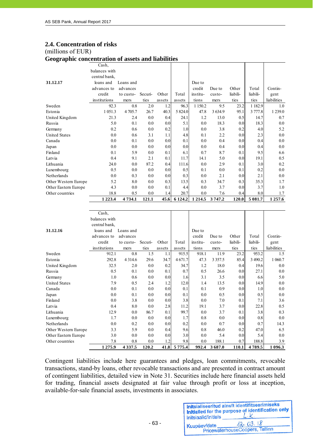### **2.4. Concentration of risks**

### (millions of EUR)

**Geographic concentration of assets and liabilities**

|                      | Cash,         |            |         |                  |            |            |           |          |             |             |
|----------------------|---------------|------------|---------|------------------|------------|------------|-----------|----------|-------------|-------------|
|                      | balances with |            |         |                  |            |            |           |          |             |             |
|                      | central bank, |            |         |                  |            |            |           |          |             |             |
| 31.12.17             | loans and     | Loans and  |         |                  |            | Due to     |           |          |             |             |
|                      | advances to   | advances   |         |                  |            | credit     | Due to    | Other    | Total       | Contin-     |
|                      | credit        | to custo-  | Securi- | Other            | Total      | institu-   | custo-    | liabili- | liabili-    | gent        |
|                      | institutions  | mers       | ties    | assets           | assets     | tions      | mers      | ties     | ties        | liabilities |
| Sweden               | 92.3          | 0.8        | 2.0     | 1.2              | 96.3       | 1 1 5 0 .2 | 9.5       | 23.2     | 1 1 8 2 . 9 | 1.0         |
| Estonia              | 1 0 5 1 .3    | 4 7 0 5 .7 | 26.7    | 40.3             | 5 824.0    | 47.8       | 3 6 3 4.9 | 95.1     | 3 777.8     | 1 2 3 9 . 0 |
| United Kingdom       | 21.3          | 2.4        | 0.0     | 0.4              | 24.1       | 1.2        | 13.0      | 0.5      | 14.7        | 0.7         |
| Russia               | 5.0           | 0.1        | 0.0     | 0.0              | 5.1        | 0.0        | 18.3      | 0.0      | 18.3        | 0.0         |
| Germany              | 0.2           | 0.6        | 0.0     | 0.2              | 1.0        | 0.0        | 3.8       | 0.2      | 4.0         | 5.2         |
| <b>United States</b> | 0.0           | 0.6        | 3.1     | 1.1              | 4.8        | 0.1        | 2.2       | 0.0      | 2.3         | 0.0         |
| Canada               | 0.0           | 0.1        | 0.0     | 0.0 <sub>1</sub> | 0.1        | 0.0        | 0.4       | 0.0      | 0.4         | 0.0         |
| Japan                | 0.0           | 0.0        | 0.0     | 0.0              | 0.0        | 0.0        | 0.4       | 0.0      | 0.4         | 0.0         |
| Finland              | 0.1           | 5.9        | 0.0     | 0.1              | 6.1        | 0.7        | 8.7       | 0.1      | 9.5         | 6.6         |
| Latvia               | 0.4           | 9.1        | 2.1     | 0.1              | 11.7       | 14.1       | 5.0       | 0.0      | 19.1        | 0.5         |
| Lithuania            | 24.0          | 0.0        | 87.2    | 0.4              | 111.6      | 0.0        | 2.9       | 0.1      | 3.0         | 0.2         |
| Luxembourg           | 0.5           | 0.0        | 0.0     | 0.0              | 0.5        | 0.1        | 0.0       | 0.1      | 0.2         | 0.0         |
| Netherlands          | 0.0           | 0.3        | 0.0     | 0.0              | 0.3        | 0.0        | 2.1       | 0.0      | 2.1         | 0.0         |
| Other Western Europe | 5.2           | 8.0        | 0.0     | 0.3              | 13.5       | 0.3        | 34.7      | 0.3      | 35.3        | 1.7         |
| Other Eastern Europe | 4.3           | 0.0        | 0.0     | 0.1              | 4.4        | 0.0        | 3.7       | 0.0      | 3.7         | 1.0         |
| Other countries      | 18.8          | 0.5        | 0.0     | 1.4              | 20.7       | 0.0        | 7.6       | 0.4      | 8.0         | 1.7         |
|                      | 1 2 2 3 .4    | 4734.1     | 121.1   | 45.6             | 6 1 2 4 .2 | 1 2 1 4 .5 | 3 747.2   | 120.0    | 5 081.7     | 1 257.6     |
|                      |               |            |         |                  |            |            |           |          |             |             |
|                      |               |            |         |                  |            |            |           |          |             |             |

|                      | 1275.9                | 4 3 3 7 .5            | 120.2   | 41.8   | 5 7 7 5 .4 | 992.4              | 3687.0           | 110.1             | 4789.5            | 1 096.3             |
|----------------------|-----------------------|-----------------------|---------|--------|------------|--------------------|------------------|-------------------|-------------------|---------------------|
| Other countries      | 7.8                   | 0.8                   | $0.0\,$ | 1.2    | 9.8        | 0.0                | 188.1            | 0.7               | 188.8             | 3.9                 |
| Other Eastern Europe | 3.0                   | 0.0                   | 0.0     | 0.0    | 3.0        | 0.0                | 5.4              | 0.0               | 5.4               | 0.0                 |
| Other Western Europe | 3.3                   | 5.9                   | 0.0     | 0.4    | 9.6        | 0.8                | 46.0             | 0.2               | 47.0              | 6.5                 |
| Netherlands          | 0.0                   | 0.2                   | 0.0     | 0.0    | 0.2        | 0.0                | 0.7              | 0.0               | 0.7               | 14.3                |
| Luxembourg           | 1.7                   | 0.0                   | 0.0     | 0.0    | 1.7        | 0.8                | 0.0              | 0.0               | 0.8               | $0.0\,$             |
| Lithuania            | 12.9                  | 0.0                   | 86.7    | 0.1    | 99.7       | 0.0                | 3.7              | 0.1               | 3.8               | 0.3                 |
| Latvia               | 0.4                   | 8.0                   | 0.0     | 2.8    | 11.2       | 19.1               | 3.7              | 0.0               | 22.8              | 0.5                 |
| Finland              | 0.0                   | 3.8                   | 0.0     | 0.0    | 3.8        | 0.0                | 7.0              | 0.1               | 7.1               | 3.6                 |
| Japan                | 0.0                   | 0.1                   | 0.0     | 0.0    | 0.1        | 0.0                | 0.5              | 0.0               | 0.5               | 0.0                 |
| Canada               | 0.0                   | 0.1                   | 0.0     | 0.0    | 0.1        | 0.1                | 0.9              | 0.0               | 1.0               | $0.0\,$             |
| <b>United States</b> | 7.9                   | 0.5                   | 2.4     | 1.2    | 12.0       | 1.4                | 13.5             | 0.0               | 14.9              | $0.0\,$             |
| Germany              | 1.0                   | 0.6                   | 0.0     | 0.0    | 1.6        | 3.1                | 3.5              | 0.0               | 6.6               | 5.0                 |
| Russia               | 0.5                   | 0.1                   | 0.0     | 0.1    | 0.7        | 0.5                | 26.6             | 0.0               | 27.1              | $0.0\,$             |
| United Kingdom       | 32.5                  | 2.0                   | 0.0     | 0.2    | 34.7       | 1.2                | 18.0             | 0.4               | 19.6              | $0.0\,$             |
| Estonia              | 292.8                 | 4 3 1 4 .6            | 29.6    | 34.7   | 4 671.7    | 47.3               | 3 3 5 7 . 5      | 85.4              | 3 490.2           | 1 060.7             |
| Sweden               | 912.1                 | 0.8                   | 1.5     | 1.1    | 915.5      | 918.1              | 11.9             | 23.2              | 953.2             | 1.5                 |
|                      | institutions          | mers                  | ties    | assets | assets     | tions              | mers             | ties              | ties              | gent<br>liabilities |
|                      | advances to<br>credit | advances<br>to custo- | Securi- | Other  | Total      | credit<br>institu- | Due to<br>custo- | Other<br>liabili- | Total<br>liabili- | Contin-             |
| 31.12.16             | loans and             | Loans and             |         |        |            | Due to             |                  |                   |                   |                     |
|                      | central bank,         |                       |         |        |            |                    |                  |                   |                   |                     |
|                      | balances with         |                       |         |        |            |                    |                  |                   |                   |                     |
|                      | Cash,                 |                       |         |        |            |                    |                  |                   |                   |                     |

Contingent liabilities include here guarantees and pledges, loan commitments, revocable transactions, stand-by loans, other revocable transactions and are presented in contract amount of contingent liabilities, detailed view in Note 31. Securities include here financial assets held for trading, financial assets designated at fair value through profit or loss at inception, available-for-sale financial assets, investments in associates.

| Initsiaalid/initials | Initsialiseeritud ainult identifitseerimiseks<br>Initialled for the purpose of identification only |
|----------------------|----------------------------------------------------------------------------------------------------|
| Kuupäev/date         | 12.03.18<br>PricewaterhouseCoopers, Tallinn                                                        |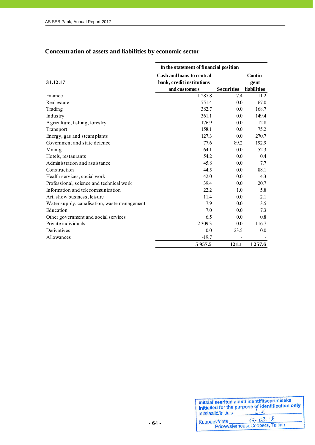# **Concentration of assets and liabilities by economic sector**

|                                              | In the statement of financial position |                   |                    |
|----------------------------------------------|----------------------------------------|-------------------|--------------------|
|                                              | Cash and loans to central              |                   | Contin-            |
| 31.12.17                                     | bank, credit institutions              |                   | gent               |
|                                              | and customers                          | <b>Securities</b> | <b>liabilities</b> |
| Finance                                      | 1 2 8 7 . 8                            | 7.4               | 11.2               |
| Real estate                                  | 751.4                                  | 0.0               | 67.0               |
| Trading                                      | 382.7                                  | 0.0               | 168.7              |
| Industry                                     | 361.1                                  | 0.0               | 149.4              |
| Agriculture, fishing, forestry               | 176.9                                  | 0.0               | 12.8               |
| Transport                                    | 158.1                                  | 0.0               | 75.2               |
| Energy, gas and steam plants                 | 127.3                                  | 0.0               | 270.7              |
| Government and state defence                 | 77.6                                   | 89.2              | 192.9              |
| Mining                                       | 64.1                                   | 0.0               | 52.3               |
| Hotels, restaurants                          | 54.2                                   | 0.0               | 0.4                |
| Administration and assistance                | 45.8                                   | 0.0               | 7.7                |
| Construction                                 | 44.5                                   | 0.0               | 88.1               |
| Health services, social work                 | 42.0                                   | 0.0               | 4.3                |
| Professional, science and technical work     | 39.4                                   | 0.0               | 20.7               |
| Information and telecommunication            | 22.2                                   | 1.0               | 5.8                |
| Art, show business, leisure                  | 11.4                                   | 0.0               | 2.1                |
| Water supply, canalisation, waste management | 7.9                                    | 0.0               | 3.5                |
| Education                                    | 7.0                                    | 0.0               | 7.3                |
| Other government and social services         | 6.5                                    | 0.0               | 0.8                |
| Private individuals                          | 2 3 0 9 .3                             | 0.0               | 116.7              |
| Derivatives                                  | 0.0                                    | 23.5              | 0.0                |
| Allowances                                   | $-19.7$                                |                   |                    |
|                                              | 5957.5                                 | 121.1             | 1 2 5 7 . 6        |

| Initsiaalid/initials | Initsialiseeritud ainult identifitseerimiseks<br>Initialled for the purpose of identification only |
|----------------------|----------------------------------------------------------------------------------------------------|
| Kuupäev/date         | 12.03.18<br>PricewaterhouseCoopers, Tallinn                                                        |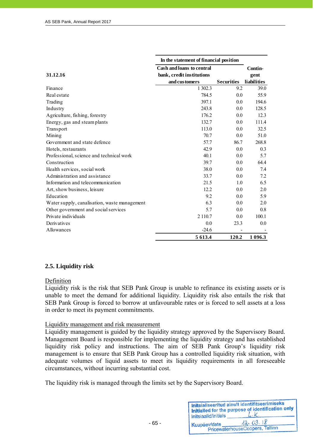|                                              | In the statement of financial position                        |                   |                 |
|----------------------------------------------|---------------------------------------------------------------|-------------------|-----------------|
| 31.12.16                                     | <b>Cash and loans to central</b><br>bank, credit institutions |                   | Contin-<br>gent |
|                                              | and customers                                                 | <b>Securities</b> | liabilities     |
| Finance                                      | 1 302.3                                                       | 9.2               | 39.0            |
| Real estate                                  | 784.5                                                         | 0.0               | 55.9            |
| Trading                                      | 397.1                                                         | 0.0               | 194.6           |
| Industry                                     | 243.8                                                         | 0.0               | 128.5           |
| Agriculture, fishing, forestry               | 176.2                                                         | 0.0               | 12.3            |
| Energy, gas and steam plants                 | 132.7                                                         | 0.0               | 111.4           |
| Transport                                    | 113.0                                                         | 0.0               | 32.5            |
| Mining                                       | 70.7                                                          | 0.0               | 51.0            |
| Government and state defence                 | 57.7                                                          | 86.7              | 268.8           |
| Hotels, restaurants                          | 42.9                                                          | 0.0               | 0.3             |
| Professional, science and technical work     | 40.1                                                          | 0.0               | 5.7             |
| Construction                                 | 39.7                                                          | 0.0               | 64.4            |
| Health services, social work                 | 38.0                                                          | 0.0               | 7.4             |
| Administration and assistance                | 33.7                                                          | 0.0               | 7.2             |
| Information and telecommunication            | 21.5                                                          | 1.0               | 6.5             |
| Art, show business, leisure                  | 12.2                                                          | 0.0               | 2.0             |
| Education                                    | 9.2                                                           | 0.0               | 5.9             |
| Water supply, canalisation, waste management | 6.3                                                           | 0.0               | 2.0             |
| Other government and social services         | 5.7                                                           | 0.0               | 0.8             |
| Private individuals                          | 2 1 1 0.7                                                     | 0.0               | 100.1           |
| Derivatives                                  | 0.0                                                           | 23.3              | 0.0             |
| Allowances                                   | $-24.6$                                                       |                   |                 |
|                                              | 5 613.4                                                       | 120.2             | 1 0 9 6.3       |

### **2.5. Liquidity risk**

#### Definition

Liquidity risk is the risk that SEB Pank Group is unable to refinance its existing assets or is unable to meet the demand for additional liquidity. Liquidity risk also entails the risk that SEB Pank Group is forced to borrow at unfavourable rates or is forced to sell assets at a loss in order to meet its payment commitments.

#### Liquidity management and risk measurement

Liquidity management is guided by the liquidity strategy approved by the Supervisory Board. Management Board is responsible for implementing the liquidity strategy and has established liquidity risk policy and instructions. The aim of SEB Pank Group's liquidity risk management is to ensure that SEB Pank Group has a controlled liquidity risk situation, with adequate volumes of liquid assets to meet its liquidity requirements in all foreseeable circumstances, without incurring substantial cost.

The liquidity risk is managed through the limits set by the Supervisory Board.

| Initsiaalid/initials | Initsialiseeritud ainult identifitseerimiseks<br>Initialled for the purpose of identification only |
|----------------------|----------------------------------------------------------------------------------------------------|
| Kuupäev/date         | 12.03.18<br>PricewaterhouseCoopers, Tallinn                                                        |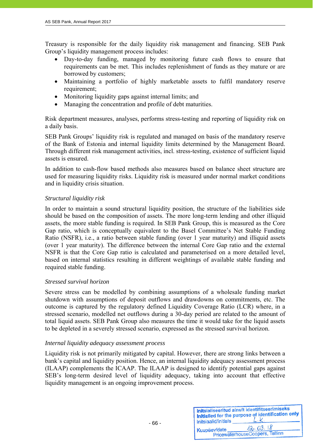Treasury is responsible for the daily liquidity risk management and financing. SEB Pank Group's liquidity management process includes:

- Day-to-day funding, managed by monitoring future cash flows to ensure that requirements can be met. This includes replenishment of funds as they mature or are borrowed by customers;
- Maintaining a portfolio of highly marketable assets to fulfil mandatory reserve requirement;
- Monitoring liquidity gaps against internal limits; and
- Managing the concentration and profile of debt maturities.

Risk department measures, analyses, performs stress-testing and reporting of liquidity risk on a daily basis.

SEB Pank Groups' liquidity risk is regulated and managed on basis of the mandatory reserve of the Bank of Estonia and internal liquidity limits determined by the Management Board. Through different risk management activities, incl. stress-testing, existence of sufficient liquid assets is ensured.

In addition to cash-flow based methods also measures based on balance sheet structure are used for measuring liquidity risks. Liquidity risk is measured under normal market conditions and in liquidity crisis situation.

### *Structural liquidity risk*

In order to maintain a sound structural liquidity position, the structure of the liabilities side should be based on the composition of assets. The more long-term lending and other illiquid assets, the more stable funding is required. In SEB Pank Group, this is measured as the Core Gap ratio, which is conceptually equivalent to the Basel Committee's Net Stable Funding Ratio (NSFR), i.e., a ratio between stable funding (over 1 year maturity) and illiquid assets (over 1 year maturity). The difference between the internal Core Gap ratio and the external NSFR is that the Core Gap ratio is calculated and parameterised on a more detailed level, based on internal statistics resulting in different weightings of available stable funding and required stable funding.

### *Stressed survival horizon*

Severe stress can be modelled by combining assumptions of a wholesale funding market shutdown with assumptions of deposit outflows and drawdowns on commitments, etc. The outcome is captured by the regulatory defined Liquidity Coverage Ratio (LCR) where, in a stressed scenario, modelled net outflows during a 30-day period are related to the amount of total liquid assets. SEB Pank Group also measures the time it would take for the liquid assets to be depleted in a severely stressed scenario, expressed as the stressed survival horizon.

### *Internal liquidity adequacy assessment process*

Liquidity risk is not primarily mitigated by capital. However, there are strong links between a bank's capital and liquidity position. Hence, an internal liquidity adequacy assessment process (ILAAP) complements the ICAAP. The ILAAP is designed to identify potential gaps against SEB's long-term desired level of liquidity adequacy, taking into account that effective liquidity management is an ongoing improvement process.

| Initsiaalid/initials | Initsialiseeritud ainult identifitseerimiseks<br>Initialled for the purpose of identification only |
|----------------------|----------------------------------------------------------------------------------------------------|
| Kuupäev/date         | 12.03.18<br>PricewaterhouseCoopers, Tallinn                                                        |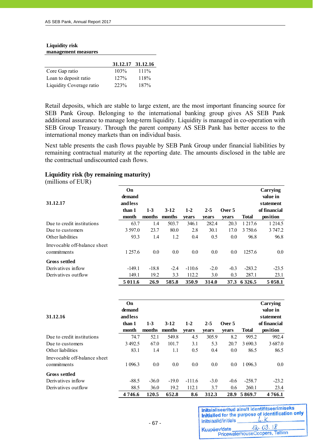| <b>Liquidity risk</b> |
|-----------------------|
| management measures   |

|                          |      | 31.12.17 31.12.16 |
|--------------------------|------|-------------------|
| Core Gap ratio           | 103% | $111\%$           |
| Loan to deposit ratio    | 127% | 118%              |
| Liquidity Coverage ratio | 223% | 187%              |

Retail deposits, which are stable to large extent, are the most important financing source for SEB Pank Group. Belonging to the international banking group gives AS SEB Pank additional assurance to manage long-term liquidity. Liquidity is managed in co-operation with SEB Group Treasury. Through the parent company AS SEB Pank has better access to the international money markets than on individual basis.

Next table presents the cash flows payable by SEB Pank Group under financial liabilities by remaining contractual maturity at the reporting date. The amounts disclosed in the table are the contractual undiscounted cash flows.

### **Liquidity risk (by remaining maturity)**

(millions of EUR)

| $\frac{1}{2}$                                |                                             |                 |                  |                  |                  |                 |              |                                                               |
|----------------------------------------------|---------------------------------------------|-----------------|------------------|------------------|------------------|-----------------|--------------|---------------------------------------------------------------|
| 31.12.17                                     | On<br>demand<br>and less<br>than 1<br>month | $1-3$<br>months | $3-12$<br>months | $1 - 2$<br>vears | $2 - 5$<br>vears | Over 5<br>vears | <b>Total</b> | Carrying<br>value in<br>statement<br>of financial<br>position |
|                                              |                                             |                 |                  |                  |                  |                 |              |                                                               |
| Due to credit institutions                   | 63.7                                        | 1.4             | 503.7            | 346.1            | 282.4            | 20.3            | 1 2 1 7 .6   | 1 2 1 4 .5                                                    |
| Due to customers                             | 3 5 9 7 .0                                  | 23.7            | 80.0             | 2.8              | 30.1             | 17.0            | 3 750.6      | 3 747.2                                                       |
| Other liabilities                            | 93.3                                        | 1.4             | 1.2              | 0.4              | 0.5              | 0.0             | 96.8         | 96.8                                                          |
| Irrevocable off-balance sheet<br>commitments | 1 257.6                                     | 0.0             | 0.0              | 0.0              | 0.0              | 0.0             | 1257.6       | $0.0\,$                                                       |
| <b>Gross settled</b>                         |                                             |                 |                  |                  |                  |                 |              |                                                               |
| Derivatives inflow                           | $-149.1$                                    | $-18.8$         | $-2.4$           | $-110.6$         | $-2.0$           | $-0.3$          | $-283.2$     | $-23.5$                                                       |
| Derivatives outflow                          | 149.1                                       | 19.2            | 3.3              | 112.2            | 3.0              | 0.3             | 287.1        | 23.1                                                          |
|                                              | 5 0 1 1.6                                   | 26.9            | 585.8            | 350.9            | 314.0            | 37.3            | 6 3 2 6 .5   | 5 0 5 8.1                                                     |

| 31.12.16                                     | On<br>demand<br>and less<br>than 1 | $1 - 3$ | $3-12$  | $1 - 2$  | $2 - 5$ | Over 5 |              | Carrying<br>value in<br>statement<br>of financial |
|----------------------------------------------|------------------------------------|---------|---------|----------|---------|--------|--------------|---------------------------------------------------|
|                                              | month                              | months  | months  | vears    | vears   | vears  | <b>Total</b> | position                                          |
| Due to credit institutions                   | 74.7                               | 52.1    | 549.8   | 4.5      | 305.9   | 8.2    | 995.2        | 992.4                                             |
| Due to customers                             | 3492.5                             | 67.0    | 101.7   | 3.1      | 5.3     | 20.7   | 3690.3       | 3687.0                                            |
| Other liabilities                            | 83.1                               | 1.4     | 1.1     | 0.5      | 0.4     | 0.0    | 86.5         | 86.5                                              |
| Irrevocable off-balance sheet<br>commitments | 1 096.3                            | 0.0     | 0.0     | 0.0      | 0.0     | 0.0    | 1 096.3      | 0.0                                               |
| <b>Gross settled</b>                         |                                    |         |         |          |         |        |              |                                                   |
| Derivatives inflow                           | $-88.5$                            | $-36.0$ | $-19.0$ | $-111.6$ | $-3.0$  | $-0.6$ | $-258.7$     | $-23.2$                                           |
| Derivatives outflow                          | 88.5                               | 36.0    | 19.2    | 112.1    | 3.7     | 0.6    | 260.1        | 23.4                                              |
|                                              | 4746.6                             | 120.5   | 652.8   | 8.6      | 312.3   | 28.9   | 5869.7       | 4766.1                                            |

| Initsiaalid/initials | Initsialiseeritud ainult identifitseerimiseks<br>Initialled for the purpose of identification only |
|----------------------|----------------------------------------------------------------------------------------------------|
| Kuupäev/date         | 12.03.18<br>PricewaterhouseCoopers, Tallinn                                                        |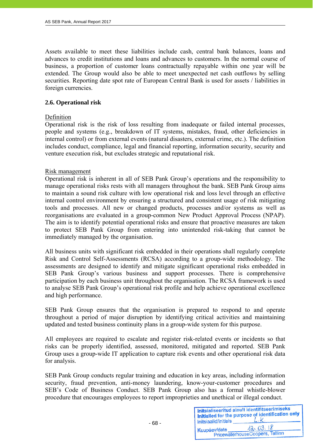Assets available to meet these liabilities include cash, central bank balances, loans and advances to credit institutions and loans and advances to customers. In the normal course of business, a proportion of customer loans contractually repayable within one year will be extended. The Group would also be able to meet unexpected net cash outflows by selling securities. Reporting date spot rate of European Central Bank is used for assets / liabilities in foreign currencies.

### **2.6. Operational risk**

### Definition

Operational risk is the risk of loss resulting from inadequate or failed internal processes, people and systems (e.g., breakdown of IT systems, mistakes, fraud, other deficiencies in internal control) or from external events (natural disasters, external crime, etc.). The definition includes conduct, compliance, legal and financial reporting, information security, security and venture execution risk, but excludes strategic and reputational risk.

### Risk management

Operational risk is inherent in all of SEB Pank Group's operations and the responsibility to manage operational risks rests with all managers throughout the bank. SEB Pank Group aims to maintain a sound risk culture with low operational risk and loss level through an effective internal control environment by ensuring a structured and consistent usage of risk mitigating tools and processes. All new or changed products, processes and/or systems as well as reorganisations are evaluated in a group-common New Product Approval Process (NPAP). The aim is to identify potential operational risks and ensure that proactive measures are taken to protect SEB Pank Group from entering into unintended risk-taking that cannot be immediately managed by the organisation.

All business units with significant risk embedded in their operations shall regularly complete Risk and Control Self-Assessments (RCSA) according to a group-wide methodology. The assessments are designed to identify and mitigate significant operational risks embedded in SEB Pank Group's various business and support processes. There is comprehensive participation by each business unit throughout the organisation. The RCSA framework is used to analyse SEB Pank Group's operational risk profile and help achieve operational excellence and high performance.

SEB Pank Group ensures that the organisation is prepared to respond to and operate throughout a period of major disruption by identifying critical activities and maintaining updated and tested business continuity plans in a group-wide system for this purpose.

All employees are required to escalate and register risk-related events or incidents so that risks can be properly identified, assessed, monitored, mitigated and reported. SEB Pank Group uses a group-wide IT application to capture risk events and other operational risk data for analysis.

SEB Pank Group conducts regular training and education in key areas, including information security, fraud prevention, anti-money laundering, know-your-customer procedures and SEB's Code of Business Conduct. SEB Pank Group also has a formal whistle-blower procedure that encourages employees to report improprieties and unethical or illegal conduct.

| Initsiaalid/initials | Initsialiseeritud ainult identifitseerimiseks<br>Initialled for the purpose of identification only |
|----------------------|----------------------------------------------------------------------------------------------------|
| Kuupäev/date         | 12.03.18<br>PricewaterhouseCoopers, Tallinn                                                        |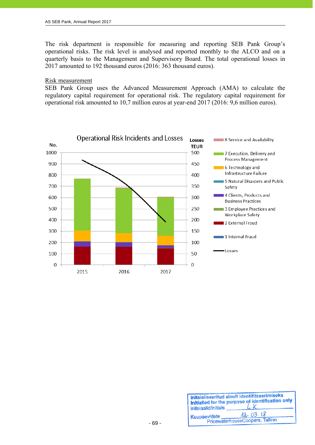The risk department is responsible for measuring and reporting SEB Pank Group's operational risks. The risk level is analysed and reported monthly to the ALCO and on a quarterly basis to the Management and Supervisory Board. The total operational losses in 2017 amounted to 192 thousand euros (2016: 363 thousand euros).

#### Risk measurement

SEB Pank Group uses the Advanced Measurement Approach (AMA) to calculate the regulatory capital requirement for operational risk. The regulatory capital requirement for operational risk amounted to 10,7 million euros at year-end 2017 (2016: 9,6 million euros).



| Initsiaalid/initials | Initsialiseeritud ainult identifitseerimiseks<br>Initialled for the purpose of identification only |
|----------------------|----------------------------------------------------------------------------------------------------|
| Kuupäev/date         | 12.03.18<br>PricewaterhouseCoopers, Tallinn                                                        |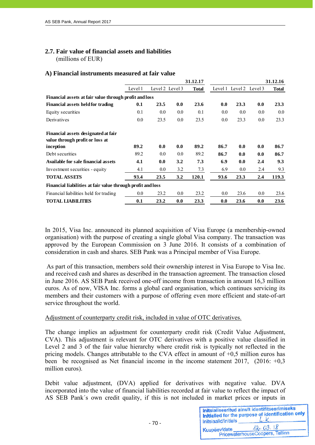### **2.7. Fair value of financial assets and liabilities**

(millions of EUR)

|                                                             |         |                 |     | 31.12.17     |         |                         |     | 31.12.16     |
|-------------------------------------------------------------|---------|-----------------|-----|--------------|---------|-------------------------|-----|--------------|
|                                                             | Level 1 | Level 2 Level 3 |     | <b>Total</b> |         | Level 1 Level 2 Level 3 |     | <b>Total</b> |
| Financial assets at fair value through profit and loss      |         |                 |     |              |         |                         |     |              |
| Financial assets held for trading                           | 0.1     | 23.5            | 0.0 | 23.6         | 0.0     | 23.3                    | 0.0 | 23.3         |
| Equity securities                                           | 0.1     | $0.0\,$         | 0.0 | 0.1          | $0.0\,$ | 0.0                     | 0.0 | $0.0\,$      |
| Derivatives                                                 | 0.0     | 23.5            | 0.0 | 23.5         | 0.0     | 23.3                    | 0.0 | 23.3         |
| Financial assets designated at fair                         |         |                 |     |              |         |                         |     |              |
| value through profit or loss at                             |         |                 |     |              |         |                         |     |              |
| inception                                                   | 89.2    | 0.0             | 0.0 | 89.2         | 86.7    | 0.0                     | 0.0 | 86.7         |
| Debt securities                                             | 89.2    | 0.0             | 0.0 | 89.2         | 86.7    | 0.0                     | 0.0 | 86.7         |
| Available for sale financial assets                         | 4.1     | 0.0             | 3.2 | 7.3          | 6.9     | 0.0                     | 2.4 | 9.3          |
| Investment securities - equity                              | 4.1     | 0.0             | 3.2 | 7.3          | 6.9     | 0.0                     | 2.4 | 9.3          |
| <b>TOTAL ASSETS</b>                                         | 93.4    | 23.5            | 3.2 | 120.1        | 93.6    | 23.3                    | 2.4 | 119.3        |
| Financial liabilities at fair value through profit and loss |         |                 |     |              |         |                         |     |              |
| Financial liabilities held for trading                      | 0.0     | 23.2            | 0.0 | 23.2         | 0.0     | 23.6                    | 0.0 | 23.6         |
| <b>TOTAL LIABILITIES</b>                                    | 0.1     | 23.2            | 0.0 | 23.3         | 0.0     | 23.6                    | 0.0 | 23.6         |

### **A) Financial instruments measured at fair value**

In 2015, Visa Inc. announced its planned acquisition of Visa Europe (a membership-owned organisation) with the purpose of creating a single global Visa company. The transaction was approved by the European Commission on 3 June 2016. It consists of a combination of consideration in cash and shares. SEB Pank was a Principal member of Visa Europe.

 As part of this transaction, members sold their ownership interest in Visa Europe to Visa Inc. and received cash and shares as described in the transaction agreement. The transaction closed in June 2016. AS SEB Pank received one-off income from transaction in amount 16,3 million euros. As of now, VISA Inc. forms a global card organisation, which continues servicing its members and their customers with a purpose of offering even more efficient and state-of-art service throughout the world.

### Adjustment of counterparty credit risk, included in value of OTC derivatives.

The change implies an adjustment for counterparty credit risk (Credit Value Adjustment, CVA). This adjustment is relevant for OTC derivatives with a positive value classified in Level 2 and 3 of the fair value hierarchy where credit risk is typically not reflected in the pricing models. Changes attributable to the CVA effect in amount of +0,5 million euros has been be recognised as Net financial income in the income statement 2017, (2016: +0,3 million euros).

Debit value adjustment, (DVA) applied for derivatives with negative value. DVA incorporated into the value of financial liabilities recorded at fair value to reflect the impact of AS SEB Pank´s own credit quality, if this is not included in market prices or inputs in

| Initsiaalid/initials | Initsialiseeritud ainult identifitseerimiseks<br>Initialled for the purpose of identification only |
|----------------------|----------------------------------------------------------------------------------------------------|
| Kuupäev/date         | 12.03.18<br>PricewaterhouseCoopers, Tallinn                                                        |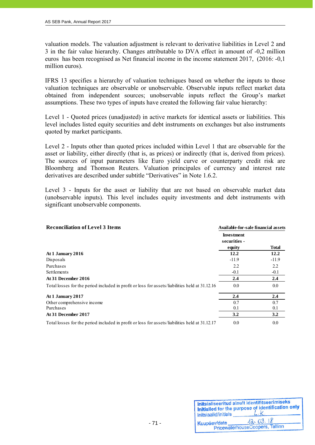valuation models. The valuation adjustment is relevant to derivative liabilities in Level 2 and 3 in the fair value hierarchy. Changes attributable to DVA effect in amount of -0,2 million euros has been recognised as Net financial income in the income statement 2017, (2016: -0,1 million euros).

IFRS 13 specifies a hierarchy of valuation techniques based on whether the inputs to those valuation techniques are observable or unobservable. Observable inputs reflect market data obtained from independent sources; unobservable inputs reflect the Group's market assumptions. These two types of inputs have created the following fair value hierarchy:

Level 1 - Quoted prices (unadjusted) in active markets for identical assets or liabilities. This level includes listed equity securities and debt instruments on exchanges but also instruments quoted by market participants.

Level 2 - Inputs other than quoted prices included within Level 1 that are observable for the asset or liability, either directly (that is, as prices) or indirectly (that is, derived from prices). The sources of input parameters like Euro yield curve or counterparty credit risk are Bloomberg and Thomson Reuters. Valuation principales of currency and interest rate derivatives are described under subtitle "Derivatives" in Note 1.6.2.

Level 3 - Inputs for the asset or liability that are not based on observable market data (unobservable inputs). This level includes equity investments and debt instruments with significant unobservable components.

| <b>Reconciliation of Level 3 Items</b>                                                         | Available-for-sale financial assets         |              |  |  |
|------------------------------------------------------------------------------------------------|---------------------------------------------|--------------|--|--|
|                                                                                                | <b>Investment</b><br>securities -<br>equity | <b>Total</b> |  |  |
| At 1 January 2016                                                                              | 12.2                                        | 12.2         |  |  |
| Disposals                                                                                      | $-11.9$                                     | $-11.9$      |  |  |
| Purchases                                                                                      | 2.2                                         | 2.2          |  |  |
| Settlements                                                                                    | $-0.1$                                      | $-0.1$       |  |  |
| At 31 December 2016                                                                            | 2.4                                         | 2.4          |  |  |
| Total losses for the period included in profit or loss for assets/liabilities held at 31.12.16 | 0.0                                         | 0.0          |  |  |
| At 1 January 2017                                                                              | 2.4                                         | 2.4          |  |  |
| Other comprehensive income                                                                     | 0.7                                         | 0.7          |  |  |
| Purchases                                                                                      | 0.1                                         | 0.1          |  |  |
| At 31 December 2017                                                                            | 3.2                                         | 3.2          |  |  |
| Total losses for the period included in profit or loss for assets/liabilities held at 31.12.17 | 0.0                                         | 0.0          |  |  |

| Initsiaalid/initials | Initsialiseeritud ainult identifitseerimiseks<br>Initialled for the purpose of identification only |
|----------------------|----------------------------------------------------------------------------------------------------|
| Kuupäev/date         | 12.03.18<br>PricewaterhouseCoopers, Tallinn                                                        |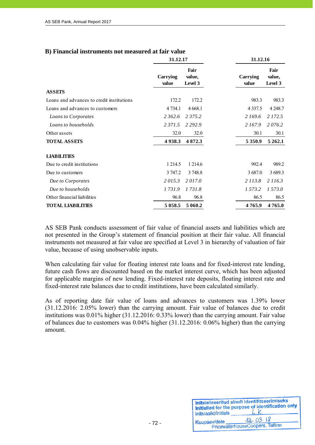#### **B) Financial instruments not measured at fair value**

|                                           | 31.12.17          |                           |                          | 31.12.16                  |  |
|-------------------------------------------|-------------------|---------------------------|--------------------------|---------------------------|--|
|                                           | Carrying<br>value | Fair<br>value,<br>Level 3 | <b>Carrying</b><br>value | Fair<br>value,<br>Level 3 |  |
| <b>ASSETS</b>                             |                   |                           |                          |                           |  |
| Loans and advances to credit institutions | 172.2             | 172.2                     | 983.3                    | 983.3                     |  |
| Loans and advances to customers           | 4 7 3 4 .1        | 4 6 6 8.1                 | 4 3 3 7 .5               | 4 2 4 8 .7                |  |
| Loans to Corporates                       | 2 362.6           | 2 3 7 5 .2                | 2 169.6                  | 2 172.5                   |  |
| Loans to households                       | 2 371.5           | 2 2 9 2 . 9               | 2 167.9                  | 2076.2                    |  |
| Other assets                              | 32.0              | 32.0                      | 30.1                     | 30.1                      |  |
| <b>TOTAL ASSETS</b>                       | 4 9 3 8.3         | 4872.3                    | 5 3 5 0.9                | 5 2 6 2.1                 |  |
| <b>LIABILITIES</b>                        |                   |                           |                          |                           |  |
| Due to credit institutions                | 1 2 1 4 .5        | 1 2 1 4 .6                | 992.4                    | 989.2                     |  |
| Due to customers                          | 3 747.2           | 3 748.8                   | 3687.0                   | 3689.3                    |  |
| Due to Corporates                         | 2015.3            | 2017.0                    | 2 1 1 3 .8               | 2 116.3                   |  |
| Due to households                         | 1731.9            | 1731.8                    | 1 573.2                  | 1 573.0                   |  |
| Other financial liabilities               | 96.8              | 96.8                      | 86.5                     | 86.5                      |  |
| <b>TOTAL LIABILITIES</b>                  | 5 0 5 8.5         | 5 060.2                   | 4765.9                   | 4765.0                    |  |

AS SEB Pank conducts assessment of fair value of financial assets and liabilities which are not presented in the Group's statement of financial position at their fair value. All financial instruments not measured at fair value are specified at Level 3 in hierarchy of valuation of fair value, because of using unobservable inputs.

When calculating fair value for floating interest rate loans and for fixed-interest rate lending, future cash flows are discounted based on the market interest curve, which has been adjusted for applicable margins of new lending. Fixed-interest rate deposits, floating interest rate and fixed-interest rate balances due to credit institutions, have been calculated similarly.

As of reporting date fair value of loans and advances to customers was 1.39% lower (31.12.2016: 2.05% lower) than the carrying amount. Fair value of balances due to credit institutions was 0.01% higher (31.12.2016: 0.33% lower) than the carrying amount. Fair value of balances due to customers was 0.04% higher (31.12.2016: 0.06% higher) than the carrying amount.

| Initsiaalid/initials | Initsialiseeritud ainult identifitseerimiseks<br>Initialled for the purpose of identification only |
|----------------------|----------------------------------------------------------------------------------------------------|
| Kuupäev/date         | 12.03.18<br>PricewaterhouseCoopers, Tallinn                                                        |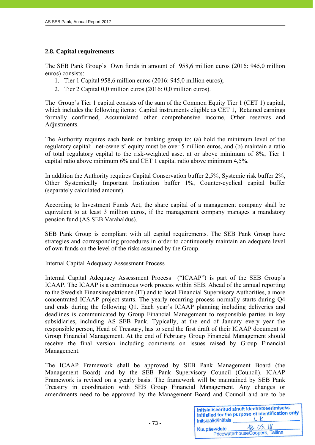#### **2.8. Capital requirements**

The SEB Pank Group`s Own funds in amount of 958,6 million euros (2016: 945,0 million euros) consists:

- 1. Tier 1 Capital 958,6 million euros (2016: 945,0 million euros);
- 2. Tier 2 Capital 0,0 million euros (2016: 0,0 million euros).

The Group`s Tier 1 capital consists of the sum of the Common Equity Tier 1 (CET 1) capital, which includes the following items: Capital instruments eligible as CET 1, Retained earnings formally confirmed, Accumulated other comprehensive income, Other reserves and Adjustments.

The Authority requires each bank or banking group to: (a) hold the minimum level of the regulatory capital: net-owners' equity must be over 5 million euros, and (b) maintain a ratio of total regulatory capital to the risk-weighted asset at or above minimum of 8%, Tier 1 capital ratio above minimum 6% and CET 1 capital ratio above minimum 4,5%.

In addition the Authority requires Capital Conservation buffer 2,5%, Systemic risk buffer 2%, Other Systemically Important Institution buffer 1%, Counter-cyclical capital buffer (separately calculated amount).

According to Investment Funds Act, the share capital of a management company shall be equivalent to at least 3 million euros, if the management company manages a mandatory pension fund (AS SEB Varahaldus).

SEB Pank Group is compliant with all capital requirements. The SEB Pank Group have strategies and corresponding procedures in order to continuously maintain an adequate level of own funds on the level of the risks assumed by the Group.

#### Internal Capital Adequacy Assessment Process

Internal Capital Adequacy Assessment Process ("ICAAP") is part of the SEB Group's ICAAP. The ICAAP is a continuous work process within SEB. Ahead of the annual reporting to the Swedish Finansinspektionen (FI) and to local Financial Supervisory Authorities, a more concentrated ICAAP project starts. The yearly recurring process normally starts during Q4 and ends during the following Q1. Each year's ICAAP planning including deliveries and deadlines is communicated by Group Financial Management to responsible parties in key subsidiaries, including AS SEB Pank. Typically, at the end of January every year the responsible person, Head of Treasury, has to send the first draft of their ICAAP document to Group Financial Management. At the end of February Group Financial Management should receive the final version including comments on issues raised by Group Financial Management.

The ICAAP Framework shall be approved by SEB Pank Management Board (the Management Board) and by the SEB Pank Supervisory Council (Council). ICAAP Framework is revised on a yearly basis. The framework will be maintained by SEB Pank Treasury in coordination with SEB Group Financial Management. Any changes or amendments need to be approved by the Management Board and Council and are to be

| Initsiaalid/initials | Initsialiseeritud ainult identifitseerimiseks<br>Initialled for the purpose of identification only |
|----------------------|----------------------------------------------------------------------------------------------------|
| Kuupäev/date         | 12.03.18<br>PricewaterhouseCoopers, Tallinn                                                        |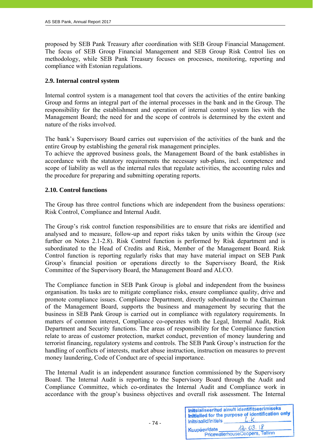proposed by SEB Pank Treasury after coordination with SEB Group Financial Management. The focus of SEB Group Financial Management and SEB Group Risk Control lies on methodology, while SEB Pank Treasury focuses on processes, monitoring, reporting and compliance with Estonian regulations.

#### **2.9. Internal control system**

Internal control system is a management tool that covers the activities of the entire banking Group and forms an integral part of the internal processes in the bank and in the Group. The responsibility for the establishment and operation of internal control system lies with the Management Board; the need for and the scope of controls is determined by the extent and nature of the risks involved.

The bank's Supervisory Board carries out supervision of the activities of the bank and the entire Group by establishing the general risk management principles.

To achieve the approved business goals, the Management Board of the bank establishes in accordance with the statutory requirements the necessary sub-plans, incl. competence and scope of liability as well as the internal rules that regulate activities, the accounting rules and the procedure for preparing and submitting operating reports.

#### **2.10. Control functions**

The Group has three control functions which are independent from the business operations: Risk Control, Compliance and Internal Audit.

The Group's risk control function responsibilities are to ensure that risks are identified and analysed and to measure, follow-up and report risks taken by units within the Group (see further on Notes 2.1-2.8). Risk Control function is performed by Risk department and is subordinated to the Head of Credits and Risk, Member of the Management Board. Risk Control function is reporting regularly risks that may have material impact on SEB Pank Group's financial position or operations directly to the Supervisory Board, the Risk Committee of the Supervisory Board, the Management Board and ALCO.

The Compliance function in SEB Pank Group is global and independent from the business organisation. Its tasks are to mitigate compliance risks, ensure compliance quality, drive and promote compliance issues. Compliance Department, directly subordinated to the Chairman of the Management Board, supports the business and management by securing that the business in SEB Pank Group is carried out in compliance with regulatory requirements. In matters of common interest, Compliance co-operates with the Legal, Internal Audit, Risk Department and Security functions. The areas of responsibility for the Compliance function relate to areas of customer protection, market conduct, prevention of money laundering and terrorist financing, regulatory systems and controls. The SEB Pank Group's instruction for the handling of conflicts of interests, market abuse instruction, instruction on measures to prevent money laundering, Code of Conduct are of special importance.

The Internal Audit is an independent assurance function commissioned by the Supervisory Board. The Internal Audit is reporting to the Supervisory Board through the Audit and Compliance Committee, which co-ordinates the Internal Audit and Compliance work in accordance with the group's business objectives and overall risk assessment. The Internal

| Initsialiseeritud ainult identifitseerimiseks<br>Initialled for the purpose of identification only<br>Initsiaalid/initials |
|----------------------------------------------------------------------------------------------------------------------------|
| 12.03.18<br>Kuupäev/date<br>PricewaterhouseCoopers, Tallinn                                                                |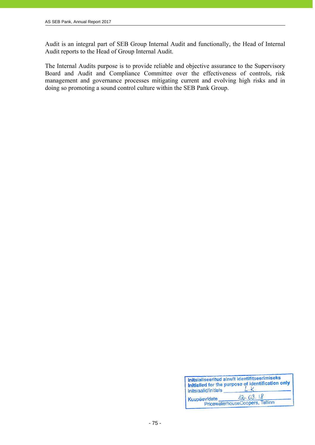Audit is an integral part of SEB Group Internal Audit and functionally, the Head of Internal Audit reports to the Head of Group Internal Audit.

The Internal Audits purpose is to provide reliable and objective assurance to the Supervisory Board and Audit and Compliance Committee over the effectiveness of controls, risk management and governance processes mitigating current and evolving high risks and in doing so promoting a sound control culture within the SEB Pank Group.

| Initsiaalid/initials | Initsialiseeritud ainult identifitseerimiseks<br>Initialled for the purpose of identification only |
|----------------------|----------------------------------------------------------------------------------------------------|
| Kuupäev/date         | 12.03.18<br>PricewaterhouseCoopers, Tallinn                                                        |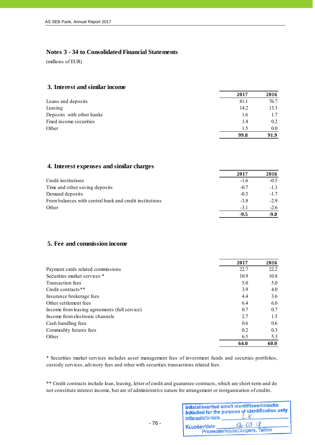#### **Notes 3 - 34 to Consolidated Financial Statements**

(millions of EUR)

#### **3. Interest and similar income**

|                           | 2017 | 2016 |
|---------------------------|------|------|
| Loans and deposits        | 81.1 | 76.7 |
| Leasing                   | 14.2 | 13.3 |
| Deposits with other banks | 1.6  | 1.7  |
| Fixed income securities   | 1.4  | 0.2  |
| Other                     | 1.5  | 0.0  |
|                           | 99.8 | 91.9 |

#### **4. Interest expenses and similar charges**

|                                                         | 2017   | 2016   |
|---------------------------------------------------------|--------|--------|
| Credit institutions                                     | $-1.6$ | $-0.5$ |
| Time and other saving deposits                          | $-0.7$ | $-1.3$ |
| Demand deposits                                         | $-0.3$ | $-1.7$ |
| From balances with central bank and credit institutions | $-3.8$ | $-2.9$ |
| Other                                                   | $-31$  | $-2.6$ |
|                                                         | -9.5   | -9.0   |

#### **5. Fee and commission income**

|                                               | 2017 | 2016 |
|-----------------------------------------------|------|------|
| Payment cards related commissions             | 22.7 | 22.2 |
| Securities market services *                  | 10.9 | 10.8 |
| Transaction fees                              | 5.0  | 5.0  |
| Credit contracts**                            | 3.9  | 4.0  |
| Insurance brokerage fees                      | 4.4  | 3.6  |
| Other settlement fees                         | 6.4  | 6.0  |
| Income from leasing agreements (full service) | 0.7  | 0.7  |
| Income from electronic channels               | 2.7  | 1.5  |
| Cash handling fees                            | 0.6  | 0.6  |
| Commodity futures fees                        | 0.2  | 0.3  |
| Other                                         | 6.5  | 5.3  |
|                                               | 64.0 | 60.0 |

\* Securities market services includes asset management fees of investment funds and securties portfolios, custody services, advisory fees and other with securities transactions related fees.

\*\* Credit contracts include loan, leasing, letter of credit and guarantee contracts, which are short-term and do not constitute interest income, but are of administrative nature for arrangement or reorganisation of credits.

| Initsiaalid/initials | Initsialiseeritud ainult identifitseerimiseks<br>Initialled for the purpose of identification only |
|----------------------|----------------------------------------------------------------------------------------------------|
| Kuupäev/date         | 12.03.18<br>PricewaterhouseCoopers, Tallinn                                                        |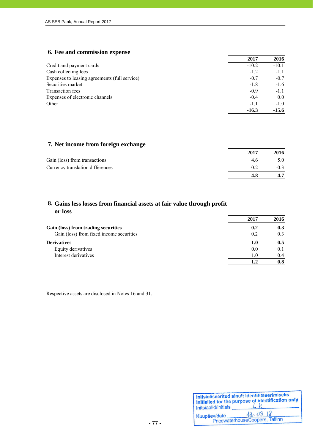#### **6. Fee and commission expense**

|                                               | 2017    | 2016    |
|-----------------------------------------------|---------|---------|
| Credit and payment cards                      | $-10.2$ | $-10.1$ |
| Cash collecting fees                          | $-1.2$  | $-1.1$  |
| Expenses to leasing agreements (full service) | $-0.7$  | $-0.7$  |
| Securities market                             | $-1.8$  | $-1.6$  |
| <b>Transaction fees</b>                       | $-0.9$  | $-1.1$  |
| Expenses of electronic channels               | $-0.4$  | 0.0     |
| Other                                         | $-1.1$  | $-1.0$  |
|                                               | $-16.3$ | $-15.6$ |

### **7. Net income from foreign exchange**

|                                  | 2017 | 2016   |
|----------------------------------|------|--------|
| Gain (loss) from transactions    | 4.6  | 5.0    |
| Currency translation differences | ∩ ว  | $-0.3$ |
|                                  | 4.8  |        |

#### **8. Gains less losses from financial assets at fair value through profit or loss**

|                                          | 2017 | 2016 |
|------------------------------------------|------|------|
| Gain (loss) from trading securities      | 0.2  | 0.3  |
| Gain (loss) from fixed income securities | 0.2  | 0.3  |
| <b>Derivatives</b>                       | 1.0  | 0.5  |
| Equity derivatives                       | 0.0  | 0.1  |
| Interest derivatives                     | 10   | 0.4  |
|                                          | 1.2  |      |

Respective assets are disclosed in Notes 16 and 31.

| Initsiaalid/initials | Initsialiseeritud ainult identifitseerimiseks<br>Initialled for the purpose of identification only |
|----------------------|----------------------------------------------------------------------------------------------------|
| Kuupäev/date         | 12.03.18<br>PricewaterhouseCoopers, Tallinn                                                        |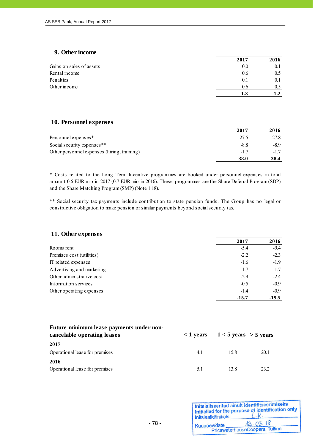#### **9. Other income**

|                          | 2017 | 2016 |
|--------------------------|------|------|
| Gains on sales of assets | 0.0  | 0.1  |
| Rental income            | 0.6  | 0.5  |
| Penalties                | 0.1  | 0.1  |
| Other income             | 0.6  | 0.5  |
|                          | 1.3  |      |

#### **10. Personnel expenses**

|                                             | 2017    | 2016    |
|---------------------------------------------|---------|---------|
| Personnel expenses*                         | $-27.5$ | $-27.8$ |
| Social security expenses**                  | -8.8    | -8.9    |
| Other personnel expenses (hiring, training) | -17     | $-17$   |
|                                             | $-38.0$ | -38.4   |

\* Costs related to the Long Term Incentive programmes are booked under personnel expenses in total amount 0.6 EUR mio in 2017 (0.7 EUR mio in 2016). These programmes are the Share Deferral Program (SDP) and the Share Matching Program (SMP) (Note 1.18).

\*\* Social security tax payments include contribution to state pension funds. The Group has no legal or constructive obligation to make pension or similar payments beyond social security tax.

### **11. Other expenses**

|                           | 2017    | 2016    |
|---------------------------|---------|---------|
| Rooms rent                | $-5.4$  | $-9.4$  |
| Premises cost (utilities) | $-2.2$  | $-2.3$  |
| IT related expenses       | $-1.6$  | $-1.9$  |
| Advertising and marketing | $-1.7$  | $-1.7$  |
| Other administrative cost | $-2.9$  | $-2.4$  |
| Information services      | $-0.5$  | $-0.9$  |
| Other operating expenses  | $-1.4$  | $-0.9$  |
|                           | $-15.7$ | $-19.5$ |

| Future minimum lease payments under non- |     |                                         |      |
|------------------------------------------|-----|-----------------------------------------|------|
| cancelable operating leases              |     | $1 < 1$ years $1 < 5$ years $> 5$ years |      |
| 2017                                     |     |                                         |      |
| Operational lease for premises           | 4.1 | 15.8                                    | 20.1 |
| 2016                                     |     |                                         |      |
| Operational lease for premises           | 5.1 | 13.8                                    | 23.2 |

| Initsiaalid/initials | Initsialiseeritud ainult identifitseerimiseks<br>Initialled for the purpose of identification only |
|----------------------|----------------------------------------------------------------------------------------------------|
| Kuupäev/date         | 12.03.18<br>PricewaterhouseCoopers, Tallinn                                                        |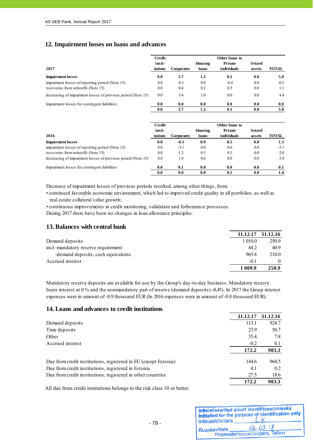#### **12. Impairment losses on loans and advances**

|                                                              | Credit            |            | Other loans to   |                        |                  |              |  |
|--------------------------------------------------------------|-------------------|------------|------------------|------------------------|------------------|--------------|--|
| 2017                                                         | insti-<br>tutions | Corporates | Housing<br>loans | Private<br>individuals | Seized<br>assets | <b>TOTAL</b> |  |
| <b>Impairment losses</b>                                     | 0.0               | 3.7        | 1.2              | 0.1                    | 0.0              | 5.0          |  |
| impairment losses of reporting period (Note 15)              | 0.0               | $-0.1$     | 0.0              | $-0.4$                 | 0.0              | $-0.5$       |  |
| recoveries from writeoffs (Note 15)                          | 0.0               | 0.4        | 0.2              | 0.5                    | 0.0              | 1.1          |  |
| decreasing of impairment losses of previous period (Note 15) | 0.0               | 3.4        | 1.0              | 0.0                    | 0.0              | 4.4          |  |
| Impairment losses for contingent liabilities                 | 0.0               | 0.0        | 0.0              | 0.0                    | 0.0              | 0.0          |  |
|                                                              | 0.0               | 3.7        | 1.2              | 0.1                    | 0.0              | 5.0          |  |

|                                                              | Credit<br>insti- |            | Housing | Other loans to<br>Private | Seized |              |
|--------------------------------------------------------------|------------------|------------|---------|---------------------------|--------|--------------|
| 2016                                                         | tutions          | Corporates | loans   | individuals               | assets | <b>TOTAL</b> |
| <b>Impairment losses</b>                                     | 0.0              | $-0.1$     | 0.9     | 0.5                       | 0.0    | 1.3          |
| impairment losses of reporting period (Note 15)              | 0.0              | $-3.1$     | 0.0     | 0.0                       | 0.0    | $-3.1$       |
| recoveries from writeoffs (Note 15)                          | 0.0              | 1.2        | 0.3     | 0.5                       | 0.0    | 2.0          |
| decreasing of impairment losses of previous period (Note 15) | 0.0              | 1.8        | 0.6     | 0.0                       | 0.0    | 2.4          |
| Impairment losses for contingent liabilities                 | 0.0              | 0.1        | 0.0     | 0.0                       | 0.0    | 0.1          |
|                                                              | 0.0              | 0.0        | 0.9     | 0.5                       | 0.0    | 1.4          |

Decrease of impairment losses of previous periods resulted, among other things, from:

• continued favorable economic environment, which led to improved credit quality in all portfolios, as well as real estate collateral value growth;

• continuous improvements in credit monitoring, validation and forbearance processes.

During 2017 there have been no changes in loan allowance principles.

#### **13. Balances with central bank**

|                                     |            | 31.12.17 31.12.16 |
|-------------------------------------|------------|-------------------|
|                                     |            |                   |
| Demand deposits                     | 1 0 1 0 .0 | 250.9             |
| incl -mandatory reserve requirement | 44.2       | 40.9              |
| -demand deposits, cash equivalents  | 965.8      | 210.0             |
| Accrued interest                    | $-0.1$     | 0                 |
|                                     | 1 0 0 9.9  | 250.9             |

Mandatory reserve deposits are available for use by the Group's day-to-day business. Mandatory reserve bears interest at 0 % and the nonmandatory part of reserve (demand deposits) -0,4%. In 2017 the Group interest expenses were in amount of -0.9 thousand EUR (In 2016 expenses were in amount of -0.8 thousand EUR).

#### **14. Loans and advances to credit institutions**

|                                                                 | 31.12.17 | 31.12.16 |
|-----------------------------------------------------------------|----------|----------|
| Demand deposits                                                 | 113.1    | 924.7    |
| Time deposits                                                   | 23.9     | 50.7     |
| Other                                                           | 35.4     | 7.8      |
| Accrued interest                                                | $-0.2$   | 0.1      |
|                                                                 | 172.2    | 983.3    |
| Due from credit institutions, registered in EU (except Estonia) | 144.6    | 964.5    |
| Due from credit institutions, registered in Estonia             | 0.1      | 0.2      |
| Due from credit institutions, registered in other countries     | 27.5     | 18.6     |
|                                                                 | 172.2    | 983.3    |

All due from credit institutions belongs to the risk class 10 or better.

| Initsiaalid/initials | Initsialiseeritud ainult identifitseerimiseks<br>Initialled for the purpose of identification only |
|----------------------|----------------------------------------------------------------------------------------------------|
| Kuupäev/date         | 12.03.18<br>PricewaterhouseCoopers, Tallinn                                                        |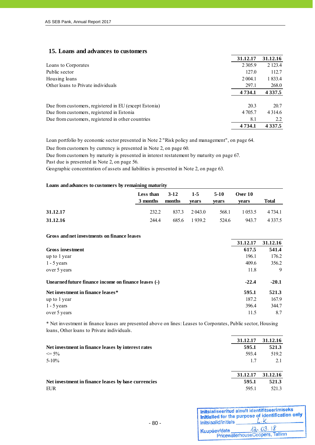#### **15. Loans and advances to customers**

|                                                       | 31.12.17   | 31.12.16   |
|-------------------------------------------------------|------------|------------|
| Loans to Corporates                                   | 2 3 0 5 .9 | 2 1 2 3 .4 |
| Public sector                                         | 127.0      | 112.7      |
| Housing loans                                         | 2 0 0 4 1  | 1833.4     |
| Other loans to Private individuals                    | 297.1      | 268.0      |
|                                                       | 4 7 3 4 .1 | 4 3 3 7 .5 |
| Due from customers, registered in EU (except Estonia) | 20.3       | 20.7       |
| Due from customers, registered in Estonia             | 4 7 0 5 .7 | 4 3 1 4 .6 |
| Due from customers, registered in other countries     | 8.1        | 2.2        |
|                                                       | 4 7 3 4 .1 | 4 3 3 7 .5 |

Loan portfolio by economic sector presented in Note 2 "Risk policy and management", on page 64.

Due from customers by currency is presented in Note 2, on page 60.

Due from customers by maturity is presented in interest restatement by maturity on page 67.

Past due is presented in Note 2, on page 56.

Geographic concentration of assets and liabilities is presented in Note 2, on page 63.

#### **Loans and advances to customers by remaining maturity**

|          | Less than $3-12$<br>3 months months |              | $1-5$ $5-10$<br>vears | vears | Over 10<br>vears | <b>Total</b>        |
|----------|-------------------------------------|--------------|-----------------------|-------|------------------|---------------------|
| 31.12.17 | 232.2                               | 837.3 2043.0 |                       | 568.1 |                  | 1 0 5 3.5 4 7 3 4.1 |
| 31.12.16 | 244.4                               |              | 685.6 1939.2          | 524.6 | 943.7            | 4 3 3 7 . 5         |

#### **Gross and net investments on finance leases**

|                                                      | 31.12.17 | 31.12.16 |
|------------------------------------------------------|----------|----------|
| Gross investment                                     | 617.5    | 541.4    |
| up to 1 year                                         | 196.1    | 176.2    |
| $1 - 5$ years                                        | 409.6    | 356.2    |
| over 5 years                                         | 11.8     | 9        |
| Unearned future finance income on finance leases (-) | $-22.4$  | $-20.1$  |
| Net investment in finance leases*                    | 595.1    | 521.3    |
| up to 1 year                                         | 187.2    | 167.9    |
| $1 - 5$ years                                        | 396.4    | 344.7    |
| over 5 years                                         | 11.5     | 8.7      |

\* Net investment in finance leases are presented above on lines: Leases to Corporates, Public sector, Housing loans, Other loans to Private individuals.

|                                                     | 31.12.17 | 31.12.16 |
|-----------------------------------------------------|----------|----------|
| Net investment in finance leases by interest rates  | 595.1    | 521.3    |
| $\leq$ 5%                                           | 593.4    | 519.2    |
| $5-10%$                                             | 1.7      | 2.1      |
|                                                     | 31.12.17 | 31.12.16 |
| Net investment in finance leases by base currencies | 595.1    | 521.3    |
| <b>EUR</b>                                          | 595.1    | 5213     |

- 80 -

| Initsiaalid/initials | Initsialiseeritud ainult identifitseerimiseks<br>Initialled for the purpose of identification only |
|----------------------|----------------------------------------------------------------------------------------------------|
| Kuupäev/date         | 12.03.18<br>PricewaterhouseCoopers, Tallinn                                                        |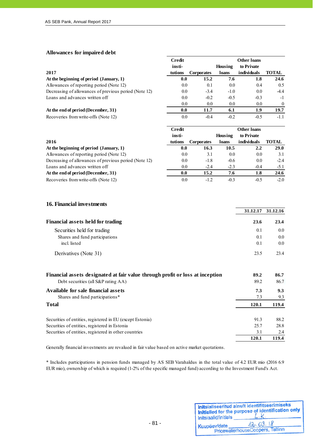#### **Allowances for impaired debt**

|                                                       | <b>Credit</b> |                   |         | <b>Other loans</b> |              |
|-------------------------------------------------------|---------------|-------------------|---------|--------------------|--------------|
|                                                       | insti-        |                   | Housing | to Private         |              |
| 2017                                                  | tutions       | <b>Corporates</b> | loans   | individuals        | <b>TOTAL</b> |
| At the beginning of period (January, 1)               | 0.0           | 15.2              | 7.6     | 1.8                | 24.6         |
| Allowances of reporting period (Note 12)              | 0.0           | 0.1               | 0.0     | 0.4                | 0.5          |
| Decreasing of allowances of previous period (Note 12) | 0.0           | $-3.4$            | $-1.0$  | 0.0                | $-4.4$       |
| Loans and advances written off                        | 0.0           | $-0.2$            | $-0.5$  | $-0.3$             | $-1$         |
|                                                       | $0.0\,$       | 0.0               | $0.0\,$ | 0.0                | $\bf{0}$     |
| At the end of period (December, 31)                   | 0.0           | 11.7              | 6.1     | 1.9                | 19.7         |
| Recoveries from write-offs (Note 12)                  | 0.0           | $-0.4$            | $-0.2$  | $-0.5$             | $-1.1$       |
|                                                       | <b>Credit</b> |                   |         | <b>Other loans</b> |              |
|                                                       | insti-        |                   | Housing | to Private         |              |
| 2016                                                  | tutions       | Corporates        | loans   | individuals        | <b>TOTAL</b> |
| At the beginning of period (January, 1)               | 0.0           | 16.3              | 10.5    | $2.2\,$            | 29.0         |
| Allowances of reporting period (Note 12)              | 0.0           | 3.1               | $0.0\,$ | 0.0                | 3.1          |
| Decreasing of allowances of previous period (Note 12) | $0.0\,$       | $-1.8$            | $-0.6$  | 0.0                | $-2.4$       |
| Loans and advances written off                        | 0.0           | $-2.4$            | $-2.3$  | $-0.4$             | $-5.1$       |
| At the end of period (December, 31)                   | 0.0           | 15.2              | 7.6     | 1.8                | 24.6         |

Recoveries from write-offs (Note 12) 0.0 -1.2 -0.3 -0.5 -2.0

#### **16. Financial investments**

|                                                                                                                      | 31.12.17     | 31.12.16     |
|----------------------------------------------------------------------------------------------------------------------|--------------|--------------|
| Financial assets held for trading                                                                                    | 23.6         | 23.4         |
| Securities held for trading                                                                                          | 0.1          | 0.0          |
| Shares and fund participations                                                                                       | 0.1          | 0.0          |
| incl. listed                                                                                                         | 0.1          | 0.0          |
| Derivatives (Note 31)                                                                                                | 23.5         | 23.4         |
| Financial assets designated at fair value through profit or loss at inception<br>Debt securities (all S&P rating AA) | 89.2<br>89.2 | 86.7<br>86.7 |
| Available for sale financial assets                                                                                  | 7.3          | 9.3          |
| Shares and fund participations*                                                                                      | 7.3          | 9.3          |
| Total                                                                                                                | 120.1        | 119.4        |
| Securities of entities, registered in EU (except Estonia)                                                            | 91.3         | 88.2         |
| Securities of entities, registered in Estonia                                                                        | 25.7         | 28.8         |
| Securities of entities, registered in other countries                                                                | 3.1          | 2.4          |
|                                                                                                                      | 120.1        | 119.4        |

Generally financial investments are revalued in fair value based on active market quotations.

\* Includes participations in pension funds managed by AS SEB Varahaldus in the total value of 4.2 EUR mio (2016 6.9 EUR mio), ownership of which is required (1-2% of the specific managed fund) according to the Investment Fund's Act.

| Initsiaalid/initials | Initsialiseeritud ainult identifitseerimiseks<br>-1<br>Initialled for the purpose of identification only |
|----------------------|----------------------------------------------------------------------------------------------------------|
| Kuupäev/date         | 12.03.18<br>PricewaterhouseCoopers, Tallinn                                                              |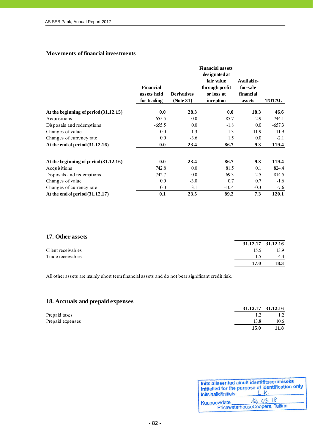#### **Movements of financial investments**

|                                         | <b>Financial</b><br>assets held<br>for trading | <b>Derivatives</b><br>(Note 31) | <b>Financial assets</b><br>designated at<br>fair value<br>through profit<br>or loss at<br>inception | Available-<br>for-sale<br>financial<br>assets | <b>TOTAL</b> |
|-----------------------------------------|------------------------------------------------|---------------------------------|-----------------------------------------------------------------------------------------------------|-----------------------------------------------|--------------|
| At the beginning of period (31.12.15)   | 0.0                                            | 28.3                            | 0.0                                                                                                 | 18.3                                          | 46.6         |
| Acquisitions                            | 655.5                                          | $0.0\,$                         | 85.7                                                                                                | 2.9                                           | 744.1        |
| Disposals and redemptions               | $-655.5$                                       | 0.0                             | $-1.8$                                                                                              | 0.0                                           | $-657.3$     |
| Changes of value                        | 0.0                                            | $-1.3$                          | 1.3                                                                                                 | $-11.9$                                       | $-11.9$      |
| Changes of currency rate                | $0.0\,$                                        | $-3.6$                          | 1.5                                                                                                 | $0.0\,$                                       | $-2.1$       |
| At the end of period $(31.12.16)$       | 0.0                                            | 23.4                            | 86.7                                                                                                | 9.3                                           | 119.4        |
| At the beginning of period $(31.12.16)$ | 0.0                                            | 23.4                            | 86.7                                                                                                | 9.3                                           | 119.4        |
| Acquisitions                            | 742.8                                          | 0.0                             | 81.5                                                                                                | 0.1                                           | 824.4        |
| Disposals and redemptions               | $-742.7$                                       | 0.0                             | $-69.3$                                                                                             | $-2.5$                                        | $-814.5$     |
| Changes of value                        | 0.0                                            | $-3.0$                          | 0.7                                                                                                 | 0.7                                           | $-1.6$       |
| Changes of currency rate                | $0.0\,$                                        | 3.1                             | $-10.4$                                                                                             | $-0.3$                                        | $-7.6$       |
| At the end of period $(31.12.17)$       | 0.1                                            | 23.5                            | 89.2                                                                                                | 7.3                                           | 120.1        |

#### **17. Other assets**

|                    |      | 31.12.17 31.12.16 |
|--------------------|------|-------------------|
| Client receivables | 15.5 | 13.9              |
| Trade receivables  | 15   | 4.4               |
|                    | 17.0 | 18.3              |

All other assets are mainly short term financial assets and do not bear significant credit risk.

#### **18. Accruals and prepaid expenses**

|                  |      | 31.12.17 31.12.16 |
|------------------|------|-------------------|
| Prepaid taxes    |      |                   |
| Prepaid expenses | 13.8 | 10.6              |
|                  | 15.0 | 11.8              |

| Initsiaalid/initials | Initsialiseeritud ainult identifitseerimiseks<br>Initialled for the purpose of identification only |
|----------------------|----------------------------------------------------------------------------------------------------|
| Kuupäev/date         | 12.03.18<br>PricewaterhouseCoopers, Tallinn                                                        |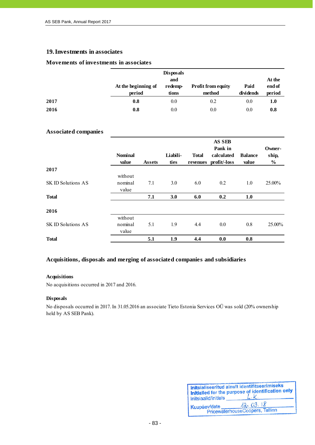#### **19.Investments in associates**

#### **Movements of investments in associates**

|      | <b>Disposals</b><br>and       |                  |                                     |                   |                            |
|------|-------------------------------|------------------|-------------------------------------|-------------------|----------------------------|
|      | At the beginning of<br>period | redemp-<br>tions | <b>Profit from equity</b><br>method | Paid<br>dividends | At the<br>end of<br>period |
| 2017 | 0.8                           | 0.0              | 0.2                                 | 0.0               | $1.0\,$                    |
| 2016 | 0.8                           | 0.0              | 0.0                                 | 0.0               | 0.8                        |

#### **Associated companies**

|                    | <b>Nominal</b><br>value     | <b>Assets</b> | Liabili-<br>ties | <b>Total</b><br>revenues | <b>AS SEB</b><br>Pank in<br>calculated<br>profit/-loss | <b>Balance</b><br>value | Owner-<br>ship,<br>$\frac{0}{0}$ |
|--------------------|-----------------------------|---------------|------------------|--------------------------|--------------------------------------------------------|-------------------------|----------------------------------|
| 2017               |                             |               |                  |                          |                                                        |                         |                                  |
| SK ID Solutions AS | without<br>nominal<br>value | 7.1           | 3.0              | 6.0                      | 0.2                                                    | 1.0                     | 25.00%                           |
| <b>Total</b>       |                             | 7.1           | <b>3.0</b>       | 6.0                      | 0.2                                                    | 1.0                     |                                  |
| 2016               |                             |               |                  |                          |                                                        |                         |                                  |
| SK ID Solutions AS | without<br>nominal<br>value | 5.1           | 1.9              | 4.4                      | $0.0\,$                                                | 0.8                     | 25.00%                           |
| <b>Total</b>       |                             | 5.1           | 1.9              | 4.4                      | 0.0                                                    | 0.8                     |                                  |

#### **Acquisitions, disposals and merging of associated companies and subsidiaries**

#### **Acquisitions**

No acquisitions occurred in 2017 and 2016.

#### **Disposals**

No disposals occurred in 2017. In 31.05.2016 an associate Tieto Estonia Services OÜ was sold (20% ownership held by AS SEB Pank).

| Initsiaalid/initials | Initsialiseeritud ainult identifitseerimiseks<br>Initialled for the purpose of identification only |
|----------------------|----------------------------------------------------------------------------------------------------|
| Kuupäev/date         | 12.03.18<br>PricewaterhouseCoopers, Tallinn                                                        |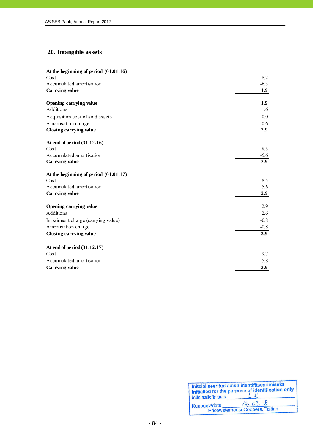### **20. Intangible assets**

| 8.2    |
|--------|
| $-6.3$ |
| 1.9    |
| 1.9    |
| 1.6    |
| 0.0    |
| $-0.6$ |
| 2.9    |
|        |
| 8.5    |
| $-5.6$ |
| 2.9    |
|        |
| 8.5    |
| $-5.6$ |
| 2.9    |
| 2.9    |
| 2.6    |
| $-0.8$ |
| $-0.8$ |
| 3.9    |
|        |
| 9.7    |
| $-5.8$ |
| 3.9    |
|        |

| Initsiaalid/initials | Initsialiseeritud ainult identifitseerimiseks<br>Initialled for the purpose of identification only |
|----------------------|----------------------------------------------------------------------------------------------------|
| Kuupäev/date         | 12.03.18<br>PricewaterhouseCoopers, Tallinn                                                        |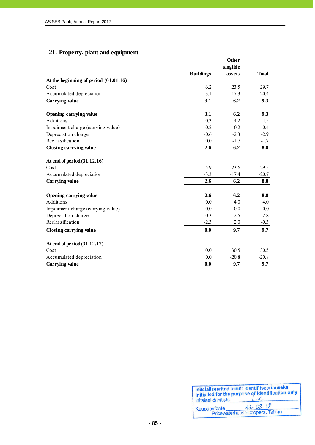### **21. Property, plant and equipment**

|                                       |                  | <b>Other</b> |              |
|---------------------------------------|------------------|--------------|--------------|
|                                       |                  | tangible     |              |
|                                       | <b>Buildings</b> | assets       | <b>Total</b> |
| At the beginning of period (01.01.16) |                  |              |              |
| Cost                                  | 6.2              | 23.5         | 29.7         |
| Accumulated depreciation              | $-3.1$           | $-17.3$      | $-20.4$      |
| <b>Carrying value</b>                 | 3.1              | 6.2          | 9.3          |
| Opening carrying value                | 3.1              | 6.2          | 9.3          |
| Additions                             | 0.3              | 4.2          | 4.5          |
| Impairment charge (carrying value)    | $-0.2$           | $-0.2$       | $-0.4$       |
| Depreciation charge                   | $-0.6$           | $-2.3$       | $-2.9$       |
| Reclassification                      | 0.0              | $-1.7$       | $-1.7$       |
| Closing carrying value                | 2.6              | 6.2          | 8.8          |
| At end of period (31.12.16)           |                  |              |              |
| Cost                                  | 5.9              | 23.6         | 29.5         |
| Accumulated depreciation              | $-3.3$           | $-17.4$      | $-20.7$      |
| Carrying value                        | 2.6              | 6.2          | 8.8          |
| Opening carrying value                | 2.6              | 6.2          | 8.8          |
| Additions                             | 0.0              | 4.0          | 4.0          |
| Impairment charge (carrying value)    | 0.0              | 0.0          | 0.0          |
| Depreciation charge                   | $-0.3$           | $-2.5$       | $-2.8$       |
| Reclassification                      | $-2.3$           | 2.0          | $-0.3$       |
| Closing carrying value                | 0.0              | 9.7          | 9.7          |
| At end of period (31.12.17)           |                  |              |              |
| Cost                                  | 0.0              | 30.5         | 30.5         |
| Accumulated depreciation              | 0.0              | $-20.8$      | $-20.8$      |
| <b>Carrying value</b>                 | 0.0              | 9.7          | 9.7          |

| Initsiaalid/initials | Initsialiseeritud ainult identifitseerimiseks<br>Initialled for the purpose of identification only |
|----------------------|----------------------------------------------------------------------------------------------------|
| Kuupäev/date         | 12.03.18<br>PricewaterhouseCoopers, Tallinn                                                        |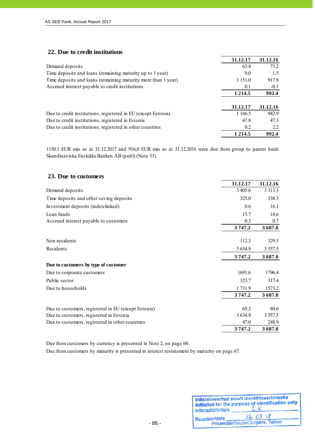#### **22. Due to credit institutions**

|                                                               | 31.12.17   | 31.12.16 |
|---------------------------------------------------------------|------------|----------|
| Demand deposits                                               | 63.4       | 73.2     |
| Time deposits and loans (remaining maturity up to 1 year)     | 0.0        | 1.5      |
| Time deposits and loans (remaining maturity more than 1 year) | 1 1 5 1 .0 | 917.8    |
| Accrued interest payable to credit institutions               | 0.1        | $-0.1$   |
|                                                               | 1 2 1 4 .5 | 992.4    |
|                                                               |            |          |
|                                                               | 31.12.17   | 31.12.16 |
| Due to credit institutions, registered in EU (except Estonia) | 1 1 6 6 5  | 942.9    |
| Due to credit institutions, registered in Estonia             | 47.8       | 47.3     |
| Due to credit institutions, registered in other countries     | 0.2        | 2.2      |
|                                                               | 1 2 1 4 .5 | 992.4    |

1150.1 EUR mio as at 31.12.2017 and 916,0 EUR mio as at 31.12.2016 were due from group to parent bank Skandinaviska Enskilda Banken AB (publ) (Note 33).

| 23. Due to customers                                |            |             |
|-----------------------------------------------------|------------|-------------|
|                                                     | 31.12.17   | 31.12.16    |
| Demand deposits                                     | 3 4 0 5 .6 | 3 3 1 3 .3  |
| Time deposits and other saving deposits             | 325.0      | 338.3       |
| Investment deposits (index-linked)                  | 0.6        | 16.1        |
| Loan funds                                          | 15.7       | 18.6        |
| Accrued interest payable to customers               | 0.3        | 0.7         |
|                                                     | 3747.2     | 3687.0      |
| Non-residents                                       | 112.3      | 329.5       |
| Residents                                           | 3 6 3 4 9  | 3 3 5 7 . 5 |
|                                                     | 3747.2     | 3687.0      |
| Due to customers by type of customer                |            |             |
| Due to corporate customers                          | 1691.6     | 1796.4      |
| Public sector                                       | 323.7      | 317.4       |
| Due to households                                   | 1731.9     | 1573.2      |
|                                                     | 3747.2     | 3687.0      |
| Due to customers, registered in EU (except Estonia) | 65.3       | 80.6        |
| Due to customers, registered in Estonia             | 3634.9     | 3 3 5 7 . 5 |
| Due to customers, registered in other countries     | 47.0       | 248.9       |
|                                                     | 3747.2     | 3687.0      |

Due from customers by currency is presented in Note 2, on page 60.

Due from customers by maturity is presented in interest restatement by maturity on page 67.

| Initsiaalid/initials | Initsialiseeritud ainult identifitseerimiseks<br>Initialled for the purpose of identification only |
|----------------------|----------------------------------------------------------------------------------------------------|
| Kuupäev/date         | 12.03.18<br>PricewaterhouseCoopers, Tallinn                                                        |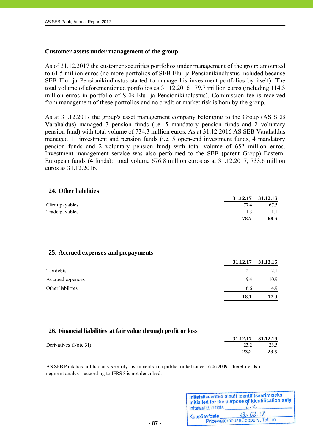#### **Customer assets under management of the group**

As of 31.12.2017 the customer securities portfolios under management of the group amounted to 61.5 million euros (no more portfolios of SEB Elu- ja Pensionikindlustus included because SEB Elu- ja Pensionikindlustus started to manage his investment portfolios by itself). The total volume of aforementioned portfolios as 31.12.2016 179.7 million euros (including 114.3 million euros in portfolio of SEB Elu- ja Pensionikindlustus). Commission fee is received from management of these portfolios and no credit or market risk is born by the group.

As at 31.12.2017 the group's asset management company belonging to the Group (AS SEB Varahaldus) managed 7 pension funds (i.e. 5 mandatory pension funds and 2 voluntary pension fund) with total volume of 734.3 million euros. As at 31.12.2016 AS SEB Varahaldus managed 11 investment and pension funds (i.e. 5 open-end investment funds, 4 mandatory pension funds and 2 voluntary pension fund) with total volume of 652 million euros. Investment management service was also performed to the SEB (parent Group) Eastern-European funds (4 funds): total volume 676.8 million euros as at 31.12.2017, 733.6 million euros as 31.12.2016.

| 24. Other liabilities |                   |      |
|-----------------------|-------------------|------|
|                       | 31.12.17 31.12.16 |      |
| Client payables       | 77.4              | 67.5 |
| Trade payables        |                   |      |
|                       | 78.7              | 68.6 |

#### **25. Accrued expenses and prepayments**

|                   |      | 31.12.17 31.12.16 |
|-------------------|------|-------------------|
| Tax debts         | 2.1  | 2.1               |
| Accrued expences  | 9.4  | 10.9              |
| Other liabilities | 6.6  | 4.9               |
|                   | 18.1 | 17.9              |

#### **26. Financial liabilities at fair value through profit or loss**

|                       |      | 31.12.17 31.12.16 |
|-----------------------|------|-------------------|
| Derivatives (Note 31) | 23.2 | 23.5              |
|                       | 23.2 | 23.5              |

AS SEB Pank has not had any security instruments in a public market since 16.06.2009. Therefore also segment analysis according to IFRS 8 is not described.

| Initsiaalid/initials | Initsialiseeritud ainult identifitseerimiseks<br>Initialled for the purpose of identification only |
|----------------------|----------------------------------------------------------------------------------------------------|
| Kuupäev/date         | 12.03.18<br>PricewaterhouseCoopers, Tallinn                                                        |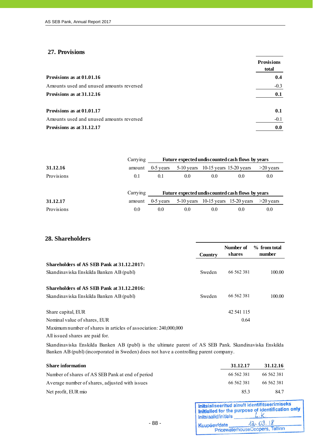#### **27. Provisions**

|                                          | <b>Provisions</b><br>total |
|------------------------------------------|----------------------------|
| Provisions as at 01.01.16                | 0.4                        |
| Amounts used and unused amounts reversed | $-0.3$                     |
| Provisions as at 31.12.16                | 0.1                        |
| Provisions as at 01.01.17                | 0.1                        |
| Amounts used and unused amounts reversed | $-0.1$                     |
| Provisions as at 31.12.17                | 0.0                        |

|            | Carrying |             |              |                                    | Future expected undiscounted cash flows by years |             |
|------------|----------|-------------|--------------|------------------------------------|--------------------------------------------------|-------------|
| 31.12.16   | amount   | $0-5$ years |              | 5-10 years 10-15 years 15-20 years |                                                  | $>20$ years |
| Provisions | 0.1      | 0.1         | 0.0          | 0.0                                | 0.0                                              | 0.0         |
|            | Carrying |             |              |                                    | Future expected undiscounted cash flows by years |             |
| 31.12.17   | amount   | $0-5$ vears | $5-10$ years | 10-15 years 15-20 years            |                                                  | $>20$ years |
| Provisions | 0.0      | 0.0         | 0.0          | 0.0                                | 0.0                                              | 0.0         |

#### **28. Shareholders**

|                                                                  |         | Number of  | % from total |
|------------------------------------------------------------------|---------|------------|--------------|
|                                                                  | Country | shares     | number       |
| Shareholders of AS SEB Pank at 31.12.2017:                       |         |            |              |
| Skandinaviska Enskilda Banken AB (publ)                          | Sweden  | 66 562 381 | 100.00       |
| Shareholders of AS SEB Pank at 31.12.2016:                       |         |            |              |
| Skandinaviska Enskilda Banken AB (publ)                          | Sweden  | 66 562 381 | 100.00       |
| Share capital, EUR                                               |         | 42 541 115 |              |
| Nominal value of shares, EUR                                     |         | 0.64       |              |
| Maximum number of shares in articles of association: 240,000,000 |         |            |              |

All issued shares are paid for.

Skandinaviska Enskilda Banken AB (publ) is the ultimate parent of AS SEB Pank. Skandinaviska Enskilda Banken AB (publ) (incorporated in Sweden) does not have a controlling parent company.

| <b>Share information</b>                         | 31.12.17   | 31.12.16   |
|--------------------------------------------------|------------|------------|
| Number of shares of AS SEB Pank at end of period | 66 562 381 | 66 562 381 |
| Average number of shares, adjusted with issues   | 66 562 381 | 66 562 381 |
| Net profit, EUR mio                              | 853        | 84.7       |

- 88 -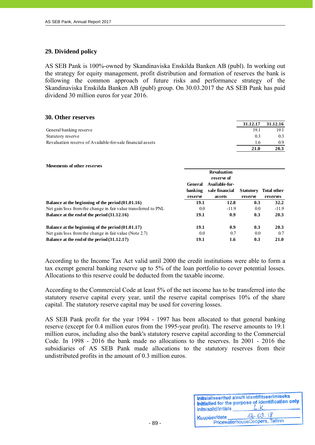#### **29. Dividend policy**

AS SEB Pank is 100%-owned by Skandinaviska Enskilda Banken AB (publ). In working out the strategy for equity management, profit distribution and formation of reserves the bank is following the common approach of future risks and performance strategy of the Skandinaviska Enskilda Banken AB (publ) group. On 30.03.2017 the AS SEB Pank has paid dividend 30 million euros for year 2016.

#### **30. Other reserves**

|                                                            | 31.12.17 | 31.12.16 |
|------------------------------------------------------------|----------|----------|
| General banking reserve                                    | 19.1     | 19.1     |
| Statutory reserve                                          | 0.3      |          |
| Revaluation reserve of Available-for-sale financial assets | ' 6      | 0.9      |
|                                                            | 21.0     | 20.3     |

| Movements of other reserves                                    |                    |                                  |                  |                    |
|----------------------------------------------------------------|--------------------|----------------------------------|------------------|--------------------|
|                                                                |                    | <b>Revaluation</b>               |                  |                    |
|                                                                |                    | reserve of                       |                  |                    |
|                                                                | General<br>banking | Available-for-<br>sale financial | <b>Statutory</b> | <b>Total other</b> |
|                                                                | reserve            | assets                           | reserve          | reserves           |
| Balance at the beginning of the period $(01.01.16)$            | 19.1               | 12.8                             | 0.3              | 32.2               |
| Net gain/loss from the change in fair value transferred to PNL | 0.0                | $-11.9$                          | 0.0              | $-11.9$            |
| Balance at the end of the period (31.12.16)                    | 19.1               | 0.9                              | 0.3              | 20.3               |
| Balance at the beginning of the period $(01.01.17)$            | 19.1               | 0.9                              | 0.3              | 20.3               |
| Net gain/loss from the change in fair value (Note 2.7)         | 0.0                | 0.7                              | 0.0              | 0.7                |
| Balance at the end of the period (31.12.17)                    | 19.1               | 1.6                              | 0.3              | 21.0               |

According to the Income Tax Act valid until 2000 the credit institutions were able to form a tax exempt general banking reserve up to 5% of the loan portfolio to cover potential losses. Allocations to this reserve could be deducted from the taxable income.

According to the Commercial Code at least 5% of the net income has to be transferred into the statutory reserve capital every year, until the reserve capital comprises 10% of the share capital. The statutory reserve capital may be used for covering losses.

AS SEB Pank profit for the year 1994 - 1997 has been allocated to that general banking reserve (except for 0.4 million euros from the 1995-year profit). The reserve amounts to 19.1 million euros, including also the bank's statutory reserve capital according to the Commercial Code. In 1998 - 2016 the bank made no allocations to the reserves. In 2001 - 2016 the subsidiaries of AS SEB Pank made allocations to the statutory reserves from their undistributed profits in the amount of 0.3 million euros.

|                      | Initsialiseeritud ainult identifitseerimiseks<br>Initialled for the purpose of identification only |
|----------------------|----------------------------------------------------------------------------------------------------|
| Initsiaalid/initials |                                                                                                    |
| Kuupäev/date         | 12.03.18<br>PricewaterhouseCoopers, Tallinn                                                        |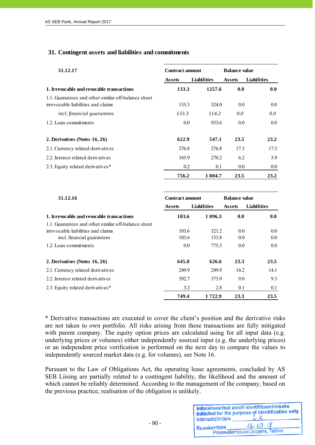#### **31. Contingent assets and liabilities and commitments**

| 31.12.17                                                                                  | <b>Contract amount</b> |                    | <b>Balance value</b> |                  |  |
|-------------------------------------------------------------------------------------------|------------------------|--------------------|----------------------|------------------|--|
|                                                                                           | <b>Assets</b>          | <b>Liabilities</b> | <b>Assets</b>        | Liabilities      |  |
| 1. Irrevocable and revocable transactions                                                 | 133.3                  | 1257.6             | 0.0                  | 0.0              |  |
| 1.1. Guarantees and other similar off-balance sheet<br>irrovocable liabilities and claims | 133.3                  | 324.0              | 0.0                  | 0.0              |  |
| incl. financial guarantees                                                                | 133.3                  | 114.2              | 0.0                  | 0.0 <sub>1</sub> |  |
| 1.2. Loan commitments                                                                     | 0.0                    | 933.6              | 0.0                  | 0.0              |  |
| 2. Derivatives (Notes 16, 26)                                                             | 622.9                  | 547.1              | 23.5                 | 23.2             |  |
| 2.1. Currency related derivatives                                                         | 276.8                  | 276.8              | 17.3                 | 17.3             |  |
| 2.2. Interest related derivatives                                                         | 345.9                  | 270.2              | 6.2                  | 5.9              |  |
| 2.3. Equity related derivatives*                                                          | 0.2                    | 0.1                | 0.0                  | $0.0\,$          |  |
|                                                                                           | 756.2                  | 1804.7             | 23.5                 | 23.2             |  |

| 31.12.16                                          | <b>Contract amount</b> |                    | <b>Balance value</b> |                    |
|---------------------------------------------------|------------------------|--------------------|----------------------|--------------------|
|                                                   | <b>Assets</b>          | <b>Liabilities</b> | <b>Assets</b>        | <b>Liabilities</b> |
| 1. Irrevocable and revocable transactions         | 103.6                  | 1 096.3            | 0.0                  | 0.0                |
| 11 Guarantees and other similar off-balance sheet |                        |                    |                      |                    |
| irrovocable liabilities and claims                | 103.6                  | 321.2              | 0.0                  | $0.0\,$            |
| incl. financial guarantees                        | 103.6                  | 133.8              | 0.0                  | 0.0                |
| 1.2. Loan commitments                             | 0.0                    | 775.3              | 0.0                  | 0.0                |
| 2. Derivatives (Notes 16, 26)                     | 645.8                  | 626.6              | 23.3                 | 23.5               |
| 2.1. Currency related derivatives                 | 249.9                  | 249.9              | 14.2                 | 14.1               |
| 2.2. Interest related derivatives                 | 392.7                  | 373.9              | 9.0                  | 9.3                |
| 2.3. Equity related derivatives <sup>*</sup>      | 3.2                    | 2.8                | 0.1                  | 0.1                |
|                                                   | 749.4                  | 1 722.9            | 23.3                 | 23.5               |

\* Derivative transactions are executed to cover the client's position and the derivative risks are not taken to own portfolio. All risks arising from these transactions are fully mitigated with parent company. The equity option prices are calculated using for all input data (e.g. underlying prices or volumes) either independently sourced input (e.g. the underlying prices) or an independent price verification is performed on the next day to compare the values to independently sourced market data (e.g. for volumes), see Note 16.

Pursuant to the Law of Obligations Act, the operating lease agreements, concluded by AS SEB Liising are partially related to a contingent liability, the likelihood and the amount of which cannot be reliably determined. According to the management of the company, based on the previous practice, realisation of the obligation is unlikely.

| Initsiaalid/initials | Initsialiseeritud ainult identifitseerimiseks<br>Initialled for the purpose of identification only |
|----------------------|----------------------------------------------------------------------------------------------------|
| Kuupäev/date         | 12.03.18<br>PricewaterhouseCoopers, Tallinn                                                        |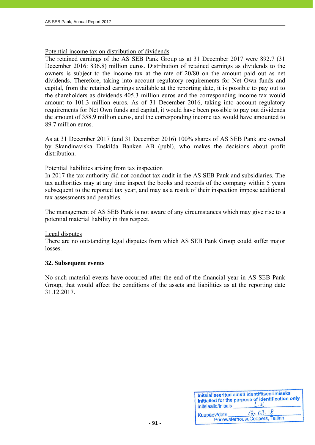#### Potential income tax on distribution of dividends

The retained earnings of the AS SEB Pank Group as at 31 December 2017 were 892.7 (31 December 2016: 836.8) million euros. Distribution of retained earnings as dividends to the owners is subject to the income tax at the rate of 20/80 on the amount paid out as net dividends. Therefore, taking into account regulatory requirements for Net Own funds and capital, from the retained earnings available at the reporting date, it is possible to pay out to the shareholders as dividends 405.3 million euros and the corresponding income tax would amount to 101.3 million euros. As of 31 December 2016, taking into account regulatory requirements for Net Own funds and capital, it would have been possible to pay out dividends the amount of 358.9 million euros, and the corresponding income tax would have amounted to 89.7 million euros.

As at 31 December 2017 (and 31 December 2016) 100% shares of AS SEB Pank are owned by Skandinaviska Enskilda Banken AB (publ), who makes the decisions about profit distribution.

#### Potential liabilities arising from tax inspection

In 2017 the tax authority did not conduct tax audit in the AS SEB Pank and subsidiaries. The tax authorities may at any time inspect the books and records of the company within 5 years subsequent to the reported tax year, and may as a result of their inspection impose additional tax assessments and penalties.

The management of AS SEB Pank is not aware of any circumstances which may give rise to a potential material liability in this respect.

#### Legal disputes

There are no outstanding legal disputes from which AS SEB Pank Group could suffer major losses.

#### **32. Subsequent events**

No such material events have occurred after the end of the financial year in AS SEB Pank Group, that would affect the conditions of the assets and liabilities as at the reporting date 31.12.2017.

| Initsiaalid/initials | Initsialiseeritud ainult identifitseerimiseks<br>Initialled for the purpose of identification only |
|----------------------|----------------------------------------------------------------------------------------------------|
| Kuupäev/date         | 12.03.18<br>PricewaterhouseCoopers, Tallinn                                                        |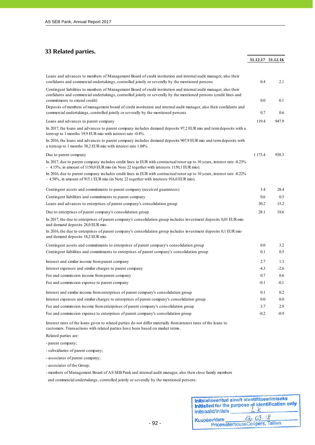#### **33 Related parties.**

#### **31.12.17 31.12.16**

| Loans and advances to members of Management Board of credit institution and internal audit manager, also their<br>confidants and commercial undertakings, controlled jointly or severally by the mentioned persons                                                        | 0.4        | 2.1    |
|---------------------------------------------------------------------------------------------------------------------------------------------------------------------------------------------------------------------------------------------------------------------------|------------|--------|
| Contingent liabilities to members of Management Board of credit institution and internal audit manager, also their<br>confidants and commercial undertakings, controlled jointly or severally by the mentioned persons (credit lines and<br>commitments to extend credit) | 0.0        | 0.1    |
| Deposits of members of management board of credit institution and internal audit manager, also their confidants and<br>commercial undertakings, controlled jointly or severally by the mentioned persons                                                                  | 0.7        | 0.6    |
| Loans and advances to parent company                                                                                                                                                                                                                                      | 119.4      | 947.9  |
| In 2017, the loans and advances to parent company includes demand deposits 97,2 EUR mio and term deposits with a<br>term up to 1 months 19,9 EUR mio with interest rate -0.4%.                                                                                            |            |        |
| In 2016, the loans and advances to parent company includes demand deposits 907,9 EUR mio and term deposits with<br>a term up to 1 months 38,2 EUR mio with interest rate 1.04%.                                                                                           |            |        |
| Due to parent company                                                                                                                                                                                                                                                     | 1 1 7 3 .4 | 938.3  |
| In 2017, due to parent company includes credit lines in EUR with contractual tenor up to 10 years, interest rate -0.23%<br>- 4.15%, in amount of 1150,0 EUR mio (in Note 22 together with interests 1150,1 EUR mio).                                                      |            |        |
| In 2016, due to parent company includes credit lines in EUR with contractual tenor up to 10 years, interest rate -0.22%<br>-4.58%, in amount of 915.1 EUR mio (in Note 22 together with interests 916,0 EUR mio).                                                         |            |        |
| Contingent assets and commitments to parent company (received guarantees)                                                                                                                                                                                                 | 3.4        | 28.4   |
| Contingent liabilities and commitments to parent company                                                                                                                                                                                                                  | 0.6        | 0.5    |
| Loans and advances to enterprises of parent company's consolidation group                                                                                                                                                                                                 | 30.2       | 15.2   |
| Due to enterprises of parent company's consolidation group                                                                                                                                                                                                                | 28.1       | 18.6   |
| In 2017, the due to enterprises of parent company's consolidation group includes investment deposits 0,01 EUR mio<br>and demand deposits 28,0 EUR mio.                                                                                                                    |            |        |
| In 2016, the due to enterprises of parent company's consolidation group includes investment deposits 0,1 EUR mio<br>and demand deposits 18,2 EUR mio.                                                                                                                     |            |        |
| Contingent assets and commitments to enterprises of parent company's consolidation group                                                                                                                                                                                  | 0.0        | 3.2    |
| Contingent liabilities and commitments to enterprises of parent company's consolidation group                                                                                                                                                                             | 0.1        | 0.5    |
| Interest and similar income from parent company                                                                                                                                                                                                                           | 2.7        | 1.3    |
| Interest expenses and similar charges to parent company                                                                                                                                                                                                                   | $-4.3$     | $-2.6$ |
| Fee and commission income from parent company                                                                                                                                                                                                                             | 0.7        | 0.6    |
| Fee and commission expense to parent company                                                                                                                                                                                                                              | $-0.1$     | $-0.1$ |
| Interest and similar income from enterprises of parent company's consolidation group                                                                                                                                                                                      | 0.1        | 0.2    |
| Interest expenses and similar charges to enterprises of parent company's consolidation group                                                                                                                                                                              | 0.0        | 0.0    |
| Fee and commission income from enterprises of parent company's consolidation group                                                                                                                                                                                        | 3.7        | 2.9    |
| Fee and commission expense to enterprises of parent company's consolidation group                                                                                                                                                                                         | $-0.2$     | $-0.9$ |
|                                                                                                                                                                                                                                                                           |            |        |

Interest rates of the loans given to related parties do not differ materially from interest rates of the loans to customers. Transactions with related parties have been based on market terms.

Related parties are:

- parent company;
- subsidiaries of parent company;
- associates of parent company;
- associates of the Group;

- members of Management Board of AS SEB Pank and internal audit manager, also their close family members

and commercial undertakings, controlled jointly or severally by the mentioned persons.

| Initsiaalid/initials | Initsialiseeritud ainult identifitseerimiseks<br>Initialled for the purpose of identification only |
|----------------------|----------------------------------------------------------------------------------------------------|
| Kuupäev/date         | 12.03.18<br>PricewaterhouseCoopers, Tallinn                                                        |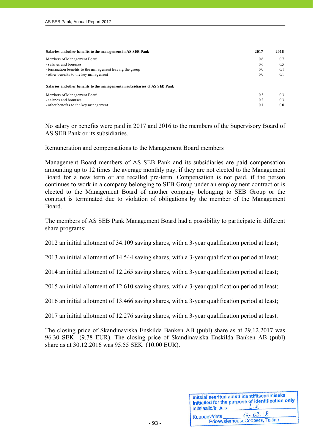| Salaries and other benefits to the management in AS SEB Pank                 | 2017 | 2016 |
|------------------------------------------------------------------------------|------|------|
| Members of Management Board                                                  | 0.6  | 0.7  |
| - salaries and bonuses                                                       | 0.6  | 0.5  |
| - termination benefits to the management leaving the group                   | 0.0  | 0.1  |
| - other benefits to the key management                                       | 0.0  | 0.1  |
| Salaries and other benefits to the management in subsidiaries of AS SEB Pank |      |      |
| Members of Management Board                                                  | 0.3  | 0.3  |
| - salaries and bonuses                                                       | 0.2  | 0.3  |
| - other benefits to the key management                                       | 0.1  | 0.0  |

No salary or benefits were paid in 2017 and 2016 to the members of the Supervisory Board of AS SEB Pank or its subsidiaries.

#### Remuneration and compensations to the Management Board members

Management Board members of AS SEB Pank and its subsidiaries are paid compensation amounting up to 12 times the average monthly pay, if they are not elected to the Management Board for a new term or are recalled pre-term. Compensation is not paid, if the person continues to work in a company belonging to SEB Group under an employment contract or is elected to the Management Board of another company belonging to SEB Group or the contract is terminated due to violation of obligations by the member of the Management Board.

The members of AS SEB Pank Management Board had a possibility to participate in different share programs:

2012 an initial allotment of 34.109 saving shares, with a 3-year qualification period at least;

2013 an initial allotment of 14.544 saving shares, with a 3-year qualification period at least;

2014 an initial allotment of 12.265 saving shares, with a 3-year qualification period at least;

2015 an initial allotment of 12.610 saving shares, with a 3-year qualification period at least;

2016 an initial allotment of 13.466 saving shares, with a 3-year qualification period at least;

2017 an initial allotment of 12.276 saving shares, with a 3-year qualification period at least.

The closing price of Skandinaviska Enskilda Banken AB (publ) share as at 29.12.2017 was 96.30 SEK (9.78 EUR). The closing price of Skandinaviska Enskilda Banken AB (publ) share as at 30.12.2016 was 95.55 SEK (10.00 EUR).

| Initsiaalid/initials | Initsialiseeritud ainult identifitseerimiseks<br>Initialled for the purpose of identification only |
|----------------------|----------------------------------------------------------------------------------------------------|
| Kuupäev/date         | 12.03.18<br>PricewaterhouseCoopers, Tallinn                                                        |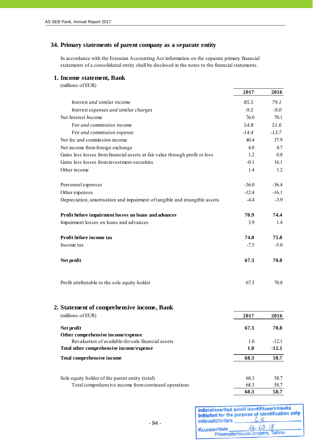#### **34. Primary statements of parent company as a separate entity**

In accordance with the Estonian Accounting Act information on the separate primary financial statements of a consolidated entity shall be disclosed in the notes to the financial statements.

#### **1. Income statement, Bank**

| (millions of EUR)                                                            |         |         |
|------------------------------------------------------------------------------|---------|---------|
|                                                                              | 2017    | 2016    |
| Interest and similar income                                                  | 85.5    | 79.1    |
| Interest expenses and similar charges                                        | $-9.5$  | $-9.0$  |
| Net Interest Income                                                          | 76.0    | 70.1    |
| Fee and commission income                                                    | 54.8    | 51.6    |
| Fee and commission expense                                                   | $-14.4$ | $-13.7$ |
| Net fee and commission income                                                | 40.4    | 37.9    |
| Net income from foreign exchange                                             | 4.8     | 4.7     |
| Gains less losses from financial assets at fair value through profit or loss | 1.2     | 0.8     |
| Gains less losses from investment securities                                 | $-0.1$  | 16.1    |
| Other income                                                                 | 1.4     | 1.2     |
| Personnel expenses                                                           | $-36.0$ | $-36.4$ |
| Other expenses                                                               | $-12.4$ | $-16.1$ |
| Depreciation, amortisation and impairment of tangible and intangible assets  | $-4.4$  | $-3.9$  |
| Profit before impairment losses on loans and advances                        | 70.9    | 74.4    |
| Impairment losses on loans and advances                                      | 3.9     | 1.4     |
| Profit before income tax                                                     | 74.8    | 75.8    |
| Income tax                                                                   | $-7.5$  | $-5.0$  |
| Net profit                                                                   | 67.3    | 70.8    |
| Profit attributable to the sole equity holder                                | 67.3    | 70.8    |

### **2. Statement of comprehensive income, Bank** (millions of EUR) **2017 2016 Net profit 67.3 70.8 Other comprehensive income/expense** Revaluation of available-for-sale financial assets 1.0 -12.1 **Total other comprehensive income/expense 1.0 -12.1** Total comprehensive income **68.3** 58.7 Sole equity holder of the parent entity (total) 68.3 58.7 58.7 Total comprehensive income from continued operations 68.3 58.7 **68.3 58.7**

| Initsiaalid/initials | Initsialiseeritud ainult identifitseerimiseks<br>Initialled for the purpose of identification only |
|----------------------|----------------------------------------------------------------------------------------------------|
| Kuupäev/date         | 12.03.18<br>PricewaterhouseCoopers, Tallinn                                                        |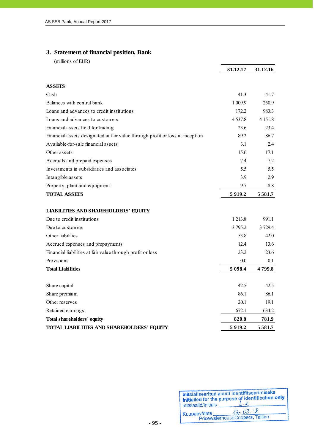#### **3. Statement of financial position, Bank**

(millions of EUR)

|                                                                               | 31.12.17   | 31.12.16   |
|-------------------------------------------------------------------------------|------------|------------|
|                                                                               |            |            |
| <b>ASSETS</b>                                                                 |            |            |
| Cash                                                                          | 41.3       | 41.7       |
| Balances with central bank                                                    | 1 0 0 9.9  | 250.9      |
| Loans and advances to credit institutions                                     | 172.2      | 983.3      |
| Loans and advances to customers                                               | 4 5 3 7 .8 | 4 1 5 1 .8 |
| Financial assets held for trading                                             | 23.6       | 23.4       |
| Financial assets designated at fair value through profit or loss at inception | 89.2       | 86.7       |
| Available-for-sale financial assets                                           | 3.1        | 2.4        |
| Other assets                                                                  | 15.6       | 17.1       |
| Accruals and prepaid expenses                                                 | 7.4        | 7.2        |
| Investments in subsidiaries and associates                                    | 5.5        | 5.5        |
| Intangible assets                                                             | 3.9        | 2.9        |
| Property, plant and equipment                                                 | 9.7        | 8.8        |
| <b>TOTAL ASSETS</b>                                                           | 5919.2     | 5 5 8 1.7  |
|                                                                               |            |            |
| <b>LIABILITIES AND SHAREHOLDERS' EQUITY</b>                                   |            |            |
| Due to credit institutions                                                    | 1 2 1 3 .8 | 991.1      |
| Due to customers                                                              | 3795.2     | 3729.4     |
| Other liabilities                                                             | 53.8       | 42.0       |
| Accrued expenses and prepayments                                              | 12.4       | 13.6       |
| Financial liabilities at fair value through profit or loss                    | 23.2       | 23.6       |
| Provisions                                                                    | 0.0        | 0.1        |
| <b>Total Liabilities</b>                                                      | 5 0 9 8.4  | 4799.8     |
| Share capital                                                                 | 42.5       | 42.5       |
| Share premium                                                                 | 86.1       | 86.1       |
| Other reserves                                                                | 20.1       | 19.1       |
| Retained earnings                                                             | 672.1      | 634.2      |
| Total shareholders' equity                                                    | 820.8      | 781.9      |
| TOTAL LIABILITIES AND SHAREHOLDERS' EQUITY                                    | 5919.2     | 5 5 8 1 .7 |

| Initsiaalid/initials | Initsialiseeritud ainult identifitseerimiseks<br>Initialled for the purpose of identification only |
|----------------------|----------------------------------------------------------------------------------------------------|
| Kuupäev/date         | 12.03.18<br>PricewaterhouseCoopers, Tallinn                                                        |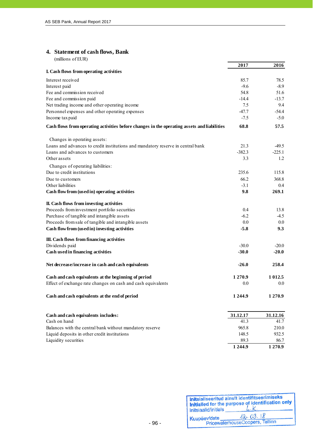#### **4. Statement of cash flows, Bank**

(millions of EUR)

|                                                                                             | 2017       | 2016      |
|---------------------------------------------------------------------------------------------|------------|-----------|
| I. Cash flows from operating activities                                                     |            |           |
| Interest received                                                                           | 85.7       | 78.5      |
| Interest paid                                                                               | $-9.6$     | $-8.9$    |
| Fee and commission received                                                                 | 54.8       | 51.6      |
| Fee and commission paid                                                                     | $-14.4$    | $-13.7$   |
| Net trading income and other operating income                                               | 7.5        | 9.4       |
| Personnel expenses and other operating expenses                                             | $-47.7$    | $-54.4$   |
| Income tax paid                                                                             | $-7.5$     | $-5.0$    |
| Cash flows from operating activities before changes in the operating assets and liabilities | 68.8       | 57.5      |
| Changes in operating assets:                                                                |            |           |
| Loans and advances to credit institutions and mandatory reserve in central bank             | 21.3       | $-49.5$   |
| Loans and advances to customers                                                             | $-382.3$   | $-225.1$  |
| Other assets                                                                                | 3.3        | 1.2       |
| Changes of operating liabilities:                                                           |            |           |
| Due to credit institutions                                                                  | 235.6      | 115.8     |
| Due to customers                                                                            | 66.2       | 368.8     |
| Other liabilities                                                                           | $-3.1$     | 0.4       |
| Cash flow from (used in) operating activities                                               | 9.8        | 269.1     |
| II. Cash flows from investing activities                                                    |            |           |
| Proceeds from investment portfolio securities                                               | 0.4        | 13.8      |
| Purchase of tangible and intangible assets                                                  | $-6.2$     | $-4.5$    |
| Proceeds from sale of tangible and intangible assets                                        | 0.0        | 0.0       |
| Cash flow from (used in) investing activities                                               | $-5.8$     | 9.3       |
| III. Cash flows from financing activities                                                   |            |           |
| Dividends paid                                                                              | $-30.0$    | $-20.0$   |
| Cash used in financing activities                                                           | $-30.0$    | $-20.0$   |
| Net decrease/increase in cash and cash equivalents                                          | $-26.0$    | 258.4     |
| Cash and cash equivalents at the beginning of period                                        | 1270.9     | 1 0 1 2.5 |
| Effect of exchange rate changes on cash and cash equivalents                                | 0.0        | 0.0       |
| Cash and cash equivalents at the end of period                                              | 1 2 4 4 .9 | 1 270.9   |
| Cash and cash equivalents includes:                                                         | 31.12.17   | 31.12.16  |
| Cash on hand                                                                                | 41.3       | 41.7      |
| Balances with the central bank without mandatory reserve                                    | 965.8      | 210.0     |
| Liquid deposits in other credit institutions                                                | 148.5      | 932.5     |
| Liquidity securities                                                                        | 89.3       | 86.7      |
|                                                                                             | 1244.9     | 1270.9    |

| Initsiaalid/initials | Initsialiseeritud ainult identifitseerimiseks<br>Initialled for the purpose of identification only |
|----------------------|----------------------------------------------------------------------------------------------------|
| Kuupäev/date         | 12.03.18<br>PricewaterhouseCoopers, Tallinn                                                        |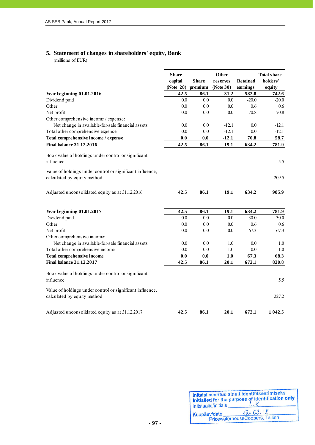### **5. Statement of changes in shareholders' equity, Bank**

(millions of EUR)

|                                                                                          | <b>Share</b><br>capital<br>(Note 28) | <b>Share</b><br>premium | Other<br>reserves<br>(Note 30) | <b>Retained</b><br>earnings | Total share-<br>holders'<br>equity |
|------------------------------------------------------------------------------------------|--------------------------------------|-------------------------|--------------------------------|-----------------------------|------------------------------------|
| Year beginning 01.01.2016                                                                | 42.5                                 | 86.1                    | 31.2                           | 582.8                       | 742.6                              |
| Dividend paid                                                                            | 0.0                                  | 0.0                     | $0.0\,$                        | $-20.0$                     | $-20.0$                            |
| Other                                                                                    | 0.0                                  | 0.0                     | $0.0\,$                        | 0.6                         | 0.6                                |
| Net profit                                                                               | 0.0                                  | 0.0                     | 0.0                            | 70.8                        | 70.8                               |
| Other comprehensive income / expense:                                                    |                                      |                         |                                |                             |                                    |
| Net change in available-for-sale financial assets                                        | 0.0                                  | 0.0                     | $-12.1$                        | 0.0                         | $-12.1$                            |
| Total other comprehensive expense                                                        | 0.0                                  | 0.0                     | $-12.1$                        | 0.0                         | $-12.1$                            |
| Total comprehensive income / expense                                                     | 0.0                                  | 0.0                     | $-12.1$                        | 70.8                        | 58.7                               |
| <b>Final balance 31.12.2016</b>                                                          | 42.5                                 | 86.1                    | 19.1                           | 634.2                       | 781.9                              |
| Book value of holdings under control or significant<br>influence                         |                                      |                         |                                |                             | 5.5                                |
| Value of holdings under control or significant influence,<br>calculated by equity method |                                      |                         |                                |                             | 209.5                              |
| Adjusted unconsolidated equity as at 31.12.2016                                          | 42.5                                 | 86.1                    | 19.1                           | 634.2                       | 985.9                              |
| Year beginning 01.01.2017                                                                | 42.5                                 | 86.1                    | 19.1                           | 634.2                       | 781.9                              |
| Dividend paid                                                                            | 0.0                                  | 0.0                     | 0.0                            | $-30.0$                     | $-30.0$                            |
| Other                                                                                    | 0.0                                  | 0.0                     | 0.0                            | 0.6                         | 0.6                                |
| Net profit                                                                               | 0.0                                  | 0.0                     | 0.0                            | 67.3                        | 67.3                               |
| Other comprehensive income:                                                              |                                      |                         |                                |                             |                                    |
| Net change in available-for-sale financial assets                                        | 0.0                                  | 0.0                     | 1.0                            | 0.0                         | 1.0                                |
| Total other comprehensive income                                                         | 0.0                                  | 0.0                     | 1.0                            | 0.0                         | 1.0                                |
| <b>Total comprehensive income</b>                                                        | 0.0                                  | 0.0                     | 1.0                            | 67.3                        | 68.3                               |
| <b>Final balance 31.12.2017</b>                                                          | 42.5                                 | 86.1                    | 20.1                           | 672.1                       | 820.8                              |
| Book value of holdings under control or significant<br>influence                         |                                      |                         |                                |                             | 5.5                                |
| Value of holdings under control or significant influence,<br>calculated by equity method |                                      |                         |                                |                             | 227.2                              |
| Adjusted unconsolidated equity as at 31.12.2017                                          | 42.5                                 | 86.1                    | 20.1                           | 672.1                       | 1 042.5                            |

| Initsiaalid/initials | Initsialiseeritud ainult identifitseerimiseks<br>Initialled for the purpose of identification only |
|----------------------|----------------------------------------------------------------------------------------------------|
| Kuupäev/date         | 12.03.18<br>PricewaterhouseCoopers, Tallinn                                                        |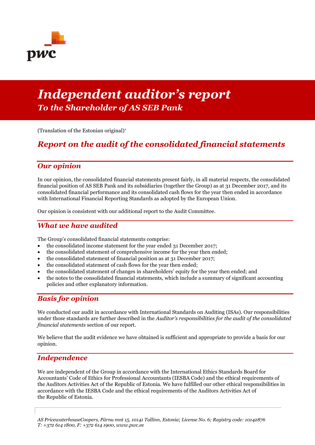

# *Independent auditor's report To the Shareholder of AS SEB Pank*

(Translation of the Estonian original)

# *Report on the audit of the consolidated financial statements*

### *Our opinion*

In our opinion, the consolidated financial statements present fairly, in all material respects, the consolidated financial position of AS SEB Pank and its subsidiaries (together the Group) as at 31 December 2017, and its consolidated financial performance and its consolidated cash flows for the year then ended in accordance with International Financial Reporting Standards as adopted by the European Union*.*

Our opinion is consistent with our additional report to the Audit Committee.

### *What we have audited*

The Group's consolidated financial statements comprise:

- the consolidated income statement for the year ended 31 December 2017;
- the consolidated statement of comprehensive income for the year then ended;
- the consolidated statement of financial position as at 31 December 2017;
- the consolidated statement of cash flows for the year then ended;
- the consolidated statement of changes in shareholders' equity for the year then ended; and
- the notes to the consolidated financial statements, which include a summary of significant accounting policies and other explanatory information.

### *Basis for opinion*

We conducted our audit in accordance with International Standards on Auditing (ISAs). Our responsibilities under those standards are further described in the *Auditor's responsibilities for the audit of the consolidated financial statements* section of our report.

We believe that the audit evidence we have obtained is sufficient and appropriate to provide a basis for our opinion.

### *Independence*

We are independent of the Group in accordance with the International Ethics Standards Board for Accountants' Code of Ethics for Professional Accountants (IESBA Code) and the ethical requirements of the Auditors Activities Act of the Republic of Estonia. We have fulfilled our other ethical responsibilities in accordance with the IESBA Code and the ethical requirements of the Auditors Activities Act of the Republic of Estonia.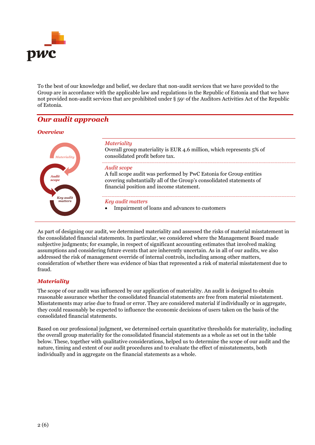

To the best of our knowledge and belief, we declare that non-audit services that we have provided to the Group are in accordance with the applicable law and regulations in the Republic of Estonia and that we have not provided non-audit services that are prohibited under § 59<sup>1</sup> of the Auditors Activities Act of the Republic of Estonia.

### *Our audit approach*

#### *Overview*



As part of designing our audit, we determined materiality and assessed the risks of material misstatement in the consolidated financial statements. In particular, we considered where the Management Board made subjective judgments; for example, in respect of significant accounting estimates that involved making assumptions and considering future events that are inherently uncertain. As in all of our audits, we also addressed the risk of management override of internal controls, including among other matters, consideration of whether there was evidence of bias that represented a risk of material misstatement due to fraud.

#### *Materiality*

The scope of our audit was influenced by our application of materiality. An audit is designed to obtain reasonable assurance whether the consolidated financial statements are free from material misstatement. Misstatements may arise due to fraud or error. They are considered material if individually or in aggregate, they could reasonably be expected to influence the economic decisions of users taken on the basis of the consolidated financial statements.

Based on our professional judgment, we determined certain quantitative thresholds for materiality, including the overall group materiality for the consolidated financial statements as a whole as set out in the table below. These, together with qualitative considerations, helped us to determine the scope of our audit and the nature, timing and extent of our audit procedures and to evaluate the effect of misstatements, both individually and in aggregate on the financial statements as a whole.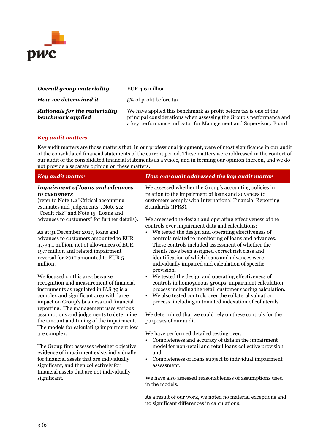

| <b>Overall group materiality</b>                   | EUR 4.6 million                                                                                                                                                                                               |
|----------------------------------------------------|---------------------------------------------------------------------------------------------------------------------------------------------------------------------------------------------------------------|
| How we determined it                               | 5% of profit before tax                                                                                                                                                                                       |
| Rationale for the materiality<br>benchmark applied | We have applied this benchmark as profit before tax is one of the<br>principal considerations when assessing the Group's performance and<br>a key performance indicator for Management and Supervisory Board. |

#### *Key audit matters*

Key audit matters are those matters that, in our professional judgment, were of most significance in our audit of the consolidated financial statements of the current period. These matters were addressed in the context of our audit of the consolidated financial statements as a whole, and in forming our opinion thereon, and we do not provide a separate opinion on these matters.

| <b>Key audit matter</b>                                                                                                                                                                                                                                           | How our audit addressed the key audit matter                                                                                                                                                                                                                                                                                                                                                                                                   |
|-------------------------------------------------------------------------------------------------------------------------------------------------------------------------------------------------------------------------------------------------------------------|------------------------------------------------------------------------------------------------------------------------------------------------------------------------------------------------------------------------------------------------------------------------------------------------------------------------------------------------------------------------------------------------------------------------------------------------|
| <b>Impairment of loans and advances</b><br>to customers<br>(refer to Note 1.2 "Critical accounting<br>estimates and judgements", Note 2.2<br>"Credit risk" and Note 15 "Loans and                                                                                 | We assessed whether the Group's accounting policies in<br>relation to the impairment of loans and advances to<br>customers comply with International Financial Reporting<br>Standards (IFRS).                                                                                                                                                                                                                                                  |
| advances to customers" for further details).<br>As at 31 December 2017, loans and<br>advances to customers amounted to EUR<br>4,734.1 million, net of allowances of EUR<br>19.7 million and related impairment<br>reversal for 2017 amounted to EUR 5<br>million. | We assessed the design and operating effectiveness of the<br>controls over impairment data and calculations:<br>We tested the design and operating effectiveness of<br>controls related to monitoring of loans and advances.<br>These controls included assessment of whether the<br>clients have been assigned correct risk class and<br>identification of which loans and advances were<br>individually impaired and calculation of specific |
| We focused on this area because<br>recognition and measurement of financial<br>instruments as regulated in IAS 39 is a<br>complex and significant area with large<br>impact on Group's business and financial<br>reporting. The management uses various           | provision.<br>We tested the design and operating effectiveness of<br>$\bullet$<br>controls in homogenous groups' impairment calculation<br>process including the retail customer scoring calculation.<br>We also tested controls over the collateral valuation<br>$\bullet$<br>process, including automated indexation of collaterals.                                                                                                         |
| assumptions and judgements to determine<br>the amount and timing of the impairment.<br>The models for calculating impairment loss<br>are complex.                                                                                                                 | We determined that we could rely on these controls for the<br>purposes of our audit.<br>We have performed detailed testing over:<br>Completeness and accuracy of data in the impairment                                                                                                                                                                                                                                                        |
| The Group first assesses whether objective<br>evidence of impairment exists individually<br>for financial assets that are individually<br>significant, and then collectively for<br>financial assets that are not individually                                    | model for non-retail and retail loans collective provision<br>and<br>Completeness of loans subject to individual impairment<br>$\bullet$<br>assessment.                                                                                                                                                                                                                                                                                        |
| significant.                                                                                                                                                                                                                                                      | We have also assessed reasonableness of assumptions used<br>in the models.                                                                                                                                                                                                                                                                                                                                                                     |

As a result of our work, we noted no material exceptions and no significant differences in calculations.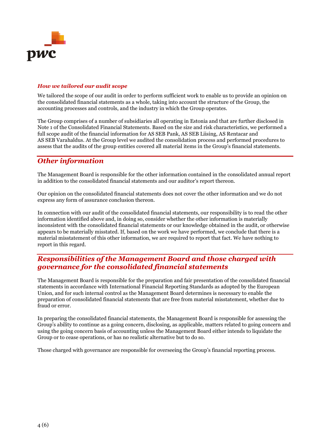

#### *How we tailored our audit scope*

We tailored the scope of our audit in order to perform sufficient work to enable us to provide an opinion on the consolidated financial statements as a whole, taking into account the structure of the Group, the accounting processes and controls, and the industry in which the Group operates.

The Group comprises of a number of subsidiaries all operating in Estonia and that are further disclosed in Note 1 of the Consolidated Financial Statements. Based on the size and risk characteristics, we performed a full scope audit of the financial information for AS SEB Pank, AS SEB Liising, AS Rentacar and AS SEB Varahaldus. At the Group level we audited the consolidation process and performed procedures to assess that the audits of the group entities covered all material items in the Group's financial statements.

### *Other information*

The Management Board is responsible for the other information contained in the consolidated annual report in addition to the consolidated financial statements and our auditor's report thereon.

Our opinion on the consolidated financial statements does not cover the other information and we do not express any form of assurance conclusion thereon.

In connection with our audit of the consolidated financial statements, our responsibility is to read the other information identified above and, in doing so, consider whether the other information is materially inconsistent with the consolidated financial statements or our knowledge obtained in the audit, or otherwise appears to be materially misstated. If, based on the work we have performed, we conclude that there is a material misstatement of this other information, we are required to report that fact. We have nothing to report in this regard.

### *Responsibilities of the Management Board and those charged with governance for the consolidated financial statements*

The Management Board is responsible for the preparation and fair presentation of the consolidated financial statements in accordance with International Financial Reporting Standards as adopted by the European Union, and for such internal control as the Management Board determines is necessary to enable the preparation of consolidated financial statements that are free from material misstatement, whether due to fraud or error.

In preparing the consolidated financial statements, the Management Board is responsible for assessing the Group's ability to continue as a going concern, disclosing, as applicable, matters related to going concern and using the going concern basis of accounting unless the Management Board either intends to liquidate the Group or to cease operations, or has no realistic alternative but to do so.

Those charged with governance are responsible for overseeing the Group's financial reporting process.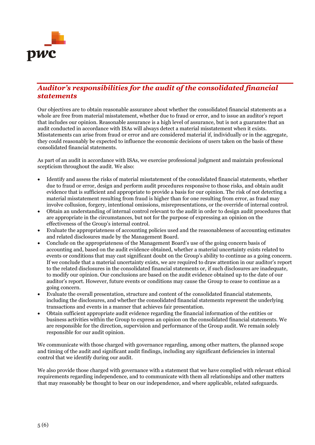

### *Auditor's responsibilities for the audit of the consolidated financial statements*

Our objectives are to obtain reasonable assurance about whether the consolidated financial statements as a whole are free from material misstatement, whether due to fraud or error, and to issue an auditor's report that includes our opinion. Reasonable assurance is a high level of assurance, but is not a guarantee that an audit conducted in accordance with ISAs will always detect a material misstatement when it exists. Misstatements can arise from fraud or error and are considered material if, individually or in the aggregate, they could reasonably be expected to influence the economic decisions of users taken on the basis of these consolidated financial statements.

As part of an audit in accordance with ISAs, we exercise professional judgment and maintain professional scepticism throughout the audit. We also:

- Identify and assess the risks of material misstatement of the consolidated financial statements, whether due to fraud or error, design and perform audit procedures responsive to those risks, and obtain audit evidence that is sufficient and appropriate to provide a basis for our opinion. The risk of not detecting a material misstatement resulting from fraud is higher than for one resulting from error, as fraud may involve collusion, forgery, intentional omissions, misrepresentations, or the override of internal control.
- Obtain an understanding of internal control relevant to the audit in order to design audit procedures that are appropriate in the circumstances, but not for the purpose of expressing an opinion on the effectiveness of the Group's internal control.
- Evaluate the appropriateness of accounting policies used and the reasonableness of accounting estimates and related disclosures made by the Management Board.
- Conclude on the appropriateness of the Management Board's use of the going concern basis of accounting and, based on the audit evidence obtained, whether a material uncertainty exists related to events or conditions that may cast significant doubt on the Group's ability to continue as a going concern. If we conclude that a material uncertainty exists, we are required to draw attention in our auditor's report to the related disclosures in the consolidated financial statements or, if such disclosures are inadequate, to modify our opinion. Our conclusions are based on the audit evidence obtained up to the date of our auditor's report. However, future events or conditions may cause the Group to cease to continue as a going concern.
- Evaluate the overall presentation, structure and content of the consolidated financial statements, including the disclosures, and whether the consolidated financial statements represent the underlying transactions and events in a manner that achieves fair presentation.
- Obtain sufficient appropriate audit evidence regarding the financial information of the entities or business activities within the Group to express an opinion on the consolidated financial statements. We are responsible for the direction, supervision and performance of the Group audit. We remain solely responsible for our audit opinion.

We communicate with those charged with governance regarding, among other matters, the planned scope and timing of the audit and significant audit findings, including any significant deficiencies in internal control that we identify during our audit.

We also provide those charged with governance with a statement that we have complied with relevant ethical requirements regarding independence, and to communicate with them all relationships and other matters that may reasonably be thought to bear on our independence, and where applicable, related safeguards.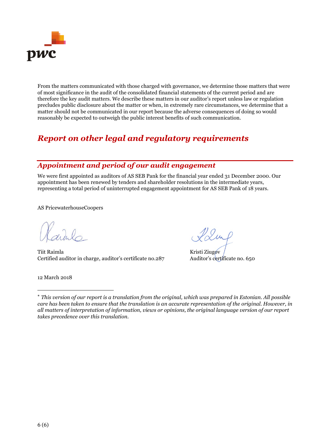

From the matters communicated with those charged with governance, we determine those matters that were of most significance in the audit of the consolidated financial statements of the current period and are therefore the key audit matters. We describe these matters in our auditor's report unless law or regulation precludes public disclosure about the matter or when, in extremely rare circumstances, we determine that a matter should not be communicated in our report because the adverse consequences of doing so would reasonably be expected to outweigh the public interest benefits of such communication.

## *Report on other legal and regulatory requirements*

### *Appointment and period of our audit engagement*

We were first appointed as auditors of AS SEB Pank for the financial year ended 31 December 2000. Our appointment has been renewed by tenders and shareholder resolutions in the intermediate years, representing a total period of uninterrupted engagement appointment for AS SEB Pank of 18 years.

AS PricewaterhouseCoopers

Tiit Raimla<br>Certified auditor in charge, auditor's certificate no.287 Auditor's certificate no. 650 Certified auditor in charge, auditor's certificate no. 287

12 March 2018

Ling

*This version of our report is a translation from the original, which was prepared in Estonian. All possible care has been taken to ensure that the translation is an accurate representation of the original. However, in all matters of interpretation of information, views or opinions, the original language version of our report takes precedence over this translation.*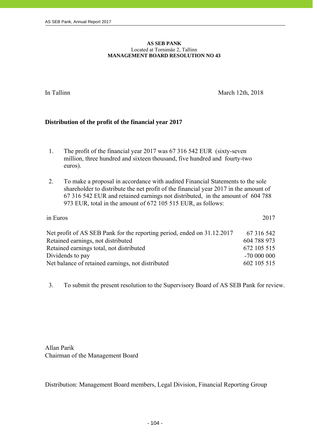#### **AS SEB PANK**  Located at Tornimäe 2, Tallinn **MANAGEMENT BOARD RESOLUTION NO 43**

In Tallinn March 12th, 2018

#### **Distribution of the profit of the financial year 2017**

- 1. The profit of the financial year 2017 was 67 316 542 EUR (sixty-seven million, three hundred and sixteen thousand, five hundred and fourty-two euros).
- 2. To make a proposal in accordance with audited Financial Statements to the sole shareholder to distribute the net profit of the financial year 2017 in the amount of 67 316 542 EUR and retained earnings not distributed, in the amount of 604 788 973 EUR, total in the amount of 672 105 515 EUR, as follows:

| in Euros                                                                | 2017        |
|-------------------------------------------------------------------------|-------------|
| Net profit of AS SEB Pank for the reporting period, ended on 31.12.2017 | 67 316 542  |
| Retained earnings, not distributed                                      | 604 788 973 |
| Retained earnings total, not distributed                                | 672 105 515 |
| Dividends to pay                                                        | $-70000000$ |
| Net balance of retained earnings, not distributed                       | 602 105 515 |

3. To submit the present resolution to the Supervisory Board of AS SEB Pank for review.

Allan Parik Chairman of the Management Board

Distribution: Management Board members, Legal Division, Financial Reporting Group